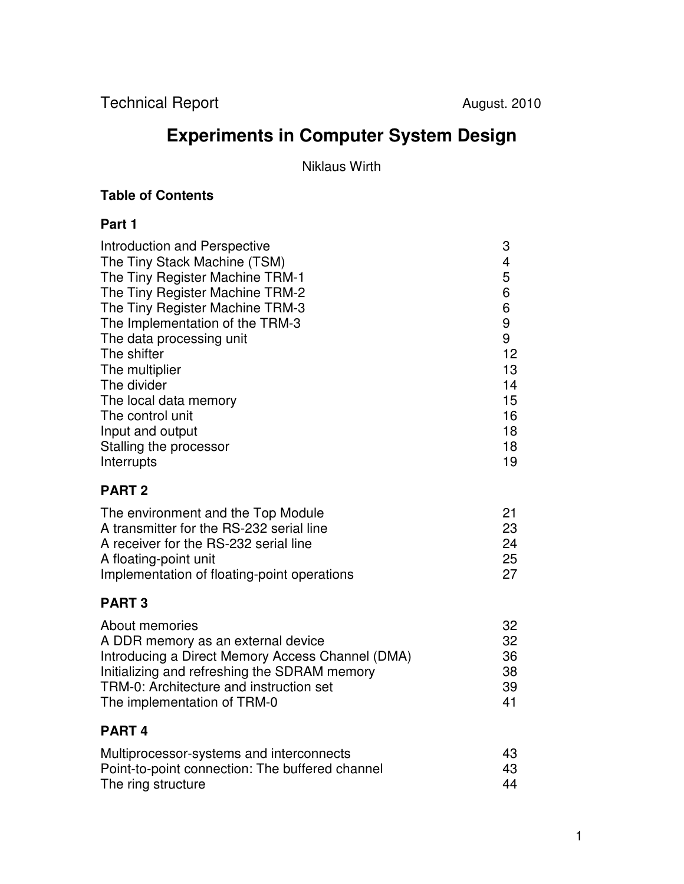# **Experiments in Computer System Design**

Niklaus Wirth

# **Table of Contents**

# **Part 1**

| Introduction and Perspective                     | 3                                          |
|--------------------------------------------------|--------------------------------------------|
| The Tiny Stack Machine (TSM)                     |                                            |
| The Tiny Register Machine TRM-1                  | $\begin{array}{c} 4 \\ 5 \\ 6 \end{array}$ |
| The Tiny Register Machine TRM-2                  |                                            |
| The Tiny Register Machine TRM-3                  | 6                                          |
| The Implementation of the TRM-3                  | 9                                          |
| The data processing unit                         | 9                                          |
| The shifter                                      | 12                                         |
| The multiplier                                   | 13                                         |
| The divider                                      | 14                                         |
| The local data memory                            | 15                                         |
| The control unit                                 | 16                                         |
| Input and output                                 | 18                                         |
| Stalling the processor                           | 18                                         |
| Interrupts                                       | 19                                         |
| <b>PART 2</b>                                    |                                            |
| The environment and the Top Module               | 21                                         |
| A transmitter for the RS-232 serial line         | 23                                         |
| A receiver for the RS-232 serial line            | 24                                         |
| A floating-point unit                            | 25                                         |
| Implementation of floating-point operations      | 27                                         |
| <b>PART3</b>                                     |                                            |
| About memories                                   | 32                                         |
| A DDR memory as an external device               | 32                                         |
| Introducing a Direct Memory Access Channel (DMA) | 36                                         |
| Initializing and refreshing the SDRAM memory     | 38                                         |
| TRM-0: Architecture and instruction set          | 39                                         |
| The implementation of TRM-0                      | 41                                         |
| PART <sub>4</sub>                                |                                            |
|                                                  |                                            |

# Multiprocessor-systems and interconnects<br>
Point-to-point connection: The buffered channel<br>
43 Point-to-point connection: The buffered channel 43<br>The ring structure 44 The ring structure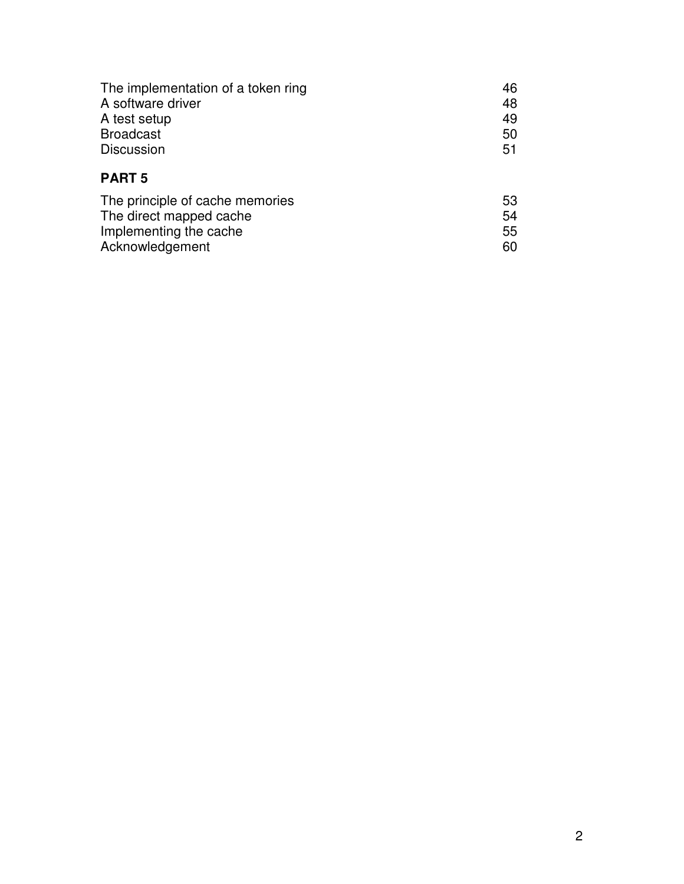| The implementation of a token ring | 46 |
|------------------------------------|----|
| A software driver                  | 48 |
| A test setup                       | 49 |
| <b>Broadcast</b>                   | 50 |
| <b>Discussion</b>                  | 51 |
| <b>PART 5</b>                      |    |
| The principle of cache memories    | 53 |
| The direct mapped cache            | 54 |
| Implementing the cache             | 55 |
| Acknowledgement                    | 60 |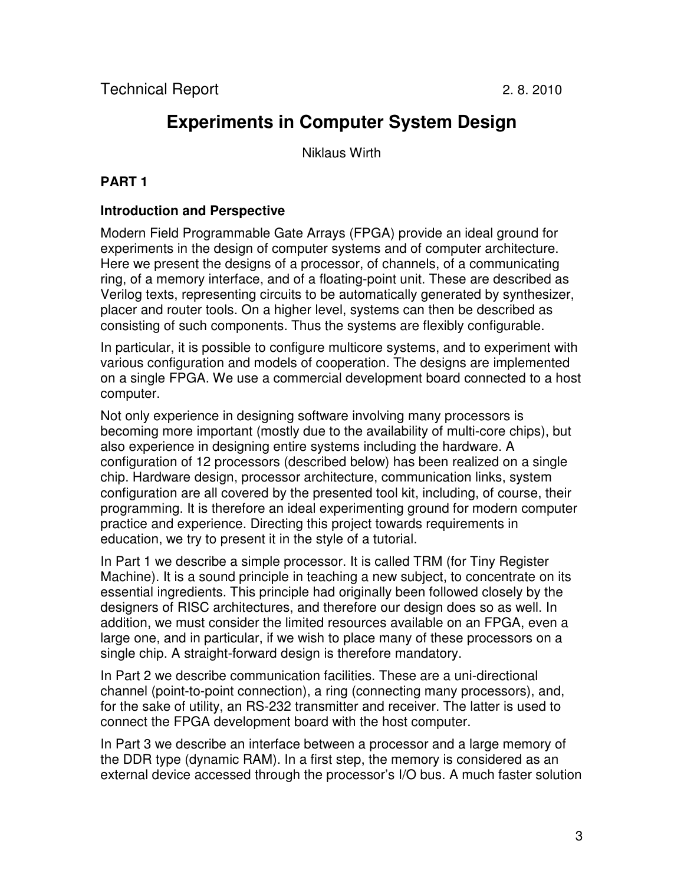# **Experiments in Computer System Design**

Niklaus Wirth

# **PART 1**

## **Introduction and Perspective**

Modern Field Programmable Gate Arrays (FPGA) provide an ideal ground for experiments in the design of computer systems and of computer architecture. Here we present the designs of a processor, of channels, of a communicating ring, of a memory interface, and of a floating-point unit. These are described as Verilog texts, representing circuits to be automatically generated by synthesizer, placer and router tools. On a higher level, systems can then be described as consisting of such components. Thus the systems are flexibly configurable.

In particular, it is possible to configure multicore systems, and to experiment with various configuration and models of cooperation. The designs are implemented on a single FPGA. We use a commercial development board connected to a host computer.

Not only experience in designing software involving many processors is becoming more important (mostly due to the availability of multi-core chips), but also experience in designing entire systems including the hardware. A configuration of 12 processors (described below) has been realized on a single chip. Hardware design, processor architecture, communication links, system configuration are all covered by the presented tool kit, including, of course, their programming. It is therefore an ideal experimenting ground for modern computer practice and experience. Directing this project towards requirements in education, we try to present it in the style of a tutorial.

In Part 1 we describe a simple processor. It is called TRM (for Tiny Register Machine). It is a sound principle in teaching a new subject, to concentrate on its essential ingredients. This principle had originally been followed closely by the designers of RISC architectures, and therefore our design does so as well. In addition, we must consider the limited resources available on an FPGA, even a large one, and in particular, if we wish to place many of these processors on a single chip. A straight-forward design is therefore mandatory.

In Part 2 we describe communication facilities. These are a uni-directional channel (point-to-point connection), a ring (connecting many processors), and, for the sake of utility, an RS-232 transmitter and receiver. The latter is used to connect the FPGA development board with the host computer.

In Part 3 we describe an interface between a processor and a large memory of the DDR type (dynamic RAM). In a first step, the memory is considered as an external device accessed through the processor's I/O bus. A much faster solution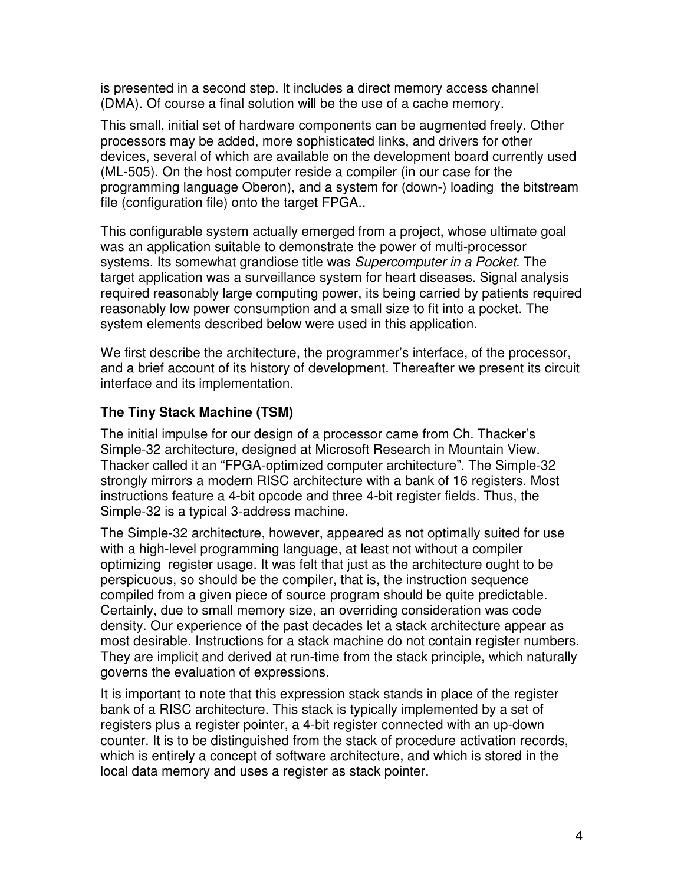is presented in a second step. It includes a direct memory access channel (DMA). Of course a final solution will be the use of a cache memory.

This small, initial set of hardware components can be augmented freely. Other processors may be added, more sophisticated links, and drivers for other devices, several of which are available on the development board currently used (ML-505). On the host computer reside a compiler (in our case for the programming language Oberon), and a system for (down-) loading the bitstream file (configuration file) onto the target FPGA..

This configurable system actually emerged from a project, whose ultimate goal was an application suitable to demonstrate the power of multi-processor systems. Its somewhat grandiose title was *Supercomputer in a Pocket*. The target application was a surveillance system for heart diseases. Signal analysis required reasonably large computing power, its being carried by patients required reasonably low power consumption and a small size to fit into a pocket. The system elements described below were used in this application.

We first describe the architecture, the programmer's interface, of the processor, and a brief account of its history of development. Thereafter we present its circuit interface and its implementation.

## **The Tiny Stack Machine (TSM)**

The initial impulse for our design of a processor came from Ch. Thacker's Simple-32 architecture, designed at Microsoft Research in Mountain View. Thacker called it an "FPGA-optimized computer architecture". The Simple-32 strongly mirrors a modern RISC architecture with a bank of 16 registers. Most instructions feature a 4-bit opcode and three 4-bit register fields. Thus, the Simple-32 is a typical 3-address machine.

The Simple-32 architecture, however, appeared as not optimally suited for use with a high-level programming language, at least not without a compiler optimizing register usage. It was felt that just as the architecture ought to be perspicuous, so should be the compiler, that is, the instruction sequence compiled from a given piece of source program should be quite predictable. Certainly, due to small memory size, an overriding consideration was code density. Our experience of the past decades let a stack architecture appear as most desirable. Instructions for a stack machine do not contain register numbers. They are implicit and derived at run-time from the stack principle, which naturally governs the evaluation of expressions.

It is important to note that this expression stack stands in place of the register bank of a RISC architecture. This stack is typically implemented by a set of registers plus a register pointer, a 4-bit register connected with an up-down counter. It is to be distinguished from the stack of procedure activation records, which is entirely a concept of software architecture, and which is stored in the local data memory and uses a register as stack pointer.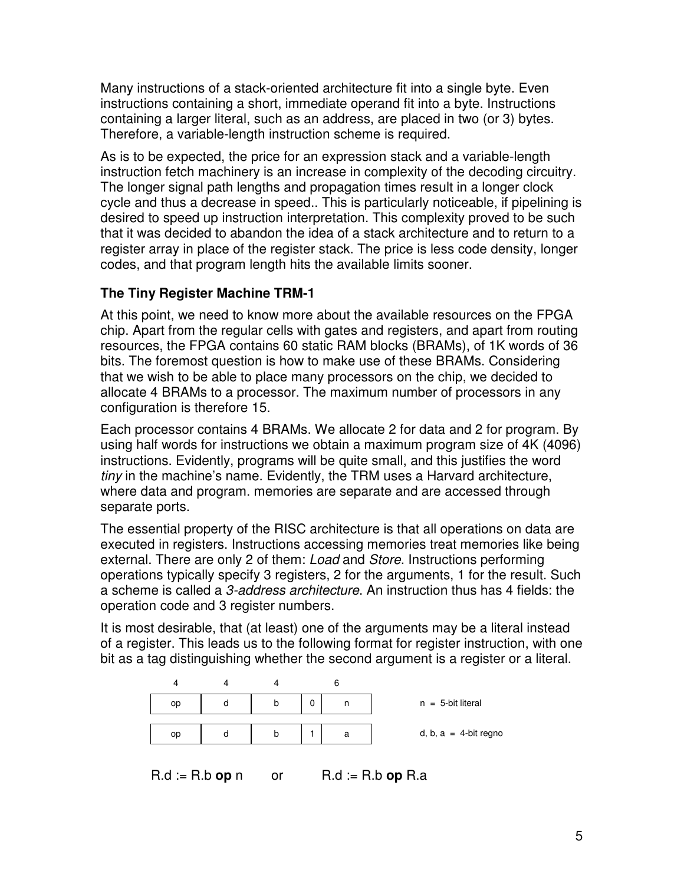Many instructions of a stack-oriented architecture fit into a single byte. Even instructions containing a short, immediate operand fit into a byte. Instructions containing a larger literal, such as an address, are placed in two (or 3) bytes. Therefore, a variable-length instruction scheme is required.

As is to be expected, the price for an expression stack and a variable-length instruction fetch machinery is an increase in complexity of the decoding circuitry. The longer signal path lengths and propagation times result in a longer clock cycle and thus a decrease in speed.. This is particularly noticeable, if pipelining is desired to speed up instruction interpretation. This complexity proved to be such that it was decided to abandon the idea of a stack architecture and to return to a register array in place of the register stack. The price is less code density, longer codes, and that program length hits the available limits sooner.

## **The Tiny Register Machine TRM-1**

At this point, we need to know more about the available resources on the FPGA chip. Apart from the regular cells with gates and registers, and apart from routing resources, the FPGA contains 60 static RAM blocks (BRAMs), of 1K words of 36 bits. The foremost question is how to make use of these BRAMs. Considering that we wish to be able to place many processors on the chip, we decided to allocate 4 BRAMs to a processor. The maximum number of processors in any configuration is therefore 15.

Each processor contains 4 BRAMs. We allocate 2 for data and 2 for program. By using half words for instructions we obtain a maximum program size of 4K (4096) instructions. Evidently, programs will be quite small, and this justifies the word *tiny* in the machine's name. Evidently, the TRM uses a Harvard architecture, where data and program. memories are separate and are accessed through separate ports.

The essential property of the RISC architecture is that all operations on data are executed in registers. Instructions accessing memories treat memories like being external. There are only 2 of them: *Load* and *Store*. Instructions performing operations typically specify 3 registers, 2 for the arguments, 1 for the result. Such a scheme is called a *3-address architecture*. An instruction thus has 4 fields: the operation code and 3 register numbers.

It is most desirable, that (at least) one of the arguments may be a literal instead of a register. This leads us to the following format for register instruction, with one bit as a tag distinguishing whether the second argument is a register or a literal.

| op |  | n | $n = 5$ -bit literal     |
|----|--|---|--------------------------|
| op |  | а | $d, b, a = 4$ -bit regno |

 $R.d := R.b$  **op** n or  $R.d := R.b$  **op**  $R.a$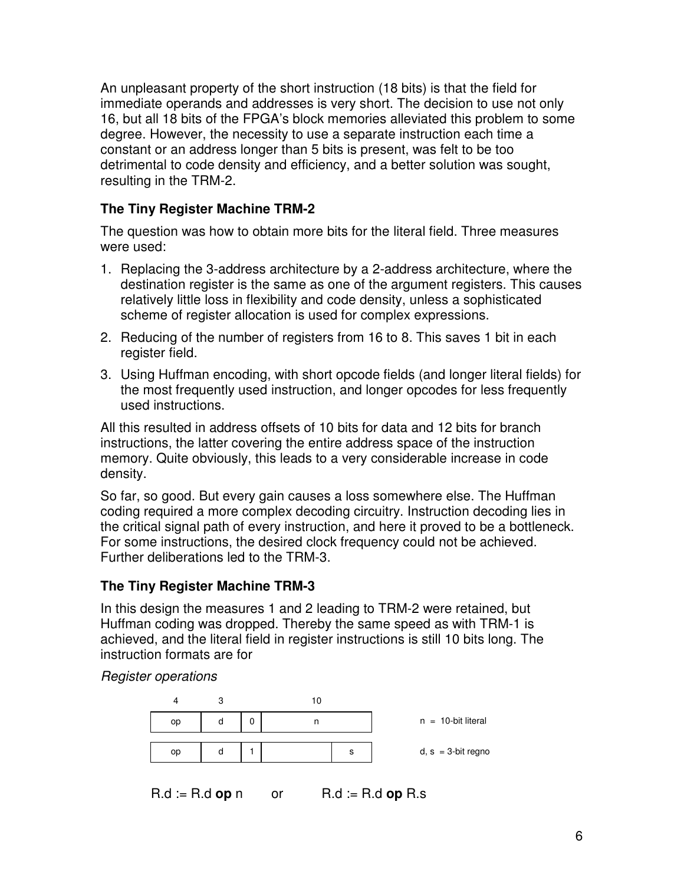An unpleasant property of the short instruction (18 bits) is that the field for immediate operands and addresses is very short. The decision to use not only 16, but all 18 bits of the FPGA's block memories alleviated this problem to some degree. However, the necessity to use a separate instruction each time a constant or an address longer than 5 bits is present, was felt to be too detrimental to code density and efficiency, and a better solution was sought, resulting in the TRM-2.

# **The Tiny Register Machine TRM-2**

The question was how to obtain more bits for the literal field. Three measures were used:

- 1. Replacing the 3-address architecture by a 2-address architecture, where the destination register is the same as one of the argument registers. This causes relatively little loss in flexibility and code density, unless a sophisticated scheme of register allocation is used for complex expressions.
- 2. Reducing of the number of registers from 16 to 8. This saves 1 bit in each register field.
- 3. Using Huffman encoding, with short opcode fields (and longer literal fields) for the most frequently used instruction, and longer opcodes for less frequently used instructions.

All this resulted in address offsets of 10 bits for data and 12 bits for branch instructions, the latter covering the entire address space of the instruction memory. Quite obviously, this leads to a very considerable increase in code density.

So far, so good. But every gain causes a loss somewhere else. The Huffman coding required a more complex decoding circuitry. Instruction decoding lies in the critical signal path of every instruction, and here it proved to be a bottleneck. For some instructions, the desired clock frequency could not be achieved. Further deliberations led to the TRM-3.

## **The Tiny Register Machine TRM-3**

In this design the measures 1 and 2 leading to TRM-2 were retained, but Huffman coding was dropped. Thereby the same speed as with TRM-1 is achieved, and the literal field in register instructions is still 10 bits long. The instruction formats are for

*Register operations* 



 $R.d := R.d$  **op** n or  $R.d := R.d$  **op** R.s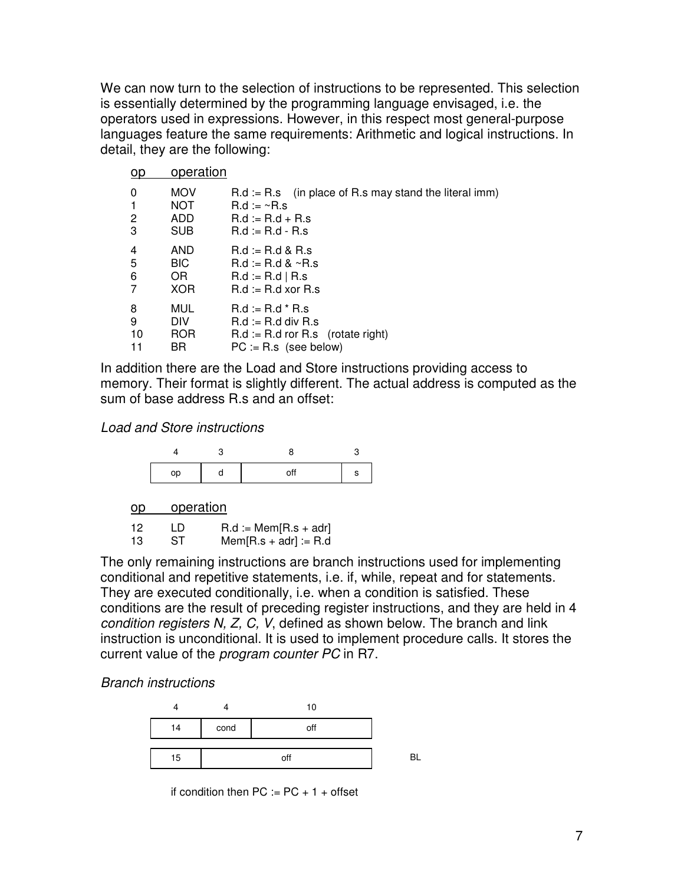We can now turn to the selection of instructions to be represented. This selection is essentially determined by the programming language envisaged, i.e. the operators used in expressions. However, in this respect most general-purpose languages feature the same requirements: Arithmetic and logical instructions. In detail, they are the following:

#### op operation

| 0<br>2<br>3 | <b>MOV</b><br><b>NOT</b><br>ADD<br><b>SUB</b> | $R.d := R.s$ (in place of R.s may stand the literal imm)<br>$R.d := \neg R.s$<br>$R.d := R.d + R.s$<br>$R.d := R.d - R.s$ |
|-------------|-----------------------------------------------|---------------------------------------------------------------------------------------------------------------------------|
| 4           | AND                                           | $R.d := R.d & R.s$                                                                                                        |
| 5           | <b>BIC</b>                                    | $R.d := R.d < R.s$                                                                                                        |
| 6           | OR.                                           | $R.d := R.d   R.s$                                                                                                        |
| 7           | XOR                                           | $R.d := R.d$ xor $R.s$                                                                                                    |
| 8           | <b>MUL</b>                                    | $R.d := R.d * R.s$                                                                                                        |
| 9           | DIV                                           | $R.d := R.d$ div R.s                                                                                                      |
| 10          | <b>ROR</b>                                    | $R.d := R.d$ ror $R.s$ (rotate right)                                                                                     |
| 11          | BR.                                           | $PC := R.s$ (see below)                                                                                                   |

In addition there are the Load and Store instructions providing access to memory. Their format is slightly different. The actual address is computed as the sum of base address R.s and an offset:

#### *Load and Store instructions*

| op | ., |  |
|----|----|--|

op operation

| 12. | - LD | $R.d := Mem[R.s + adr]$ |
|-----|------|-------------------------|
| 13. | - ST | $Mem[R.s +adr] := R.d$  |

The only remaining instructions are branch instructions used for implementing conditional and repetitive statements, i.e. if, while, repeat and for statements. They are executed conditionally, i.e. when a condition is satisfied. These conditions are the result of preceding register instructions, and they are held in 4 *condition registers N, Z, C, V*, defined as shown below. The branch and link instruction is unconditional. It is used to implement procedure calls. It stores the current value of the *program counter PC* in R7.

### *Branch instructions*

|    |      | 10  |    |
|----|------|-----|----|
| 14 | cond | off |    |
|    |      |     |    |
| 15 |      | off | RI |

if condition then  $PC := PC + 1 + \text{offset}$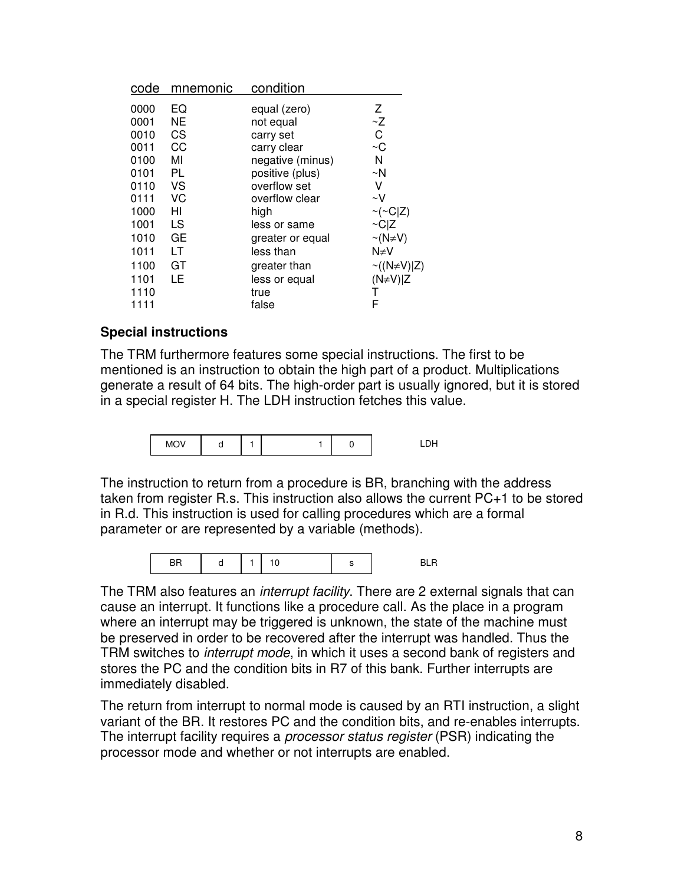| code         | mnemonic        | condition                 |                      |
|--------------|-----------------|---------------------------|----------------------|
| 0000<br>0001 | EQ<br><b>NE</b> | equal (zero)<br>not equal | Ζ<br>$\sim$ Z        |
| 0010         | СS              | carry set                 | С                    |
| 0011         | CС              | carry clear               | ~C                   |
| 0100         | MI              | negative (minus)          | N                    |
| 0101         | PL              | positive (plus)           | ∼N                   |
| 0110         | VS              | overflow set              | V                    |
| 0111         | VC              | overflow clear            | ∼V                   |
| 1000         | ΗI              | high                      | $\sim$ ( $\sim$ C Z) |
| 1001         | LS              | less or same              | $\sim$ C Z           |
| 1010         | GЕ              | greater or equal          | $\sim$ (N $\neq$ V)  |
| 1011         | LT              | less than                 | N≠V                  |
| 1100         | GТ              | greater than              | $\sim((N\neq V) Z)$  |
| 1101         | LE              | less or equal             | $(N\neq V) Z$        |
| 1110         |                 | true                      |                      |
| 1111         |                 | false                     | F                    |
|              |                 |                           |                      |

#### **Special instructions**

The TRM furthermore features some special instructions. The first to be mentioned is an instruction to obtain the high part of a product. Multiplications generate a result of 64 bits. The high-order part is usually ignored, but it is stored in a special register H. The LDH instruction fetches this value.

MOV d 1 1 0 LDH

The instruction to return from a procedure is BR, branching with the address taken from register R.s. This instruction also allows the current PC+1 to be stored in R.d. This instruction is used for calling procedures which are a formal parameter or are represented by a variable (methods).



The TRM also features an *interrupt facility*. There are 2 external signals that can cause an interrupt. It functions like a procedure call. As the place in a program where an interrupt may be triggered is unknown, the state of the machine must be preserved in order to be recovered after the interrupt was handled. Thus the TRM switches to *interrupt mode*, in which it uses a second bank of registers and stores the PC and the condition bits in R7 of this bank. Further interrupts are immediately disabled.

The return from interrupt to normal mode is caused by an RTI instruction, a slight variant of the BR. It restores PC and the condition bits, and re-enables interrupts. The interrupt facility requires a *processor status register* (PSR) indicating the processor mode and whether or not interrupts are enabled.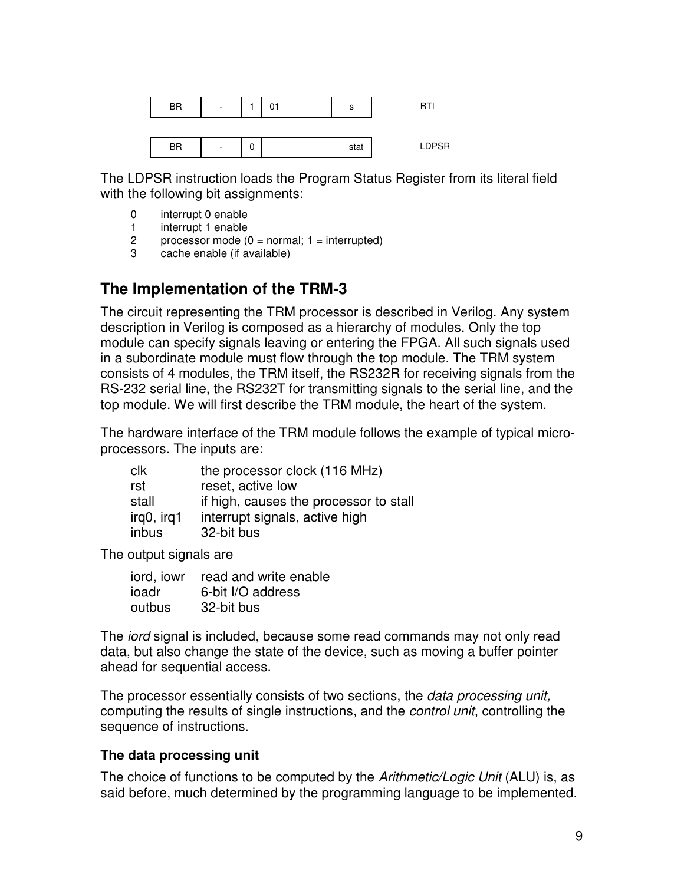| <b>BR</b> | ۰ |   | 01 | s    | <b>RTI</b>   |
|-----------|---|---|----|------|--------------|
|           |   |   |    |      |              |
| <b>BR</b> | - | 0 |    | stat | <b>LDPSR</b> |

The LDPSR instruction loads the Program Status Register from its literal field with the following bit assignments:

- 0 interrupt 0 enable<br>1 interrupt 1 enable
- 1 interrupt 1 enable<br>2 processor mode (
- processor mode  $(0 = normal; 1 = interval)$
- 3 cache enable (if available)

# **The Implementation of the TRM-3**

The circuit representing the TRM processor is described in Verilog. Any system description in Verilog is composed as a hierarchy of modules. Only the top module can specify signals leaving or entering the FPGA. All such signals used in a subordinate module must flow through the top module. The TRM system consists of 4 modules, the TRM itself, the RS232R for receiving signals from the RS-232 serial line, the RS232T for transmitting signals to the serial line, and the top module. We will first describe the TRM module, the heart of the system.

The hardware interface of the TRM module follows the example of typical microprocessors. The inputs are:

| clk        | the processor clock (116 MHz)          |
|------------|----------------------------------------|
| rst        | reset, active low                      |
| stall      | if high, causes the processor to stall |
| irg0, irg1 | interrupt signals, active high         |
| inbus      | 32-bit bus                             |

The output signals are

|        | iord, iowr read and write enable |
|--------|----------------------------------|
| ioadr  | 6-bit I/O address                |
| outbus | 32-bit bus                       |

The *iord* signal is included, because some read commands may not only read data, but also change the state of the device, such as moving a buffer pointer ahead for sequential access.

The processor essentially consists of two sections, the *data processing unit,* computing the results of single instructions, and the *control unit*, controlling the sequence of instructions.

### **The data processing unit**

The choice of functions to be computed by the *Arithmetic/Logic Unit* (ALU) is, as said before, much determined by the programming language to be implemented.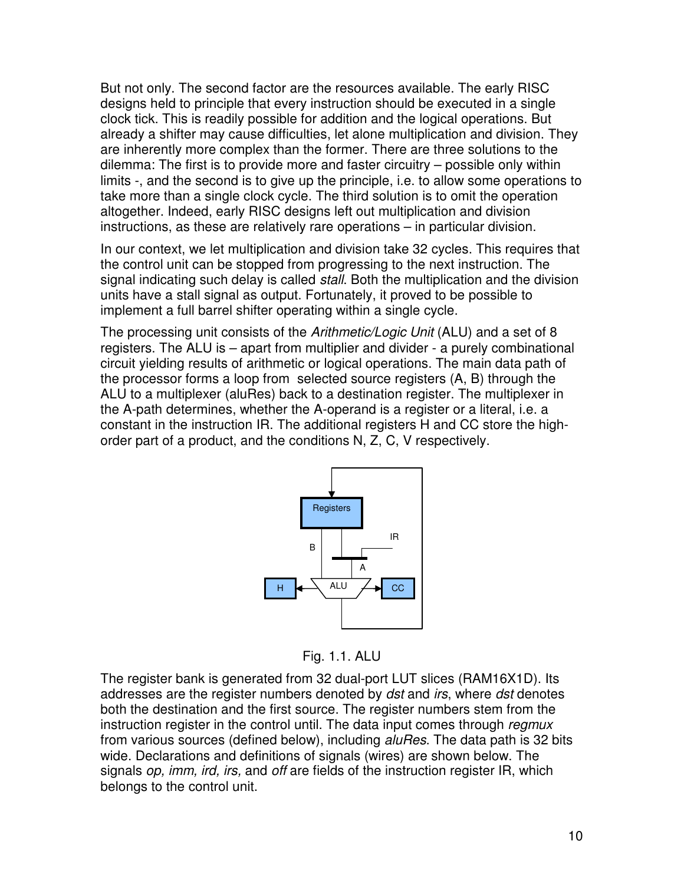But not only. The second factor are the resources available. The early RISC designs held to principle that every instruction should be executed in a single clock tick. This is readily possible for addition and the logical operations. But already a shifter may cause difficulties, let alone multiplication and division. They are inherently more complex than the former. There are three solutions to the dilemma: The first is to provide more and faster circuitry – possible only within limits -, and the second is to give up the principle, i.e. to allow some operations to take more than a single clock cycle. The third solution is to omit the operation altogether. Indeed, early RISC designs left out multiplication and division instructions, as these are relatively rare operations – in particular division.

In our context, we let multiplication and division take 32 cycles. This requires that the control unit can be stopped from progressing to the next instruction. The signal indicating such delay is called *stall*. Both the multiplication and the division units have a stall signal as output. Fortunately, it proved to be possible to implement a full barrel shifter operating within a single cycle.

The processing unit consists of the *Arithmetic/Logic Unit* (ALU) and a set of 8 registers. The ALU is – apart from multiplier and divider - a purely combinational circuit yielding results of arithmetic or logical operations. The main data path of the processor forms a loop from selected source registers (A, B) through the ALU to a multiplexer (aluRes) back to a destination register. The multiplexer in the A-path determines, whether the A-operand is a register or a literal, i.e. a constant in the instruction IR. The additional registers H and CC store the highorder part of a product, and the conditions N, Z, C, V respectively.



Fig. 1.1. ALU

The register bank is generated from 32 dual-port LUT slices (RAM16X1D). Its addresses are the register numbers denoted by *dst* and *irs*, where *dst* denotes both the destination and the first source. The register numbers stem from the instruction register in the control until. The data input comes through *regmux* from various sources (defined below), including *aluRes*. The data path is 32 bits wide. Declarations and definitions of signals (wires) are shown below. The signals *op, imm, ird, irs,* and *off* are fields of the instruction register IR, which belongs to the control unit.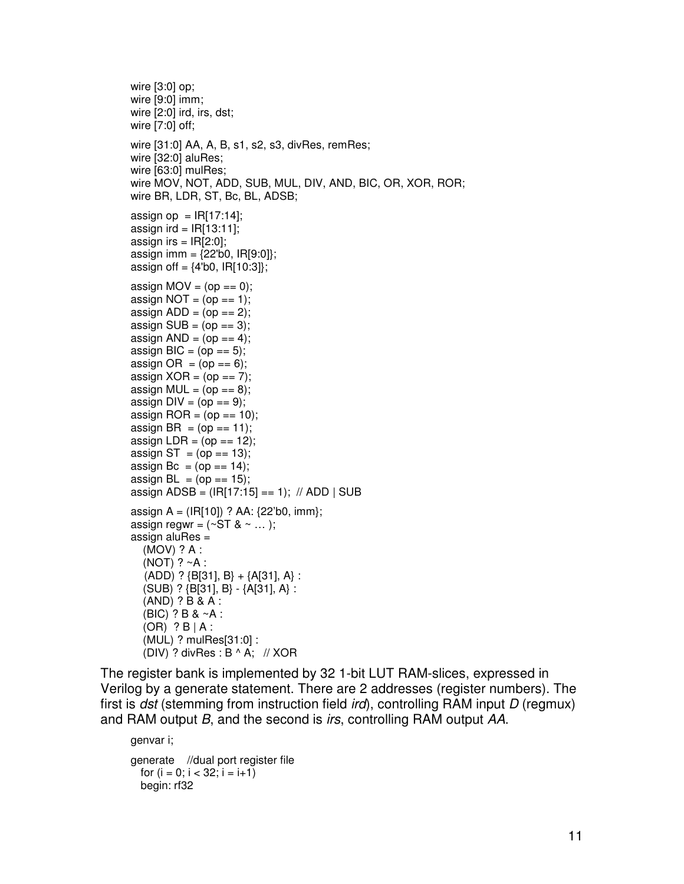```
wire [3:0] op; 
wire [9:0] imm; 
wire [2:0] ird, irs, dst; 
wire [7:0] off; 
wire [31:0] AA, A, B, s1, s2, s3, divRes, remRes; 
wire [32:0] aluRes; 
wire [63:0] mulRes; 
wire MOV, NOT, ADD, SUB, MUL, DIV, AND, BIC, OR, XOR, ROR; 
wire BR, LDR, ST, Bc, BL, ADSB; 
assign op = IR[17:14];
assign ird = IR[13:11];
assign irs = IR[2:0]:
assign imm = {22^{\circ}b0, IR[9:0]};
assign off = \{4\text{'b0}, \text{IR}[10:3]\};
assign MOV = (op == 0);
assign NOT = (op == 1);
assign ADD = (op == 2);assign SUB = (op == 3);assign AND = (op == 4);assign BIC = (op == 5);
assign OR = (op == 6);assign XOR = (op == 7);assign MUL = (op == 8);
assign DIV = (op == 9);assign ROR = (op == 10);
assign BR = (op == 11);assign LDR = (op == 12);assign ST = (op == 13);
assign Bc = (op == 14);
assign BL = (op == 15);
assign ADSB = (IR[17:15] == 1); // ADD | SUB
assign A = (IR[10]) ? AA: \{22\text{b0}, \text{imm}\};assign regwr = (\simST & \sim ...);
assign aluRes = 
   (MOV) ? A : 
   (NOT) ? ~A : 
   (ADD) ? {B[31], B} + {A[31], A} : 
   (SUB) ? {B[31], B} - {A[31], A} : 
   (AND) ? B & A : 
   (BIC) ? B & ~A : 
  (OR) ? B | A :
   (MUL) ? mulRes[31:0] : 
  (DIV) ? divRes : B \wedge A; // XOR
```
The register bank is implemented by 32 1-bit LUT RAM-slices, expressed in Verilog by a generate statement. There are 2 addresses (register numbers). The first is *dst* (stemming from instruction field *ird*), controlling RAM input *D* (regmux) and RAM output *B*, and the second is *irs*, controlling RAM output *AA*.

```
genvar i; 
generate //dual port register file 
  for (i = 0; i < 32; i = i+1) begin: rf32
```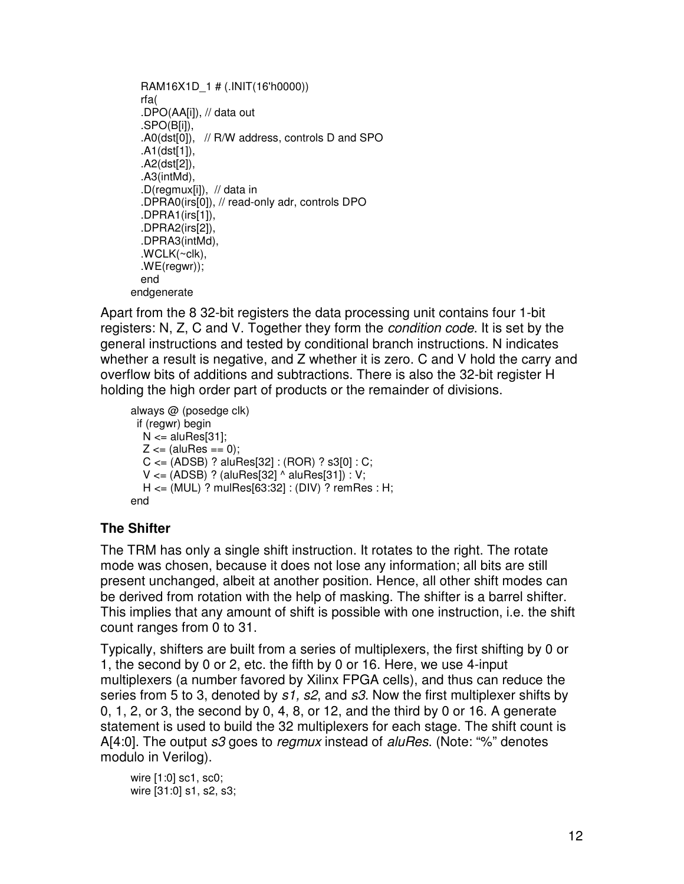```
 RAM16X1D_1 # (.INIT(16'h0000)) 
   rfa( 
   .DPO(AA[i]), // data out 
   .SPO(B[i]), 
   .A0(dst[0]), // R/W address, controls D and SPO 
   .A1(dst[1]), 
   .A2(dst[2]), 
   .A3(intMd), 
   .D(regmux[i]), // data in 
   .DPRA0(irs[0]), // read-only adr, controls DPO 
   .DPRA1(irs[1]), 
   .DPRA2(irs[2]), 
   .DPRA3(intMd), 
  NCLK(\sim c\,),
   .WE(regwr)); 
   end 
endgenerate
```
Apart from the 8 32-bit registers the data processing unit contains four 1-bit registers: N, Z, C and V. Together they form the *condition code*. It is set by the general instructions and tested by conditional branch instructions. N indicates whether a result is negative, and Z whether it is zero. C and V hold the carry and overflow bits of additions and subtractions. There is also the 32-bit register H holding the high order part of products or the remainder of divisions.

```
always @ (posedge clk) 
  if (regwr) begin 
  N \leq aluRes[31];Z \leq (allRes == 0); C <= (ADSB) ? aluRes[32] : (ROR) ? s3[0] : C; 
  V \leq (ADSB) ? (aluRes[32] ^ aluRes[31]) : V;
   H <= (MUL) ? mulRes[63:32] : (DIV) ? remRes : H; 
end
```
## **The Shifter**

The TRM has only a single shift instruction. It rotates to the right. The rotate mode was chosen, because it does not lose any information; all bits are still present unchanged, albeit at another position. Hence, all other shift modes can be derived from rotation with the help of masking. The shifter is a barrel shifter. This implies that any amount of shift is possible with one instruction, i.e. the shift count ranges from 0 to 31.

Typically, shifters are built from a series of multiplexers, the first shifting by 0 or 1, the second by 0 or 2, etc. the fifth by 0 or 16. Here, we use 4-input multiplexers (a number favored by Xilinx FPGA cells), and thus can reduce the series from 5 to 3, denoted by *s1, s2*, and *s3*. Now the first multiplexer shifts by 0, 1, 2, or 3, the second by 0, 4, 8, or 12, and the third by 0 or 16. A generate statement is used to build the 32 multiplexers for each stage. The shift count is A[4:0]. The output *s3* goes to *regmux* instead of *aluRes*. (Note: "%" denotes modulo in Verilog).

wire [1:0] sc1, sc0; wire [31:0] s1, s2, s3;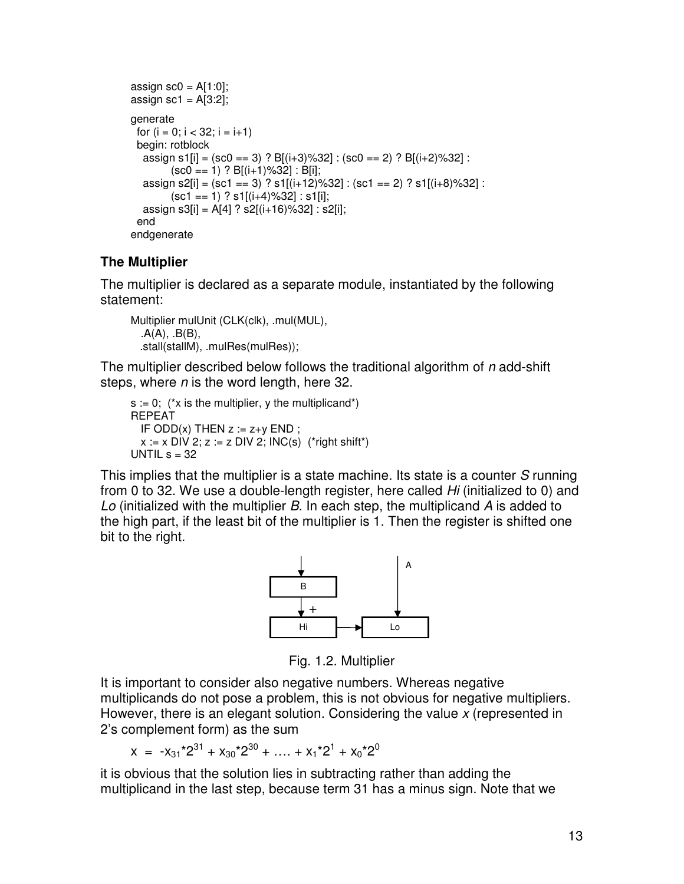```
assign \text{sc0} = \text{A}[1:0];
assign sc1 = A[3:2];
generate 
 for (i = 0; i < 32; i = i+1) begin: rotblock 
  assign s1[i] = (sc0 = = 3) ? B[(i+3)%32] : (sc0 = = 2) ? B[(i+2)%32] :
         (sc0 == 1) ? B[(i+1)%32] : B[i];
  assign s2[i] = (sc1 == 3) ? s1[(i+12)%32] : (sc1 == 2) ? s1[(i+8)%32] :
         (sc1 == 1) ? s1[(i+4)\%32] : s1[i];
  assign s3[i] = A[4] ? s2[(i+16)%32] : s2[i];
  end 
endgenerate
```
## **The Multiplier**

The multiplier is declared as a separate module, instantiated by the following statement:

```
Multiplier mulUnit (CLK(clk), .mul(MUL), 
  A(A), B(B).
  .stall(stallM), .mulRes(mulRes));
```
The multiplier described below follows the traditional algorithm of *n* add-shift steps, where *n* is the word length, here 32.

```
s := 0; (*x is the multiplier, y the multiplicand*)
REPEAT 
  IF ODD(x) THEN z := z+y END;
  x := x DIV 2; z := z DIV 2; INC(s) (*right shift*)
UNTIL s = 32
```
This implies that the multiplier is a state machine. Its state is a counter *S* running from 0 to 32. We use a double-length register, here called *Hi* (initialized to 0) and *Lo* (initialized with the multiplier *B*. In each step, the multiplicand *A* is added to the high part, if the least bit of the multiplier is 1. Then the register is shifted one bit to the right.



Fig. 1.2. Multiplier

It is important to consider also negative numbers. Whereas negative multiplicands do not pose a problem, this is not obvious for negative multipliers. However, there is an elegant solution. Considering the value *x* (represented in 2's complement form) as the sum

 $x = -x_{31}x^{231} + x_{30}x^{230} + \dots + x_1x^{21} + x_0x^{20}$ 

it is obvious that the solution lies in subtracting rather than adding the multiplicand in the last step, because term 31 has a minus sign. Note that we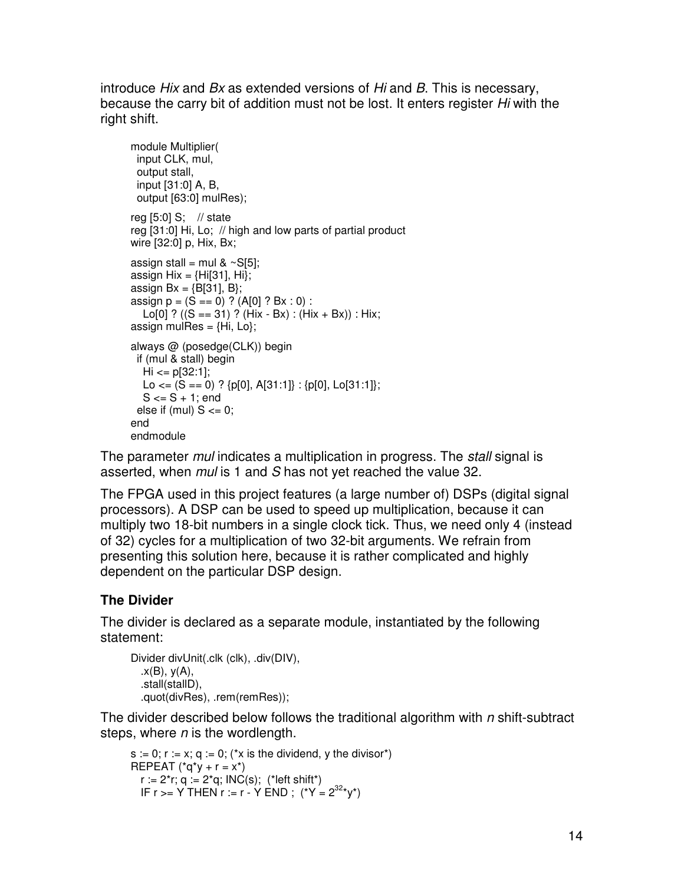introduce *Hix* and *Bx* as extended versions of *Hi* and *B*. This is necessary, because the carry bit of addition must not be lost. It enters register *Hi* with the right shift.

```
module Multiplier( 
  input CLK, mul, 
  output stall, 
  input [31:0] A, B, 
  output [63:0] mulRes); 
reg [5:0] S; // state 
reg [31:0] Hi, Lo; // high and low parts of partial product 
wire [32:0] p, Hix, Bx; 
assign stall = mul & \sim S[5];
assign Hix = {Hi[31]}, Hi};
assign Bx = {B[31], B};
assign p = (S == 0) ? (A[0] ? Bx : 0) :
  Lo[0] ? ((S == 31) ? (Hix - Bx) : (Hix + Bx) : Hix;
assign mulRes = {Hi, Lo};always @ (posedge(CLK)) begin 
  if (mul & stall) begin 
  Hi \leq p[32:1];Lo <= (S == 0) ? {p[0], A[31:1]} : {p[0], Lo[31:1]};
  S \leq S + 1; end
 else if (mul) S \le 0;
end 
endmodule
```
The parameter *mul* indicates a multiplication in progress. The *stall* signal is asserted, when *mul* is 1 and *S* has not yet reached the value 32.

The FPGA used in this project features (a large number of) DSPs (digital signal processors). A DSP can be used to speed up multiplication, because it can multiply two 18-bit numbers in a single clock tick. Thus, we need only 4 (instead of 32) cycles for a multiplication of two 32-bit arguments. We refrain from presenting this solution here, because it is rather complicated and highly dependent on the particular DSP design.

## **The Divider**

The divider is declared as a separate module, instantiated by the following statement:

```
Divider divUnit(.clk (clk), .div(DIV), 
  x(B), y(A),
   .stall(stallD), 
   .quot(divRes), .rem(remRes));
```
The divider described below follows the traditional algorithm with *n* shift-subtract steps, where *n* is the wordlength.

```
s := 0; r := x; q := 0; (*x is the dividend, y the divisor*)
REPEAT (*q^*y + r = x^*)r := 2<sup>*</sup>r; q := 2<sup>*</sup>q; INC(s); (*left shift*)
  IF r >= Y THEN r = r - Y END; ({}^*Y = 2^{32*}v^*)
```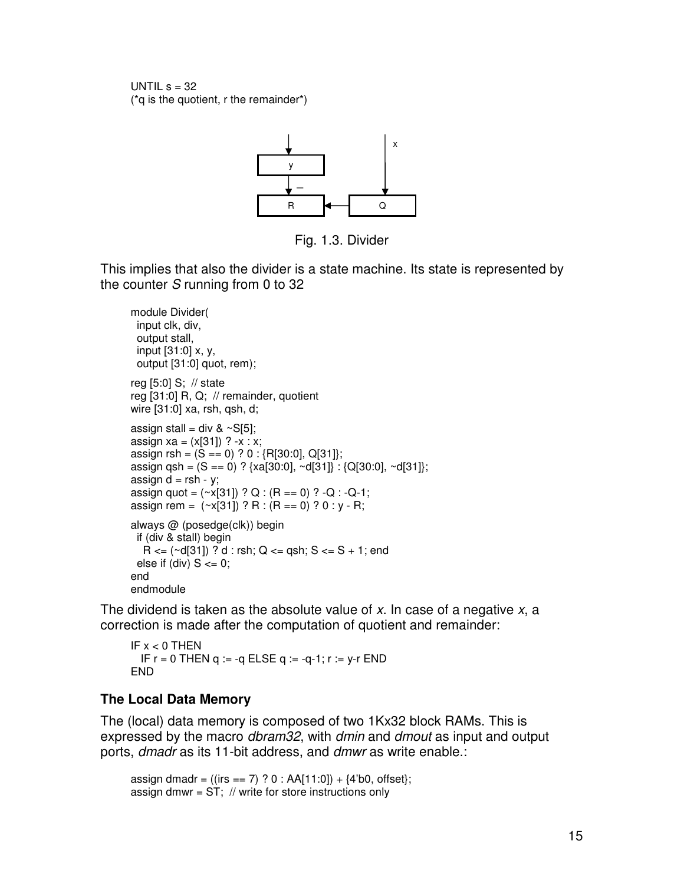UNTIL  $s = 32$ (\*q is the quotient, r the remainder\*)



Fig. 1.3. Divider

This implies that also the divider is a state machine. Its state is represented by the counter *S* running from 0 to 32

```
module Divider( 
  input clk, div, 
  output stall, 
  input [31:0] x, y, 
  output [31:0] quot, rem); 
reg [5:0] S; // state 
reg [31:0] R, Q; // remainder, quotient 
wire [31:0] xa, rsh, qsh, d; 
assign stall = div & \simS[5];
assign xa = (x[31]) ? -x : x;
assign rsh = (S == 0) ? 0 : {R[30:0], Q[31]};
assign qsh = (S == 0) ? {xa[30:0], ~d[31]} : {Q[30:0], ~d[31]};
assign d = rsh - y;
assign quot = (\sim x[31]) ? Q : (R == 0) ? -Q : -Q-1;
assign rem = (\sim x[31]) ? R : (R == 0) ? 0 : y - R;
always @ (posedge(clk)) begin 
  if (div & stall) begin 
   R \leq ( \sim d[31]) ? d : rsh; Q \leq gsh; S \leq S + 1; endelse if (div) S \le 0;
end 
endmodule
```
The dividend is taken as the absolute value of *x*. In case of a negative *x*, a correction is made after the computation of quotient and remainder:

```
IF x < 0 THEN
 IF r = 0 THEN q := -q ELSE q := -q-1; r := y-r END
END
```
## **The Local Data Memory**

The (local) data memory is composed of two 1Kx32 block RAMs. This is expressed by the macro *dbram32*, with *dmin* and *dmout* as input and output ports, *dmadr* as its 11-bit address, and *dmwr* as write enable.:

assign dmadr = ((irs =  $= 7$ ) ? 0 : AA[11:0]) +  $\{4\text{'b0}, \text{offset}\}\;$ assign dmwr =  $ST$ ; // write for store instructions only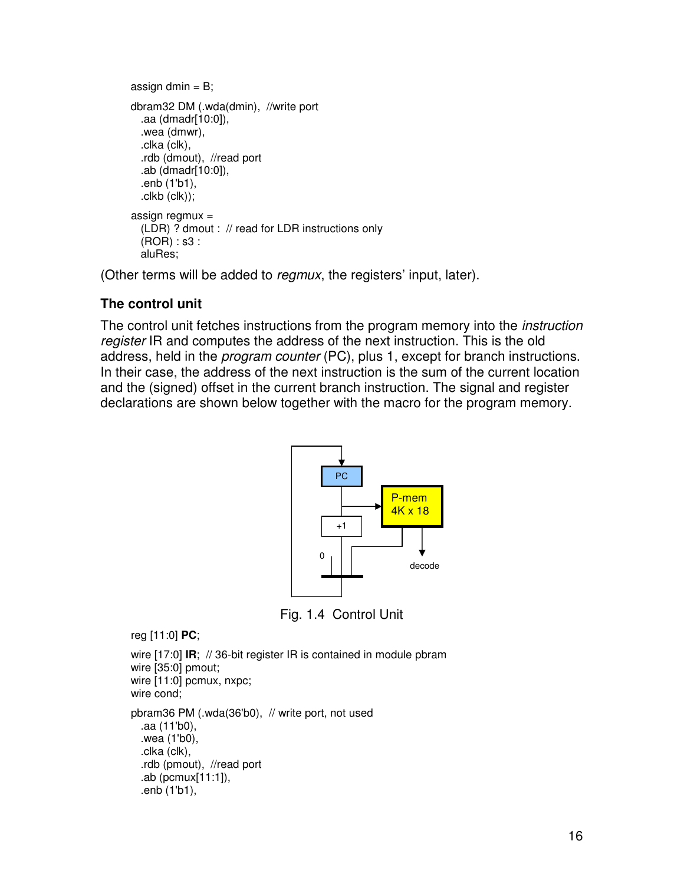```
assign dmin = B;
dbram32 DM (.wda(dmin), //write port 
   .aa (dmadr[10:0]), 
   .wea (dmwr), 
   .clka (clk), 
   .rdb (dmout), //read port 
   .ab (dmadr[10:0]), 
   .enb (1'b1), 
   .clkb (clk)); 
assign regmux =(LDR) ? dmout : // read for LDR instructions only 
  (ROR) : s3 : 
  aluRes;
```
(Other terms will be added to *regmux*, the registers' input, later).

## **The control unit**

The control unit fetches instructions from the program memory into the *instruction register* IR and computes the address of the next instruction. This is the old address, held in the *program counter* (PC), plus 1, except for branch instructions. In their case, the address of the next instruction is the sum of the current location and the (signed) offset in the current branch instruction. The signal and register declarations are shown below together with the macro for the program memory.



Fig. 1.4 Control Unit

reg [11:0] **PC**;

wire [17:0] **IR**; // 36-bit register IR is contained in module pbram wire [35:0] pmout; wire [11:0] pcmux, nxpc; wire cond; pbram36 PM (.wda(36'b0), // write port, not used .aa (11'b0), .wea (1'b0), .clka (clk), .rdb (pmout), //read port .ab (pcmux[11:1]), .enb (1'b1),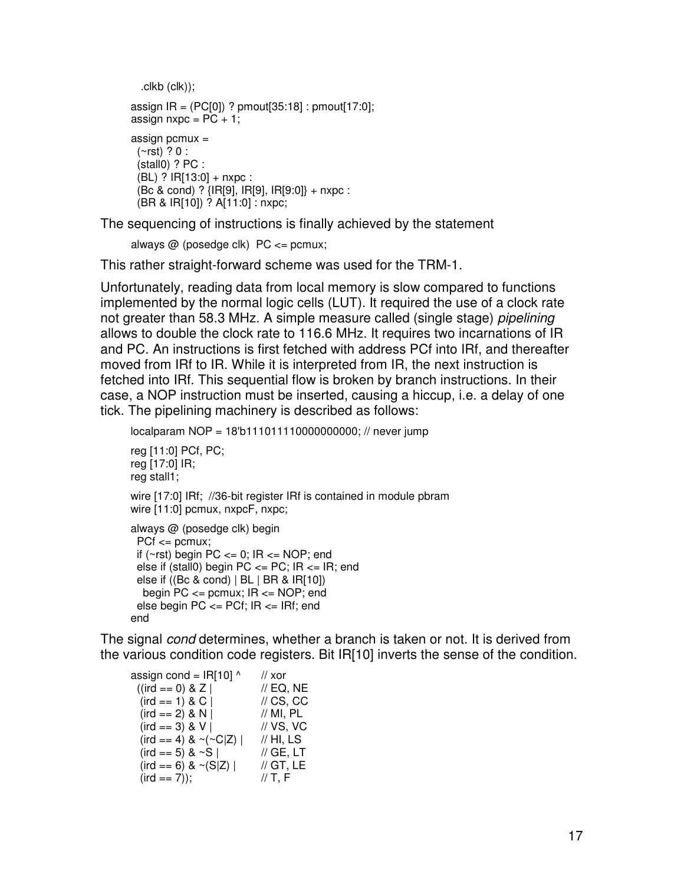```
 .clkb (clk));
```

```
assign IR = (PC[0]) ? pmout[35:18] : pmout[17:0];
assign n \times p = PC + 1;
assign pcmux = 
 (\simrst) ? 0 :
 (statall0) ? PC :
  (BL) ? IR[13:0] + nxpc : 
  (Bc & cond) ? {IR[9], IR[9], IR[9:0]} + nxpc : 
  (BR & IR[10]) ? A[11:0] : nxpc;
```
The sequencing of instructions is finally achieved by the statement

always  $@$  (posedge clk) PC  $<=$  pcmux;

This rather straight-forward scheme was used for the TRM-1.

Unfortunately, reading data from local memory is slow compared to functions implemented by the normal logic cells (LUT). It required the use of a clock rate not greater than 58.3 MHz. A simple measure called (single stage) *pipelining* allows to double the clock rate to 116.6 MHz. It requires two incarnations of IR and PC. An instructions is first fetched with address PCf into IRf, and thereafter moved from IRf to IR. While it is interpreted from IR, the next instruction is fetched into IRf. This sequential flow is broken by branch instructions. In their case, a NOP instruction must be inserted, causing a hiccup, i.e. a delay of one tick. The pipelining machinery is described as follows:

```
localparam NOP = 18'b111011110000000000; // never jump
```

```
reg [11:0] PCf, PC; 
reg [17:0] IR; 
reg stall1;
```
wire [17:0] IRf; //36-bit register IRf is contained in module pbram wire [11:0] pcmux, nxpcF, nxpc;

```
always @ (posedge clk) begin 
 P C f \leq p c m u x;
 if (\simrst) begin PC \lt = 0; IR \lt = NOP; end
 else if (stall0) begin PC \leq PC; IR \leq IR; end
  else if ((Bc & cond) | BL | BR & IR[10]) 
  begin PC \le pcmux; IR \le NOP; end
 else begin PC \leq PCf; IR \leq IRf; end
end
```
The signal *cond* determines, whether a branch is taken or not. It is derived from the various condition code registers. Bit IR[10] inverts the sense of the condition.

| assign cond = $IR[10]$ ^          | // xor               |
|-----------------------------------|----------------------|
| $((ird == 0) & Z)$                | // EQ, NE            |
| $(ird == 1) & C$                  | $\textit{//}$ CS, CC |
| $(ird == 2) & N$                  | // MI, PL            |
| $(ird == 3) & V$                  | $\textit{//}$ VS, VC |
| (ird == 4) & $\sim$ ( $\sim$ C Z) | // HI, LS            |
| (ird == 5) & $\sim$ S             | $\text{/}$ / GE, LT  |
| (ird == 6) & $\sim(S Z)$          | // GT, LE            |
| $(ird == 7)$ ;                    | // T, F              |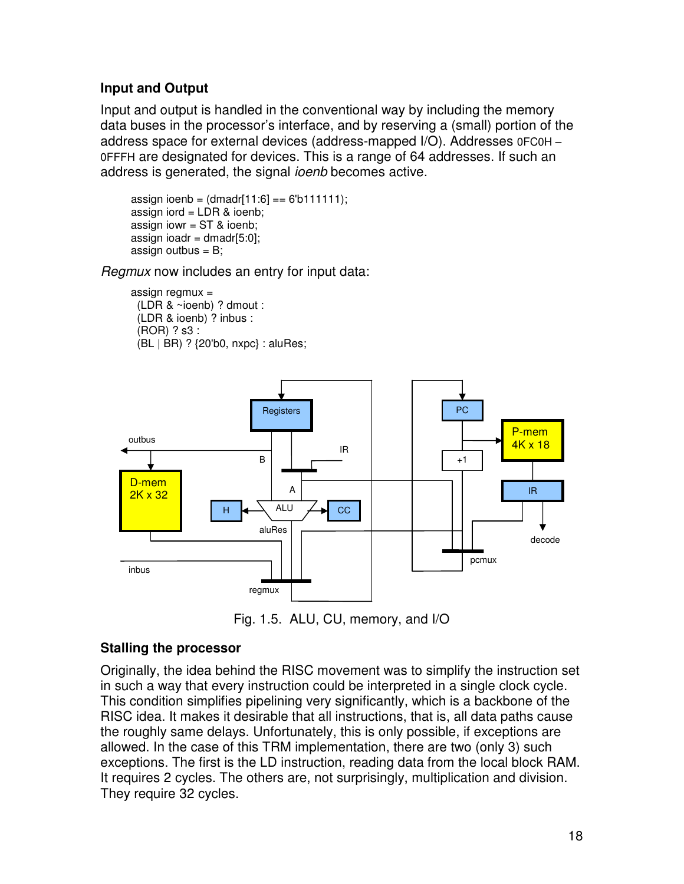## **Input and Output**

Input and output is handled in the conventional way by including the memory data buses in the processor's interface, and by reserving a (small) portion of the address space for external devices (address-mapped I/O). Addresses 0FC0H – 0FFFH are designated for devices. This is a range of 64 addresses. If such an address is generated, the signal *ioenb* becomes active.

```
assign ioenb = (d \cdot 11:6) = 6'b111111;
assign iord = LDR & ioenb:
assign iowr = ST & ioenb;
assign ioadr = dmadr[5:0];
assign outbus = B;
```
*Regmux* now includes an entry for input data:

assign regmux  $=$  (LDR & ~ioenb) ? dmout : (LDR & ioenb) ? inbus : (ROR) ? s3 : (BL | BR) ? {20'b0, nxpc} : aluRes;



Fig. 1.5. ALU, CU, memory, and I/O

## **Stalling the processor**

Originally, the idea behind the RISC movement was to simplify the instruction set in such a way that every instruction could be interpreted in a single clock cycle. This condition simplifies pipelining very significantly, which is a backbone of the RISC idea. It makes it desirable that all instructions, that is, all data paths cause the roughly same delays. Unfortunately, this is only possible, if exceptions are allowed. In the case of this TRM implementation, there are two (only 3) such exceptions. The first is the LD instruction, reading data from the local block RAM. It requires 2 cycles. The others are, not surprisingly, multiplication and division. They require 32 cycles.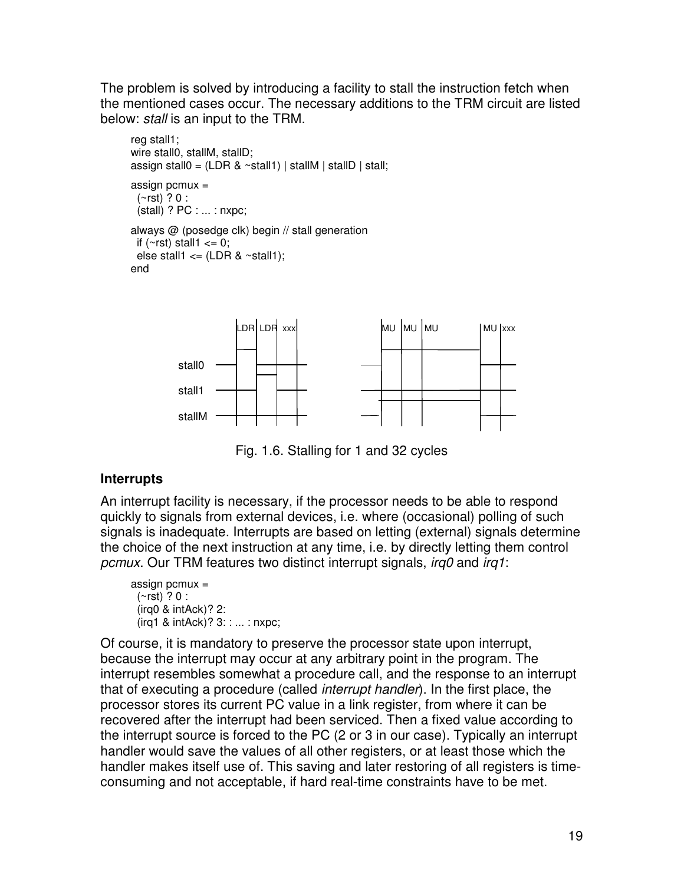The problem is solved by introducing a facility to stall the instruction fetch when the mentioned cases occur. The necessary additions to the TRM circuit are listed below: *stall* is an input to the TRM.

```
reg stall1; 
wire stall0, stallM, stallD; 
assign stall0 = (LDR & \simstall1) | stallM | stallD | stall;
assign pcmux =(\simrst) ? 0 :
  (stall) ? PC : ... : nxpc; 
always @ (posedge clk) begin // stall generation 
 if (\simrst) stall1 <= 0;
 else stall1 \leq (LDR & \simstall1);
end
```


Fig. 1.6. Stalling for 1 and 32 cycles

## **Interrupts**

An interrupt facility is necessary, if the processor needs to be able to respond quickly to signals from external devices, i.e. where (occasional) polling of such signals is inadequate. Interrupts are based on letting (external) signals determine the choice of the next instruction at any time, i.e. by directly letting them control *pcmux*. Our TRM features two distinct interrupt signals, *irq0* and *irq1*:

```
assign pcmux =(-rst) ? 0 :
  (irq0 & intAck)? 2: 
  (irq1 & intAck)? 3: : ... : nxpc;
```
Of course, it is mandatory to preserve the processor state upon interrupt, because the interrupt may occur at any arbitrary point in the program. The interrupt resembles somewhat a procedure call, and the response to an interrupt that of executing a procedure (called *interrupt handler*). In the first place, the processor stores its current PC value in a link register, from where it can be recovered after the interrupt had been serviced. Then a fixed value according to the interrupt source is forced to the PC (2 or 3 in our case). Typically an interrupt handler would save the values of all other registers, or at least those which the handler makes itself use of. This saving and later restoring of all registers is timeconsuming and not acceptable, if hard real-time constraints have to be met.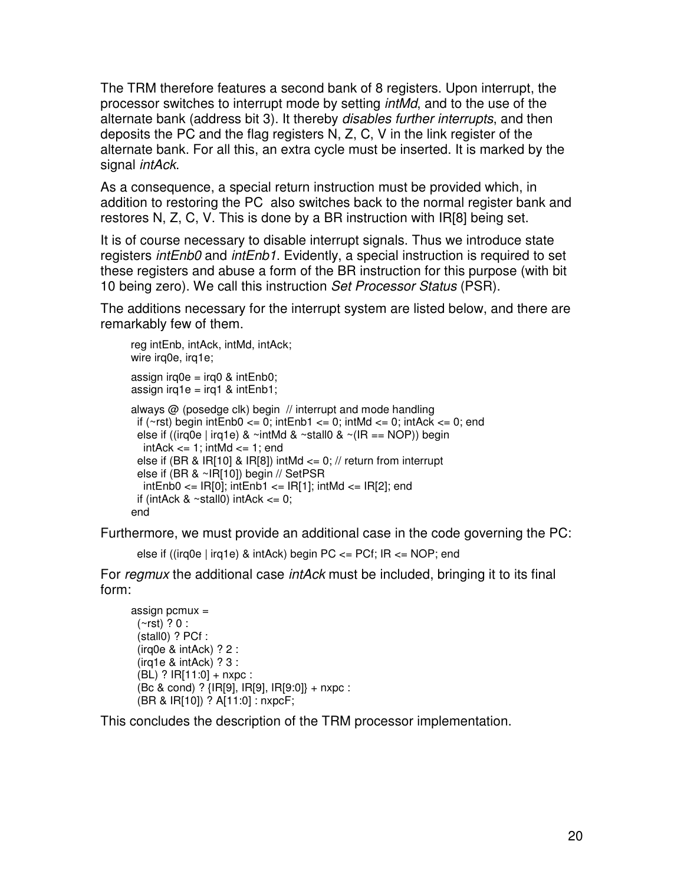The TRM therefore features a second bank of 8 registers. Upon interrupt, the processor switches to interrupt mode by setting *intMd*, and to the use of the alternate bank (address bit 3). It thereby *disables further interrupts*, and then deposits the PC and the flag registers N, Z, C, V in the link register of the alternate bank. For all this, an extra cycle must be inserted. It is marked by the signal *intAck*.

As a consequence, a special return instruction must be provided which, in addition to restoring the PC also switches back to the normal register bank and restores N, Z, C, V. This is done by a BR instruction with IR[8] being set.

It is of course necessary to disable interrupt signals. Thus we introduce state registers *intEnb0* and *intEnb1*. Evidently, a special instruction is required to set these registers and abuse a form of the BR instruction for this purpose (with bit 10 being zero). We call this instruction *Set Processor Status* (PSR).

The additions necessary for the interrupt system are listed below, and there are remarkably few of them.

```
reg intEnb, intAck, intMd, intAck; 
wire irq0e, irq1e; 
assign \text{ira0e} = \text{ira0 } 8 \text{ intEnb0}:
assign irq1e = irq1 & intEnb1;
always @ (posedge clk) begin // interrupt and mode handling 
 if (\gammarst) begin intEnb0 <= 0; intEnb1 <= 0; intMd <= 0; intAck <= 0; end
 else if ((irq0e | irq1e) & ~intMd & ~stall0 & ~(IR = NOP)) begin
  intack \leq 1; intMd \leq 1; end else if (BR & IR[10] & IR[8]) intMd <= 0; // return from interrupt 
  else if (BR & ~IR[10]) begin // SetPSR 
  intEnb0 \leq H[0]; intEnb1 \leq H[1]; intMd \leq H[2]; end
 if (intAck < ~stall0) intAck <= 0;
end
```
Furthermore, we must provide an additional case in the code governing the PC:

```
else if ((irq0e | irq1e) & intAck) begin PC \leq PCT; IR \leq NOP; end
```
For *regmux* the additional case *intAck* must be included, bringing it to its final form:

```
assign pcmux = 
  (~rst) ? 0 : 
  (stall0) ? PCf : 
  (irq0e & intAck) ? 2 : 
  (irq1e & intAck) ? 3 : 
  (BL) ? IR[11:0] + nxpc : 
  (Bc & cond) ? {IR[9], IR[9], IR[9:0]} + nxpc : 
  (BR & IR[10]) ? A[11:0] : nxpcF;
```
This concludes the description of the TRM processor implementation.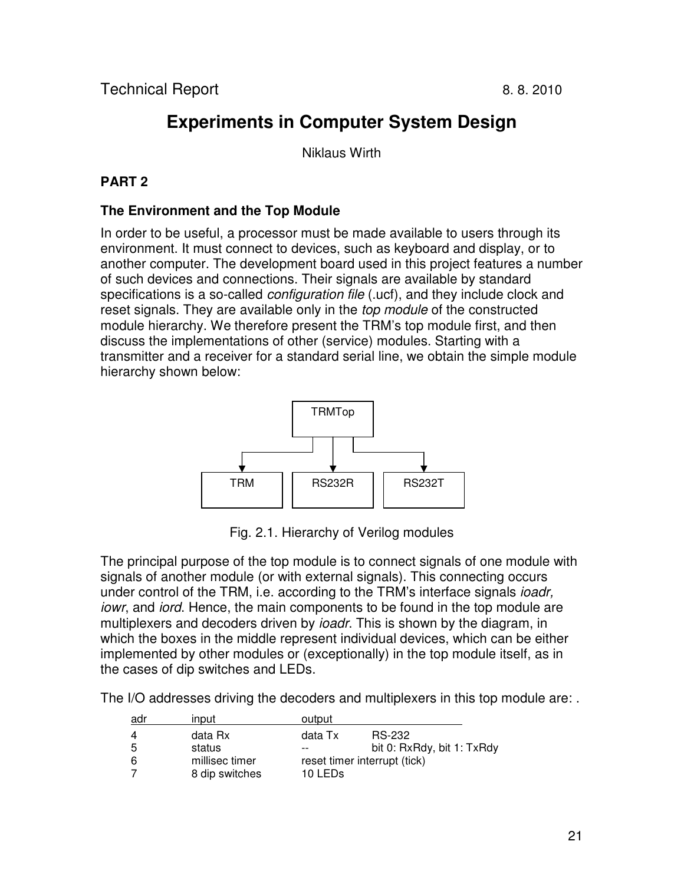# **Experiments in Computer System Design**

Niklaus Wirth

# **PART 2**

## **The Environment and the Top Module**

In order to be useful, a processor must be made available to users through its environment. It must connect to devices, such as keyboard and display, or to another computer. The development board used in this project features a number of such devices and connections. Their signals are available by standard specifications is a so-called *configuration file* (.ucf), and they include clock and reset signals. They are available only in the *top module* of the constructed module hierarchy. We therefore present the TRM's top module first, and then discuss the implementations of other (service) modules. Starting with a transmitter and a receiver for a standard serial line, we obtain the simple module hierarchy shown below:



Fig. 2.1. Hierarchy of Verilog modules

The principal purpose of the top module is to connect signals of one module with signals of another module (or with external signals). This connecting occurs under control of the TRM, i.e. according to the TRM's interface signals *ioadr, iowr*, and *iord*. Hence, the main components to be found in the top module are multiplexers and decoders driven by *ioadr*. This is shown by the diagram, in which the boxes in the middle represent individual devices, which can be either implemented by other modules or (exceptionally) in the top module itself, as in the cases of dip switches and LEDs.

The I/O addresses driving the decoders and multiplexers in this top module are: .

| adr | input          | output                       |                            |
|-----|----------------|------------------------------|----------------------------|
| 4   | data Rx        | data Tx                      | RS-232                     |
| -5  | status         | $- -$                        | bit 0: RxRdy, bit 1: TxRdy |
| 6   | millisec timer | reset timer interrupt (tick) |                            |
|     | 8 dip switches | 10 LED <sub>s</sub>          |                            |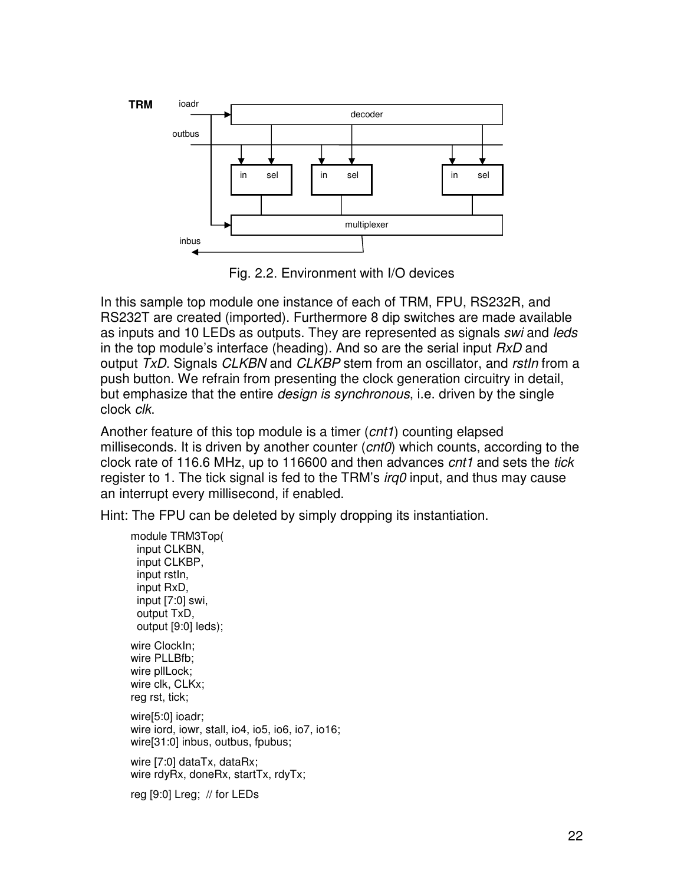

Fig. 2.2. Environment with I/O devices

In this sample top module one instance of each of TRM, FPU, RS232R, and RS232T are created (imported). Furthermore 8 dip switches are made available as inputs and 10 LEDs as outputs. They are represented as signals *swi* and *leds* in the top module's interface (heading). And so are the serial input *RxD* and output *TxD*. Signals *CLKBN* and *CLKBP* stem from an oscillator, and *rstIn* from a push button. We refrain from presenting the clock generation circuitry in detail, but emphasize that the entire *design is synchronous*, i.e. driven by the single clock *clk*.

Another feature of this top module is a timer (*cnt1*) counting elapsed milliseconds. It is driven by another counter (*cnt0*) which counts, according to the clock rate of 116.6 MHz, up to 116600 and then advances *cnt1* and sets the *tick* register to 1. The tick signal is fed to the TRM's *irq0* input, and thus may cause an interrupt every millisecond, if enabled.

Hint: The FPU can be deleted by simply dropping its instantiation.

module TRM3Top( input CLKBN, input CLKBP, input rstIn, input RxD, input [7:0] swi, output TxD, output [9:0] leds); wire ClockIn; wire PLLBfb; wire pllLock; wire clk, CLKx; reg rst, tick; wire[5:0] ioadr; wire iord, iowr, stall, io4, io5, io6, io7, io16; wire[31:0] inbus, outbus, fpubus; wire [7:0] dataTx, dataRx; wire rdyRx, doneRx, startTx, rdyTx; reg [9:0] Lreg; // for LEDs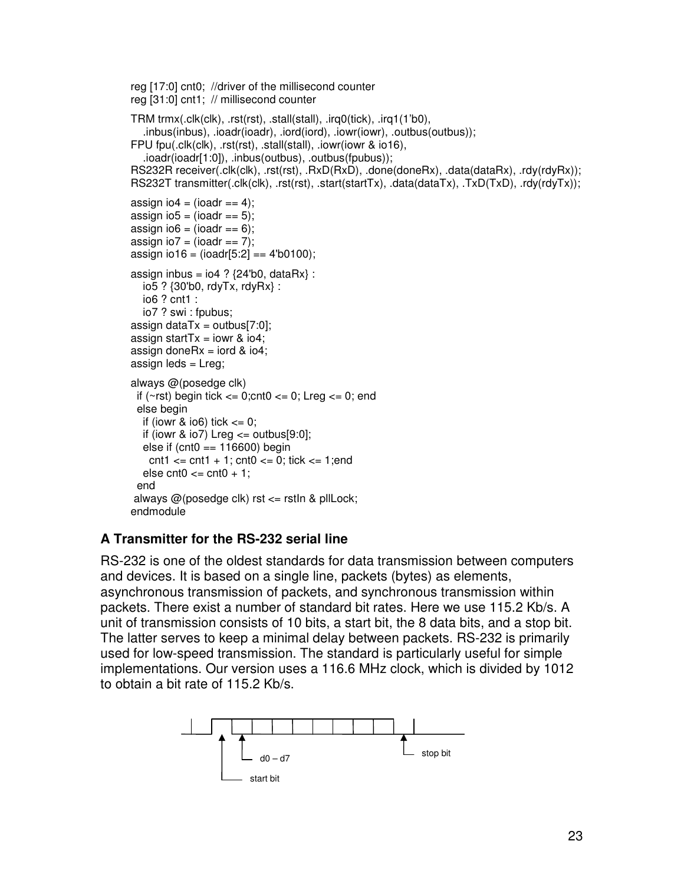```
reg [17:0] cnt0; //driver of the millisecond counter 
reg [31:0] cnt1; // millisecond counter 
TRM trmx(.clk(clk), .rst(rst), .stall(stall), .irq0(tick), .irq1(1'b0), 
    .inbus(inbus), .ioadr(ioadr), .iord(iord), .iowr(iowr), .outbus(outbus)); 
FPU fpu(.clk(clk), .rst(rst), .stall(stall), .iowr(iowr & io16), 
    .ioadr(ioadr[1:0]), .inbus(outbus), .outbus(fpubus)); 
RS232R receiver(.clk(clk), .rst(rst), .RxD(RxD), .done(doneRx), .data(dataRx), .rdy(rdyRx));
RS232T transmitter(.clk(clk), .rst(rst), .start(startTx), .data(dataTx), .TxD(TxD), .rdy(rdyTx));
assign io4 = (ioadr == 4);
assign io 5 = (ioadr == 5);assign io6 = (ioadr == 6);
assign io7 = (ioadr == 7);
assign i \cdot 16 = (i \cdot 5:2] == 4 \cdot 60100;
assign inbus = io4 ? {24^{\prime}}b0, dataRx :
   io5 ? {30'b0, rdyTx, rdyRx} : 
   io6 ? cnt1 : 
   io7 ? swi : fpubus; 
assign dataTx = outbus[7:0];
assign startTx = iowr & io4;
assign doneRx = iord & io4;
assign leds = Lreg; 
always @(posedge clk) 
 if (\gammarst) begin tick \epsilon = 0; cnt0 \epsilon = 0; Lreg \epsilon = 0; end
  else begin 
  if (iowr & io6) tick \leq = 0;
  if (iowr \& io7) Lreg \le = outbus[9:0];
  else if (cnt0 = 116600) begin
    cnt1 \le - cnt1 + 1; cnt0 \le = 0; tick \le 1; end
   else cnt0 \leq cont0 + 1;
  end 
always @(posedge clk) rst \leq rstln & pllLock;
endmodule
```
## **A Transmitter for the RS-232 serial line**

RS-232 is one of the oldest standards for data transmission between computers and devices. It is based on a single line, packets (bytes) as elements, asynchronous transmission of packets, and synchronous transmission within packets. There exist a number of standard bit rates. Here we use 115.2 Kb/s. A unit of transmission consists of 10 bits, a start bit, the 8 data bits, and a stop bit. The latter serves to keep a minimal delay between packets. RS-232 is primarily used for low-speed transmission. The standard is particularly useful for simple implementations. Our version uses a 116.6 MHz clock, which is divided by 1012 to obtain a bit rate of 115.2 Kb/s.

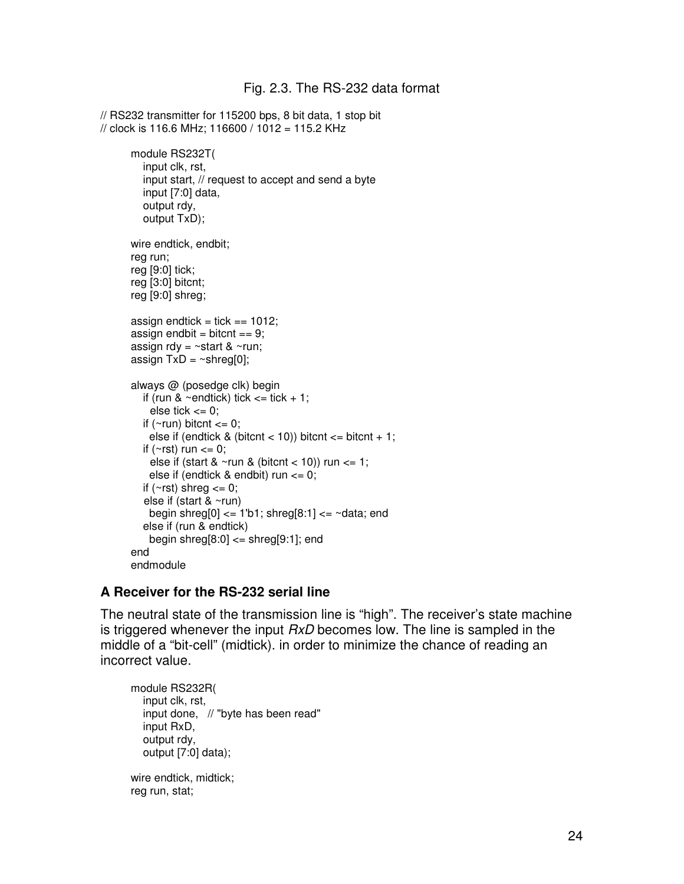#### Fig. 2.3. The RS-232 data format

```
// RS232 transmitter for 115200 bps, 8 bit data, 1 stop bit 
// clock is 116.6 MHz; 116600 / 1012 = 115.2 KHz 
       module RS232T( 
          input clk, rst, 
          input start, // request to accept and send a byte 
          input [7:0] data, 
          output rdy, 
          output TxD); 
       wire endtick, endbit; 
       reg run; 
       reg [9:0] tick; 
       reg [3:0] bitcnt; 
       reg [9:0] shreg; 
       assign endtick = tick == 1012:
       assign endbit = bitcnt == 9;
       assign rdy = \simstart & \simrun;
       assign TxD = \sim \text{shreg}[0];always @ (posedge clk) begin 
         if (run & ~endtick) tick \le tick + 1;
           else tick <= 0;
         if (\simrun) bitcnt \lt = 0;
           else if (endtick & (bitcnt < 10)) bitcnt <= bitcnt + 1;
         if (\simrst) run \lt= 0;
           else if (start & \simrun & (bitcnt < 10)) run <= 1;
            else if (endtick & endbit) run <= 0; 
         if (\simrst) shreg \lt= 0;
           else if (start & ~run) 
           begin shreg[0] \leq 1'b1; shreg[8:1] \leq -data; end
           else if (run & endtick) 
           begin shreg[8:0] \leq shreg[9:1]; end
       end 
       endmodule
```
### **A Receiver for the RS-232 serial line**

The neutral state of the transmission line is "high". The receiver's state machine is triggered whenever the input *RxD* becomes low. The line is sampled in the middle of a "bit-cell" (midtick). in order to minimize the chance of reading an incorrect value.

```
module RS232R( 
   input clk, rst, 
   input done, // "byte has been read" 
   input RxD, 
   output rdy, 
   output [7:0] data); 
wire endtick, midtick; 
reg run, stat;
```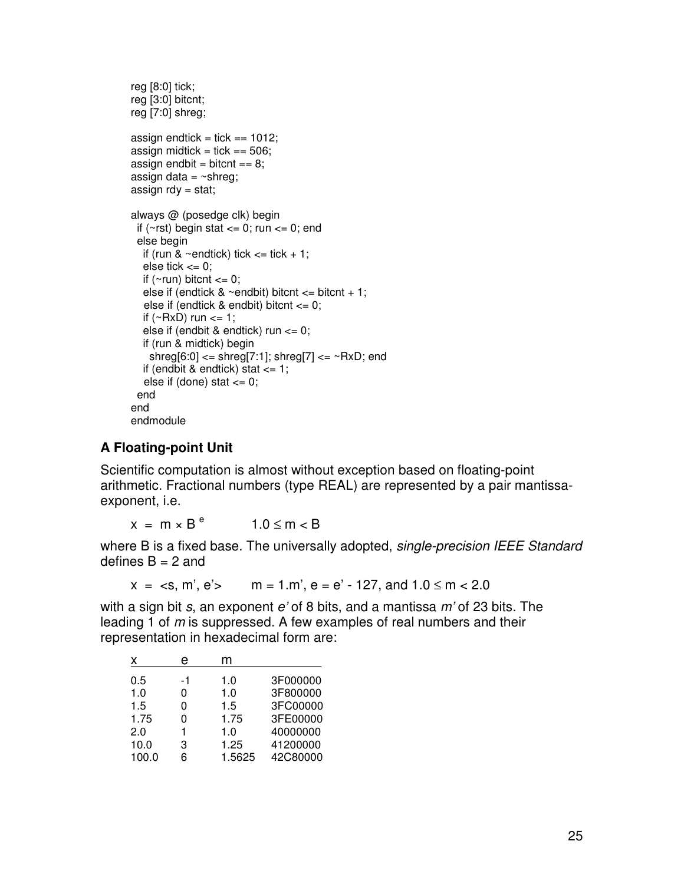```
reg [8:0] tick; 
reg [3:0] bitcnt; 
reg [7:0] shreg; 
assign endtick = tick == 1012;
assign midtick = tick == 506;
assign endbit = bitcnt == 8;
assign data = \simshreg;
assign rdy = stat;always @ (posedge clk) begin 
 if (\simrst) begin stat \lt = 0; run \lt = 0; end
  else begin 
  if (run & \simendtick) tick \lt = tick + 1;
  else tick <= 0;if (\simrun) bitcnt \lt= 0;
  else if (endtick & ~endbit) bitcnt \leq bitcnt + 1;
    else if (endtick & endbit) bitcnt <= 0; 
  if (\sim RxD) run \lt=1;
    else if (endbit & endtick) run <= 0; 
   if (run & midtick) begin 
    shreg[6:0] \le shreg[7:1]; shreg[7] \le \sim RxD; end
  if (endbit & endtick) stat \leq 1;
   else if (done) stat \leq 0;
  end 
end 
endmodule
```
## **A Floating-point Unit**

Scientific computation is almost without exception based on floating-point arithmetic. Fractional numbers (type REAL) are represented by a pair mantissaexponent, i.e.

 $x = m \times B^e$  $1.0 \le m < B$ 

where B is a fixed base. The universally adopted, *single-precision IEEE Standard* defines  $B = 2$  and

 $x = \langle s, m', e' \rangle$  m = 1.m', e = e' - 127, and  $1.0 \le m < 2.0$ 

with a sign bit *s*, an exponent *e'* of 8 bits, and a mantissa *m'* of 23 bits. The leading 1 of *m* is suppressed. A few examples of real numbers and their representation in hexadecimal form are:

| x     | e  | m      |          |
|-------|----|--------|----------|
| 0.5   | -1 | 1.0    | 3F000000 |
| 1.0   | ი  | 1.0    | 3F800000 |
| 1.5   | O  | 1.5    | 3FC00000 |
| 1.75  | ი  | 1.75   | 3FE00000 |
| 2.0   |    | 1.0    | 40000000 |
| 10.0  | з  | 1.25   | 41200000 |
| 100.0 | հ  | 1.5625 | 42C80000 |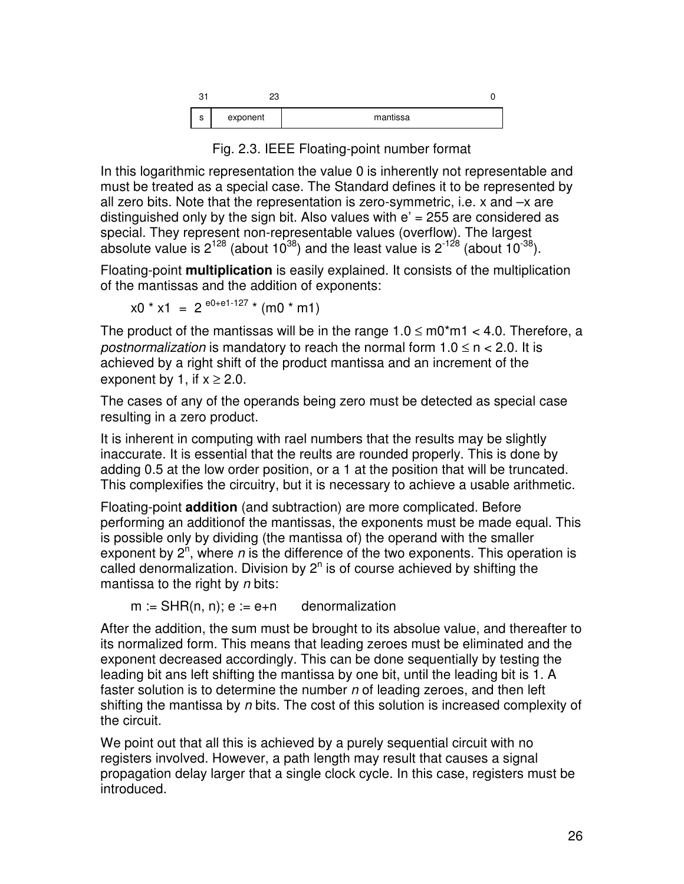| o, | n r      |          |
|----|----------|----------|
| s  | exponent | mantissa |

Fig. 2.3. IEEE Floating-point number format

In this logarithmic representation the value 0 is inherently not representable and must be treated as a special case. The Standard defines it to be represented by all zero bits. Note that the representation is zero-symmetric, i.e.  $x$  and  $-x$  are distinguished only by the sign bit. Also values with  $e' = 255$  are considered as special. They represent non-representable values (overflow). The largest absolute value is  $2^{128}$  (about 10<sup>38</sup>) and the least value is  $2^{-128}$  (about 10<sup>-38</sup>).

Floating-point **multiplication** is easily explained. It consists of the multiplication of the mantissas and the addition of exponents:

$$
x0 \cdot x1 = 2^{e0+e1-127} \cdot (m0 \cdot m1)
$$

The product of the mantissas will be in the range  $1.0 \le m0$ <sup>\*</sup>m1 < 4.0. Therefore, a *postnormalization* is mandatory to reach the normal form  $1.0 \le n < 2.0$ . It is achieved by a right shift of the product mantissa and an increment of the exponent by 1, if  $x \ge 2.0$ .

The cases of any of the operands being zero must be detected as special case resulting in a zero product.

It is inherent in computing with rael numbers that the results may be slightly inaccurate. It is essential that the reults are rounded properly. This is done by adding 0.5 at the low order position, or a 1 at the position that will be truncated. This complexifies the circuitry, but it is necessary to achieve a usable arithmetic.

Floating-point **addition** (and subtraction) are more complicated. Before performing an additionof the mantissas, the exponents must be made equal. This is possible only by dividing (the mantissa of) the operand with the smaller exponent by  $2^{n}$ , where *n* is the difference of the two exponents. This operation is called denormalization. Division by  $2^n$  is of course achieved by shifting the mantissa to the right by *n* bits:

 $m := SHR(n, n); e := e+n$  denormalization

After the addition, the sum must be brought to its absolue value, and thereafter to its normalized form. This means that leading zeroes must be eliminated and the exponent decreased accordingly. This can be done sequentially by testing the leading bit ans left shifting the mantissa by one bit, until the leading bit is 1. A faster solution is to determine the number *n* of leading zeroes, and then left shifting the mantissa by *n* bits. The cost of this solution is increased complexity of the circuit.

We point out that all this is achieved by a purely sequential circuit with no registers involved. However, a path length may result that causes a signal propagation delay larger that a single clock cycle. In this case, registers must be introduced.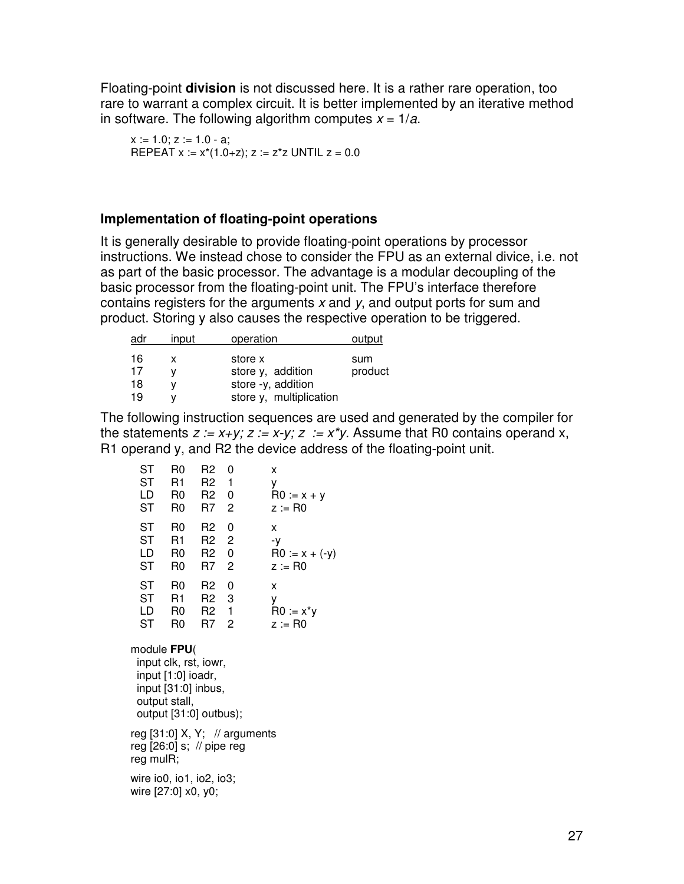Floating-point **division** is not discussed here. It is a rather rare operation, too rare to warrant a complex circuit. It is better implemented by an iterative method in software. The following algorithm computes  $x = 1/a$ .

$$
x := 1.0
$$
; z := 1.0 - a;  
REPEAT x :=  $x^*(1.0+z)$ ; z :=  $z^*z$  UNTIL z = 0.0

#### **Implementation of floating-point operations**

It is generally desirable to provide floating-point operations by processor instructions. We instead chose to consider the FPU as an external divice, i.e. not as part of the basic processor. The advantage is a modular decoupling of the basic processor from the floating-point unit. The FPU's interface therefore contains registers for the arguments *x* and *y*, and output ports for sum and product. Storing y also causes the respective operation to be triggered.

| adr | input | operation               | output  |
|-----|-------|-------------------------|---------|
| 16  | x     | store x                 | sum     |
| 17  |       | store y, addition       | product |
| 18  |       | store -y, addition      |         |
| 19  |       | store y, multiplication |         |

The following instruction sequences are used and generated by the compiler for the statements  $z := x+y$ ;  $z := x-y$ ;  $z := x^*y$ . Assume that R0 contains operand x, R1 operand y, and R2 the device address of the floating-point unit.

| ST<br>ST<br>LD<br>ST                                                                                                         | R0<br>R1<br>R0 a<br>R <sub>0</sub>           | R2<br>R2 1<br>R <sub>2</sub> 0<br>R7 2                       | 0      | χ<br>у<br>$R0 := x + y$<br>$z := R0$     |
|------------------------------------------------------------------------------------------------------------------------------|----------------------------------------------|--------------------------------------------------------------|--------|------------------------------------------|
| ST<br><b>ST</b><br>LD<br>ST                                                                                                  | R <sub>0</sub><br>R1<br>R0<br>R <sub>0</sub> | R <sub>2</sub><br>R <sub>2</sub> 2<br>R2 0<br>R7 2           | 0      | x<br>-y<br>$R0 := x + (-y)$<br>$z := R0$ |
| ST<br>ST<br>LD.<br>ST                                                                                                        | R0<br>R1<br>R0<br>R0                         | R <sub>2</sub><br>R <sub>2</sub> 3<br>R <sub>2</sub> 1<br>R7 | 0<br>2 | x<br>у<br>$R0 := x^*y$<br>$z := R0$      |
| module FPU(<br>input clk, rst, iowr,<br>input [1:0] ioadr,<br>input [31:0] inbus,<br>output stall,<br>output [31:0] outbus); |                                              |                                                              |        |                                          |
| reg $[31:0]$ X, Y; // arguments<br>reg [26:0] s; // pipe reg<br>reg mulR;                                                    |                                              |                                                              |        |                                          |
| wire io0, io1, io2, io3;                                                                                                     |                                              |                                                              |        |                                          |

wire [27:0] x0, y0;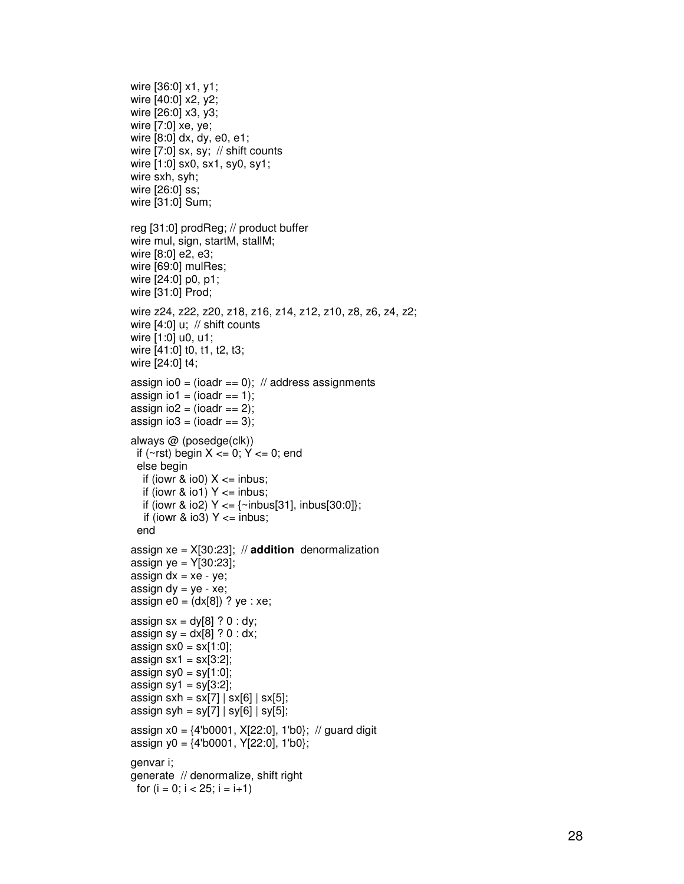```
wire [36:0] x1, y1; 
wire [40:0] x2, y2; 
wire [26:0] x3, y3; 
wire [7:0] xe, ye; 
wire [8:0] dx, dy, e0, e1; 
wire [7:0] sx, sy; // shift counts 
wire [1:0] sx0, sx1, sy0, sy1; 
wire sxh, syh; 
wire [26:0] ss; 
wire [31:0] Sum; 
reg [31:0] prodReg; // product buffer 
wire mul, sign, startM, stallM; 
wire [8:0] e2, e3; 
wire [69:0] mulRes; 
wire [24:0] p0, p1; 
wire [31:0] Prod; 
wire z24, z22, z20, z18, z16, z14, z12, z10, z8, z6, z4, z2; 
wire [4:0] u; // shift counts
wire [1:0] u0, u1; 
wire [41:0] t0, t1, t2, t3; 
wire [24:0] t4; 
assign io0 = (ioadr == 0); // address assignments
assign io1 = (ioadr == 1);
assign io2 = (ioadr == 2);assign io3 = (ioadr == 3);
always @ (posedge(clk)) 
 if (\simrst) begin X <= 0; Y <= 0; end
  else begin 
  if (iowr & io0) X \le inbus;
  if (iowr & io1) Y \le inbus;
  if (iowr & io2) Y \leq {\text{-}i} inbus[31], inbus[30:0]};
  if (iowr & io3) Y \le inbus;
  end 
assign xe = X[30:23]; // addition denormalization 
assign ye = Y[30:23];
assign dx = xe - ye;
assign dy = ye - xe;
assign e0 = (dx[8]) ? ye : xe;
assign sx = dy[8] ? 0 : dy;
assign sy = dx[8] ? 0 : dx;
assign sx0 = sx[1:0];
assign sx1 = sx[3:2];
assign sy0 = sy[1:0];
assign sy1 = sy[3:2];
assign s x h = s x [7] | s x [6] | s x [5];assign syh = sy[7] | sy[6] | sy[5];assign x0 = {4'b0001, X[22:0], 1'b0}; // guard digit
assign y0 = {4'b0001, Y[22:0], 1'b0};
genvar i; 
generate // denormalize, shift right 
 for (i = 0; i < 25; i = i+1)
```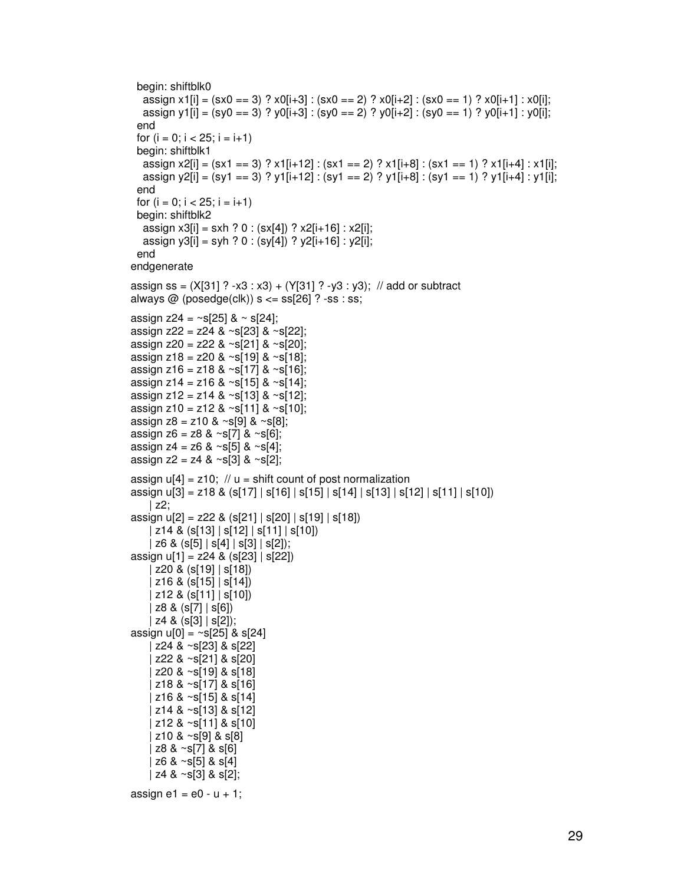```
 begin: shiftblk0 
  assign x1[i] = (sx0 == 3) ? x0[i+3] : (sx0 == 2) ? x0[i+2] : (sx0 == 1) ? x0[i+1] : x0[i];
    assign y1[i] = (sy0 == 3) ? y0[i+3] : (sy0 == 2) ? y0[i+2] : (sy0 == 1) ? y0[i+1] : y0[i]; 
  end 
 for (i = 0; i < 25; i = i+1) begin: shiftblk1 
  assign x2[i] = (sx1 == 3) ? x1[i+12] : (sx1 == 2) ? x1[i+8] : (sx1 == 1) ? x1[i+4] : x1[i];
  assign y2[i] = (sy1 == 3) ? y1[i+12] : (sy1 == 2) ? y1[i+8] : (sy1 == 1) ? y1[i+4] : y1[i];
  end 
 for (i = 0; i < 25; i = i+1) begin: shiftblk2 
  assign x3[i] = s xh ? 0 : (sx[4]) ? x2[i+16] : x2[i];assign v3[i] = svh ? 0 : (sv[4]) ? v2[i+16] : v2[i]; end 
endgenerate 
assign ss = (X[31] ? -x3 : x3) + (Y[31] ? -y3 : y3); // add or subtract
always @ (posedge(clk)) s \leq s ss[26] ? -ss : ss;
assign z^{24} = -s[25] & \sim s[24];
assign z22 = z24 & \sim s[23] & \sim s[22];
assign z20 = z22 & \sim s[21] & \sim s[20];
assign z18 = z20 \& \sim s[19] \& \sim s[18];
assign z16 = z18 & \sim s[17] & \sim s[16];
assign z14 = z16 & \sims[15] & \sims[14];
assign z12 = z14 & \sim s[13] & \sim s[12];
assign z10 = z12 & \sim s[11] & \sim s[10];
assign z8 = z10 \& \sim s[9] \& \sim s[8];
assign z6 = z8 & \sim s[7] & \sim s[6];
assign z4 = z6 & \sim s[5] & \sim s[4];
assign z^2 = z^4 \& \sim s[3] \& \sim s[2];
assign u[4] = z10; // u = shift count of post normalization
assign u[3] = z18 & (s[17] | s[16] | s[15] | s[14] | s[13] | s[12] | s[11] | s[10]) 
    | z2;
assign u[2] = z22 \& (s[21] | s[20] | s[19] | s[18]) | z14 & (s[13] | s[12] | s[11] | s[10]) 
     | z6 & (s[5] | s[4] | s[3] | s[2]); 
assign u[1] = z24 & (s[23] | s[22]) | z20 & (s[19] | s[18]) 
     | z16 & (s[15] | s[14]) 
     | z12 & (s[11] | s[10]) 
    | z8 & (s[7] | s[6])
     | z4 & (s[3] | s[2]); 
assign u[0] = -s[25] & s[24]
     | z24 & ~s[23] & s[22] 
     | z22 & ~s[21] & s[20] 
      | z20 & ~s[19] & s[18] 
     | z18 & ~s[17] & s[16] 
     | z16 & ~s[15] & s[14] 
     | z14 & ~s[13] & s[12] 
     | z12 & ~s[11] & s[10] 
     | z10 & ~s[9] & s[8] 
     | z8 & ~s[7] & s[6] 
    | z6 & ~s[5] & s[4]
    | z4 & ~s[3] & s[2];
```
assign  $e1 = e0 - u + 1$ ;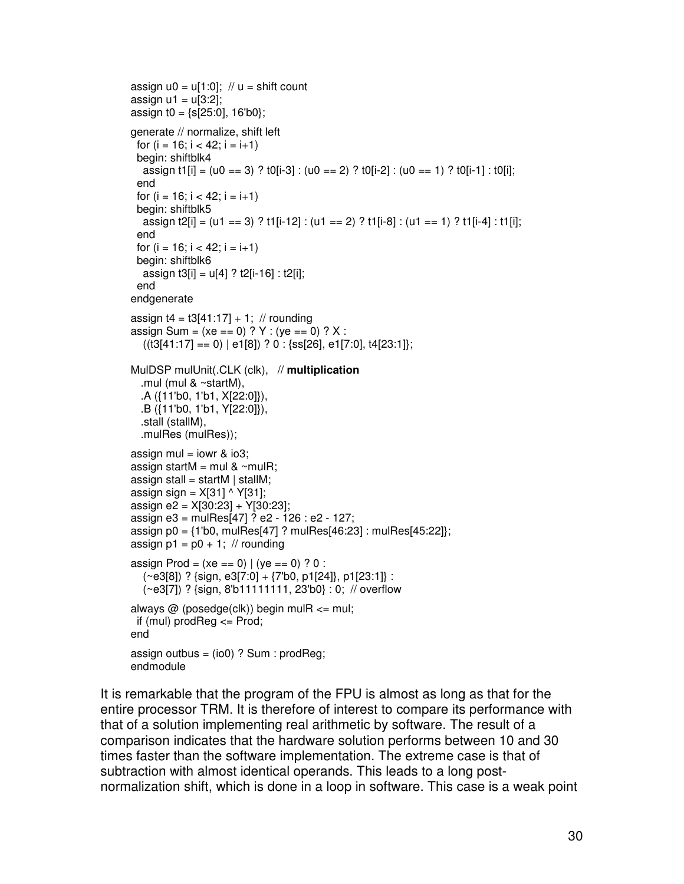```
assign u0 = u[1:0]; // u = shift count
assign u1 = u[3:2];
assign t0 = {s[25:0]}, 16'b0};
generate // normalize, shift left 
 for (i = 16; i < 42; i = i+1) begin: shiftblk4 
  assign t1[i] = (u0 == 3) ? t0[i-3] : (u0 == 2) ? t0[i-2] : (u0 == 1) ? t0[i-1] : t0[i];
  end 
 for (i = 16; i < 42; i = i+1) begin: shiftblk5 
  assign t2[i] = (u1 == 3) ? t1[i-12] : (u1 == 2) ? t1[i-8] : (u1 == 1) ? t1[i-4] : t1[i];
  end 
 for (i = 16; i < 42; i = i+1) begin: shiftblk6 
  assign t3[i] = u[4] ? t2[i-16] : t2[i];
  end 
endgenerate 
assign t4 = t3[41:17] + 1; // rounding
assign Sum = (xe == 0) ? Y : (ye == 0) ? X :
  ((t3[41:17] == 0) | e1[8]) ? 0 : \{ss[26], e1[7:0], t4[23:1]\};MulDSP mulUnit(.CLK (clk), // multiplication
   .mul (mul & ~startM), 
   .A ({11'b0, 1'b1, X[22:0]}), 
   .B ({11'b0, 1'b1, Y[22:0]}), 
   .stall (stallM), 
   .mulRes (mulRes)); 
assign mul = iowr & io3;
assign startM = mul & ~\simmulR;
assign stall = startM \vert stallM;
assign sign = X[31] \wedge Y[31];
assign e2 = X[30:23] + Y[30:23]; 
assign e3 = mulRes[47] ? e2 - 126 : e2 - 127; 
assign p0 = {1'b0, mulRes[47] ? mulRes[46:23] : mulRes[45:22]}; 
assign p1 = p0 + 1; // rounding
assign Prod = (xe == 0) | (ye == 0) ? 0 :
   (~e3[8]) ? {sign, e3[7:0] + {7'b0, p1[24]}, p1[23:1]} : 
   (~e3[7]) ? {sign, 8'b11111111, 23'b0} : 0; // overflow 
always @ (posedge(clk)) begin mulR <= mul;
 if (mul) prodReg \leq Prod;
end 
assign outbus = (io0) ? Sum : prodReg;
endmodule
```
It is remarkable that the program of the FPU is almost as long as that for the entire processor TRM. It is therefore of interest to compare its performance with that of a solution implementing real arithmetic by software. The result of a comparison indicates that the hardware solution performs between 10 and 30 times faster than the software implementation. The extreme case is that of subtraction with almost identical operands. This leads to a long postnormalization shift, which is done in a loop in software. This case is a weak point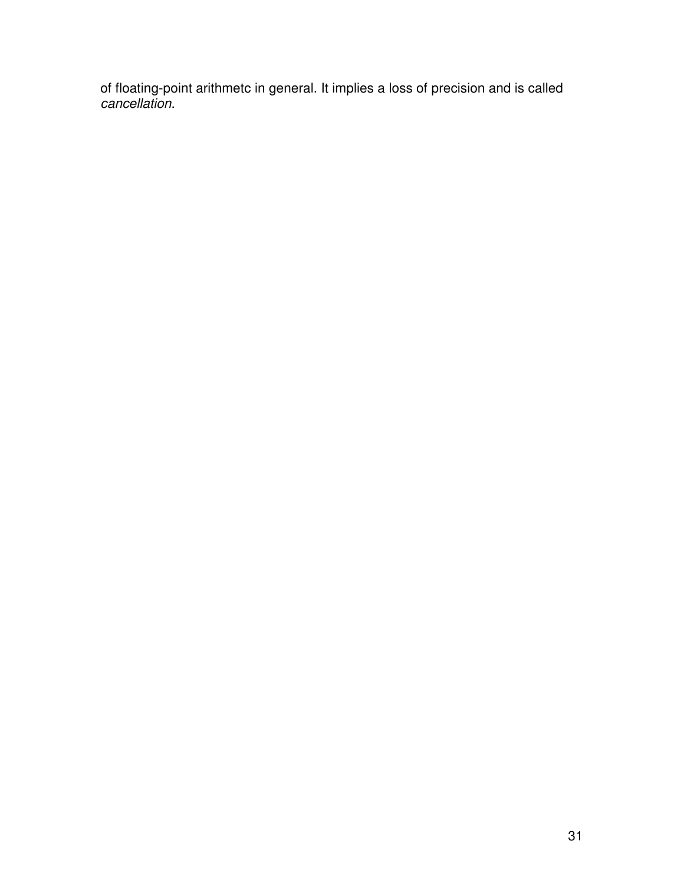of floating-point arithmetc in general. It implies a loss of precision and is called *cancellation*.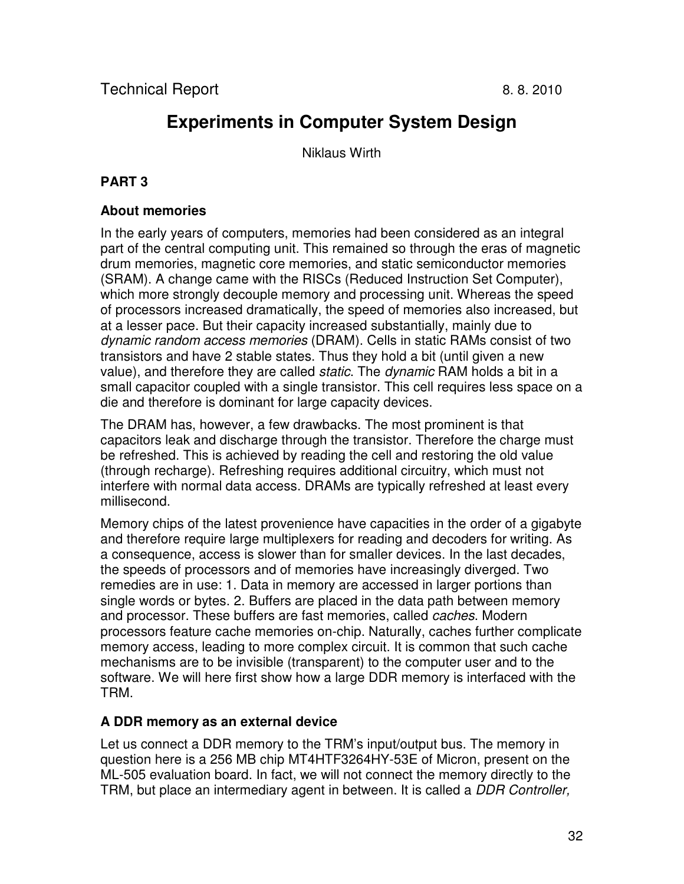# **Experiments in Computer System Design**

Niklaus Wirth

# **PART 3**

# **About memories**

In the early years of computers, memories had been considered as an integral part of the central computing unit. This remained so through the eras of magnetic drum memories, magnetic core memories, and static semiconductor memories (SRAM). A change came with the RISCs (Reduced Instruction Set Computer), which more strongly decouple memory and processing unit. Whereas the speed of processors increased dramatically, the speed of memories also increased, but at a lesser pace. But their capacity increased substantially, mainly due to *dynamic random access memories* (DRAM). Cells in static RAMs consist of two transistors and have 2 stable states. Thus they hold a bit (until given a new value), and therefore they are called *static*. The *dynamic* RAM holds a bit in a small capacitor coupled with a single transistor. This cell requires less space on a die and therefore is dominant for large capacity devices.

The DRAM has, however, a few drawbacks. The most prominent is that capacitors leak and discharge through the transistor. Therefore the charge must be refreshed. This is achieved by reading the cell and restoring the old value (through recharge). Refreshing requires additional circuitry, which must not interfere with normal data access. DRAMs are typically refreshed at least every millisecond.

Memory chips of the latest provenience have capacities in the order of a gigabyte and therefore require large multiplexers for reading and decoders for writing. As a consequence, access is slower than for smaller devices. In the last decades, the speeds of processors and of memories have increasingly diverged. Two remedies are in use: 1. Data in memory are accessed in larger portions than single words or bytes. 2. Buffers are placed in the data path between memory and processor. These buffers are fast memories, called *caches*. Modern processors feature cache memories on-chip. Naturally, caches further complicate memory access, leading to more complex circuit. It is common that such cache mechanisms are to be invisible (transparent) to the computer user and to the software. We will here first show how a large DDR memory is interfaced with the TRM.

## **A DDR memory as an external device**

Let us connect a DDR memory to the TRM's input/output bus. The memory in question here is a 256 MB chip MT4HTF3264HY-53E of Micron, present on the ML-505 evaluation board. In fact, we will not connect the memory directly to the TRM, but place an intermediary agent in between. It is called a *DDR Controller,*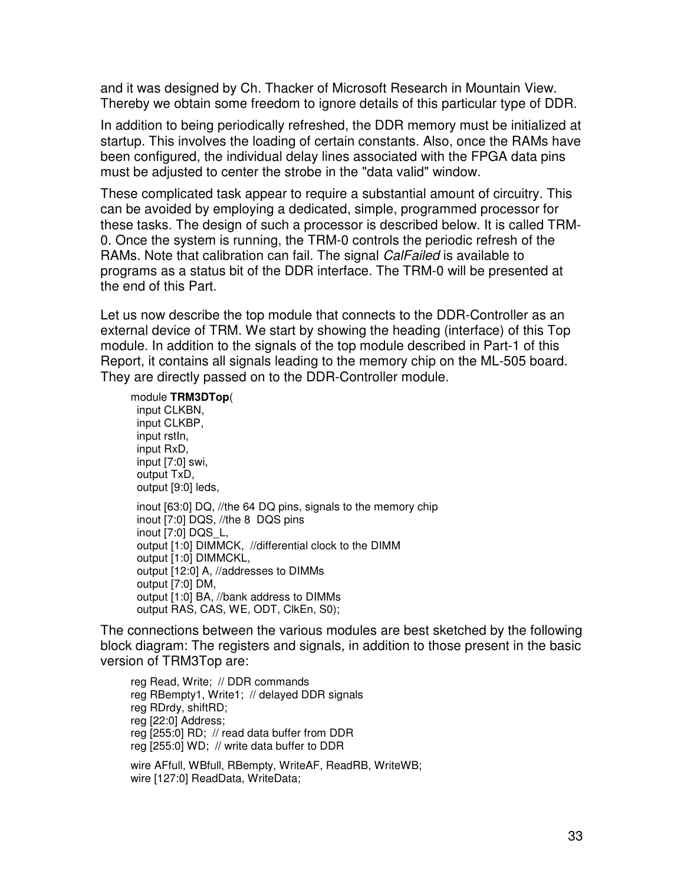and it was designed by Ch. Thacker of Microsoft Research in Mountain View. Thereby we obtain some freedom to ignore details of this particular type of DDR.

In addition to being periodically refreshed, the DDR memory must be initialized at startup. This involves the loading of certain constants. Also, once the RAMs have been configured, the individual delay lines associated with the FPGA data pins must be adjusted to center the strobe in the "data valid" window.

These complicated task appear to require a substantial amount of circuitry. This can be avoided by employing a dedicated, simple, programmed processor for these tasks. The design of such a processor is described below. It is called TRM-0. Once the system is running, the TRM-0 controls the periodic refresh of the RAMs. Note that calibration can fail. The signal *CalFailed* is available to programs as a status bit of the DDR interface. The TRM-0 will be presented at the end of this Part.

Let us now describe the top module that connects to the DDR-Controller as an external device of TRM. We start by showing the heading (interface) of this Top module. In addition to the signals of the top module described in Part-1 of this Report, it contains all signals leading to the memory chip on the ML-505 board. They are directly passed on to the DDR-Controller module.

module **TRM3DTop**( input CLKBN, input CLKBP, input rstIn, input RxD, input [7:0] swi, output TxD, output [9:0] leds, inout [63:0] DQ, //the 64 DQ pins, signals to the memory chip inout [7:0] DQS, //the 8 DQS pins inout [7:0] DQS\_L, output [1:0] DIMMCK, //differential clock to the DIMM output [1:0] DIMMCKL, output [12:0] A, //addresses to DIMMs output [7:0] DM, output [1:0] BA, //bank address to DIMMs output RAS, CAS, WE, ODT, ClkEn, S0);

The connections between the various modules are best sketched by the following block diagram: The registers and signals, in addition to those present in the basic version of TRM3Top are:

reg Read, Write; // DDR commands reg RBempty1, Write1; // delayed DDR signals reg RDrdy, shiftRD; reg [22:0] Address; reg [255:0] RD; // read data buffer from DDR reg [255:0] WD; // write data buffer to DDR wire AFfull, WBfull, RBempty, WriteAF, ReadRB, WriteWB; wire [127:0] ReadData, WriteData;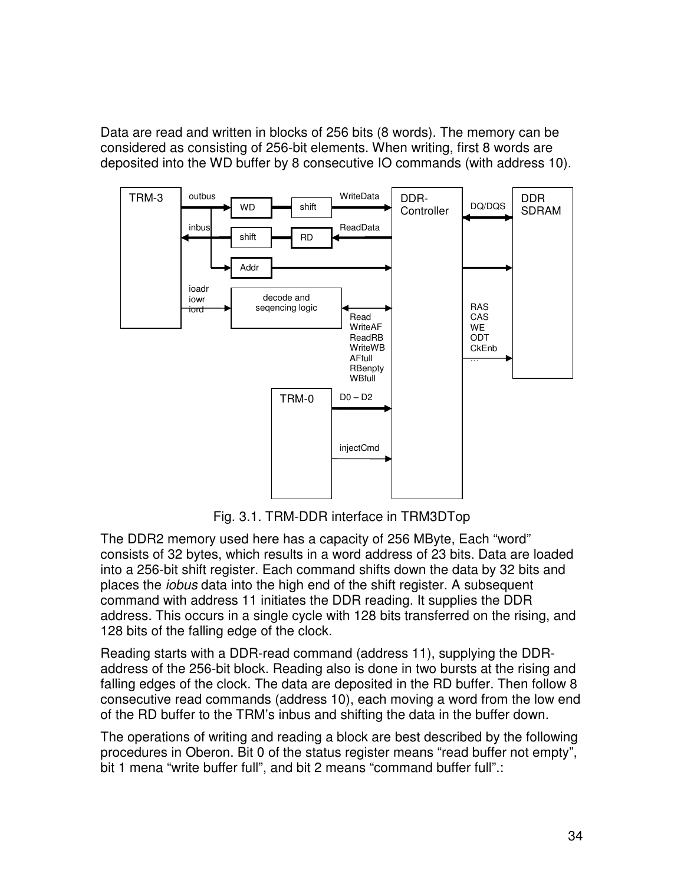Data are read and written in blocks of 256 bits (8 words). The memory can be considered as consisting of 256-bit elements. When writing, first 8 words are deposited into the WD buffer by 8 consecutive IO commands (with address 10).



Fig. 3.1. TRM-DDR interface in TRM3DTop

The DDR2 memory used here has a capacity of 256 MByte, Each "word" consists of 32 bytes, which results in a word address of 23 bits. Data are loaded into a 256-bit shift register. Each command shifts down the data by 32 bits and places the *iobus* data into the high end of the shift register. A subsequent command with address 11 initiates the DDR reading. It supplies the DDR address. This occurs in a single cycle with 128 bits transferred on the rising, and 128 bits of the falling edge of the clock.

Reading starts with a DDR-read command (address 11), supplying the DDRaddress of the 256-bit block. Reading also is done in two bursts at the rising and falling edges of the clock. The data are deposited in the RD buffer. Then follow 8 consecutive read commands (address 10), each moving a word from the low end of the RD buffer to the TRM's inbus and shifting the data in the buffer down.

The operations of writing and reading a block are best described by the following procedures in Oberon. Bit 0 of the status register means "read buffer not empty", bit 1 mena "write buffer full", and bit 2 means "command buffer full".: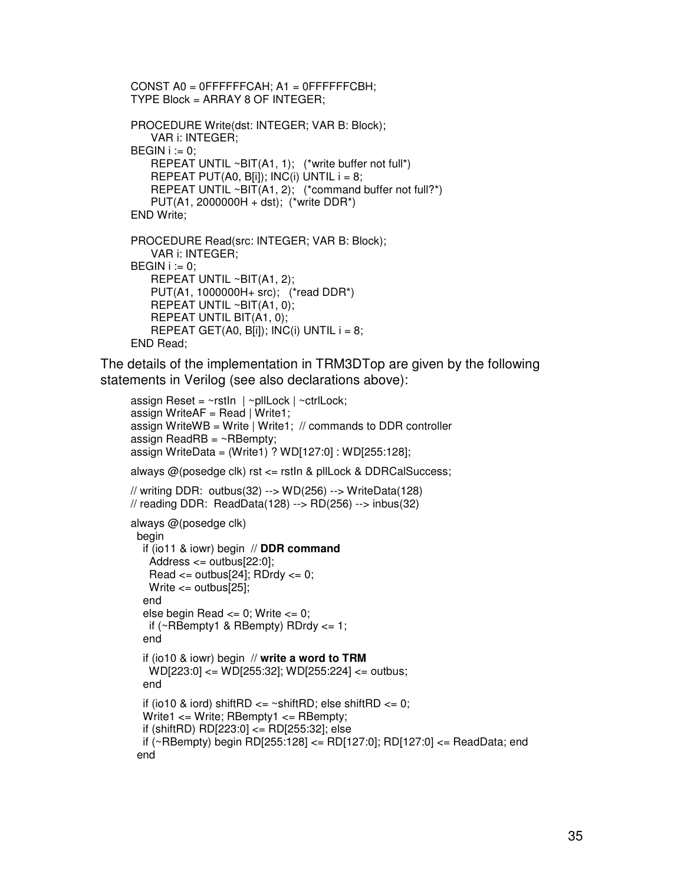```
 CONST A0 = 0FFFFFFCAH; A1 = 0FFFFFFCBH; 
 TYPE Block = ARRAY 8 OF INTEGER; 
 PROCEDURE Write(dst: INTEGER; VAR B: Block); 
    VAR i: INTEGER; 
BEGIN i := 0;
   REPEAT UNTIL ~BIT(A1, 1); (*write buffer not full*)
   REPEAT PUT(A0, B[i]); INC(i) UNTIL i = 8;
    REPEAT UNTIL ~BIT(A1, 2); (*command buffer not full?*) 
    PUT(A1, 2000000H + dst); (*write DDR*) 
 END Write; 
 PROCEDURE Read(src: INTEGER; VAR B: Block); 
    VAR i: INTEGER; 
BEGIN i := 0:
    REPEAT UNTIL ~BIT(A1, 2); 
    PUT(A1, 1000000H+ src); (*read DDR*) 
    REPEAT UNTIL ~BIT(A1, 0); 
    REPEAT UNTIL BIT(A1, 0); 
   REPEAT GET(A0, B[i]); INC(i) UNTIL i = 8;
 END Read;
```
The details of the implementation in TRM3DTop are given by the following statements in Verilog (see also declarations above):

```
assign Reset = \negrstln | \negpllLock | \negctrlLock;
assign WriteAF = Read | Write1;
assign WriteWB = Write | Write1; // commands to DDR controller 
assign ReadRB = ~\simRBempty:
assign WriteData = (Write1) ? WD[127:0] : WD[255:128]; 
always @(posedge clk) rst <= rstIn & pllLock & DDRCalSuccess; 
// writing DDR: outbus(32) --> WD(256) --> WriteData(128) 
// reading DDR: ReadData(128) --> RD(256) --> inbus(32) 
always @(posedge clk) 
  begin 
   if (io11 & iowr) begin // DDR command
    Address <= outbus[22:0]; 
   Read \le = outbus[24]; RDrdy \le = 0;
   Write \leq outbus[25];
   end 
  else begin Read \leq 0; Write \leq 0;
   if (~RBempty1 & RBempty) RDrdy <= 1;
   end 
   if (io10 & iowr) begin // write a word to TRM
    WD[223:0] <= WD[255:32]; WD[255:224] <= outbus; 
   end 
  if (io10 & iord) shiftRD \le - \sim shiftRD; else shiftRD \le = 0;
  Write1 <= Write; RBempty1 <= RBempty;
   if (shiftRD) RD[223:0] <= RD[255:32]; else 
   if (~RBempty) begin RD[255:128] <= RD[127:0]; RD[127:0] <= ReadData; end 
  end
```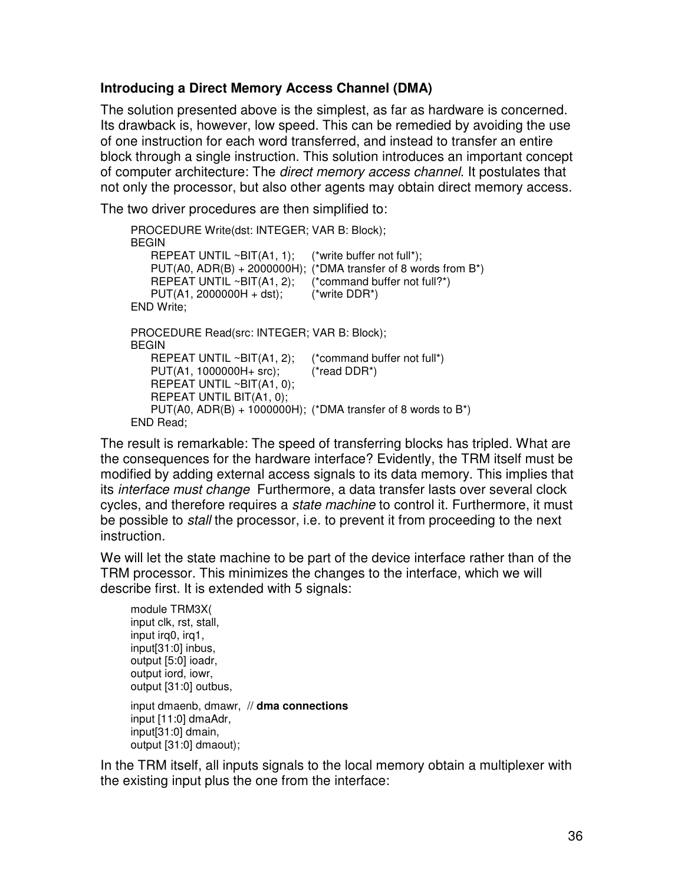## **Introducing a Direct Memory Access Channel (DMA)**

The solution presented above is the simplest, as far as hardware is concerned. Its drawback is, however, low speed. This can be remedied by avoiding the use of one instruction for each word transferred, and instead to transfer an entire block through a single instruction. This solution introduces an important concept of computer architecture: The *direct memory access channel*. It postulates that not only the processor, but also other agents may obtain direct memory access.

The two driver procedures are then simplified to:

```
PROCEDURE Write(dst: INTEGER; VAR B: Block); 
BEGIN 
   REPEAT UNTIL ~BIT(A1, 1); (*write buffer not full*);
   PUT(A0, ADR(B) + 2000000H); (*DMA transfer of 8 words from B*)
    REPEAT UNTIL ~BIT(A1, 2); (*command buffer not full?*) 
    PUT(A1, 2000000H + dst); (*write DDR*) 
END Write; 
PROCEDURE Read(src: INTEGER; VAR B: Block); 
BEGIN 
    REPEAT UNTIL ~BIT(A1, 2); (*command buffer not full*) 
    PUT(A1, 1000000H+ src); (*read DDR*) 
    REPEAT UNTIL ~BIT(A1, 0); 
    REPEAT UNTIL BIT(A1, 0); 
   PUT(A0, ADR(B) + 1000000H); (*DMA transfer of 8 words to B*)
END Read;
```
The result is remarkable: The speed of transferring blocks has tripled. What are the consequences for the hardware interface? Evidently, the TRM itself must be modified by adding external access signals to its data memory. This implies that its *interface must change* Furthermore, a data transfer lasts over several clock cycles, and therefore requires a *state machine* to control it. Furthermore, it must be possible to *stall* the processor, i.e. to prevent it from proceeding to the next instruction.

We will let the state machine to be part of the device interface rather than of the TRM processor. This minimizes the changes to the interface, which we will describe first. It is extended with 5 signals:

```
module TRM3X( 
input clk, rst, stall, 
input irq0, irq1, 
input[31:0] inbus, 
output [5:0] ioadr, 
output iord, iowr, 
output [31:0] outbus, 
input dmaenb, dmawr, // dma connections
input [11:0] dmaAdr, 
input[31:0] dmain, 
output [31:0] dmaout);
```
In the TRM itself, all inputs signals to the local memory obtain a multiplexer with the existing input plus the one from the interface: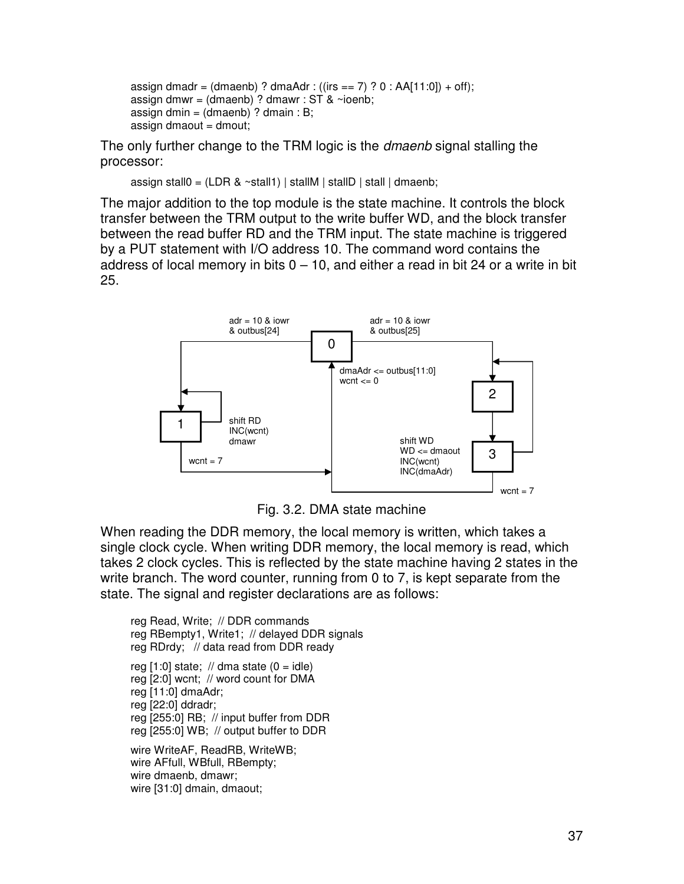```
assign dmadr = (dmaenb) ? dmaAdr : ((irs == 7) ? 0: A A[11:0]) + off);
assign dmwr = (dmaenb) ? dmawr : ST & ~ioenb;
assign dmin = (dmaenb) ? dmain : B;
assign dmaout = dmout;
```
The only further change to the TRM logic is the *dmaenb* signal stalling the processor:

assign stall $0 = (LDR < \text{stall1})$  | stallM | stallD | stall | dmaenb;

The major addition to the top module is the state machine. It controls the block transfer between the TRM output to the write buffer WD, and the block transfer between the read buffer RD and the TRM input. The state machine is triggered by a PUT statement with I/O address 10. The command word contains the address of local memory in bits  $0 - 10$ , and either a read in bit 24 or a write in bit 25.



Fig. 3.2. DMA state machine

When reading the DDR memory, the local memory is written, which takes a single clock cycle. When writing DDR memory, the local memory is read, which takes 2 clock cycles. This is reflected by the state machine having 2 states in the write branch. The word counter, running from 0 to 7, is kept separate from the state. The signal and register declarations are as follows:

reg Read, Write; // DDR commands reg RBempty1, Write1; // delayed DDR signals reg RDrdy; // data read from DDR ready reg  $[1:0]$  state; // dma state  $(0 = id \mid e)$ reg [2:0] wcnt; // word count for DMA reg [11:0] dmaAdr; reg [22:0] ddradr; reg [255:0] RB; // input buffer from DDR reg [255:0] WB; // output buffer to DDR wire WriteAF, ReadRB, WriteWB; wire AFfull, WBfull, RBempty; wire dmaenb, dmawr; wire [31:0] dmain, dmaout;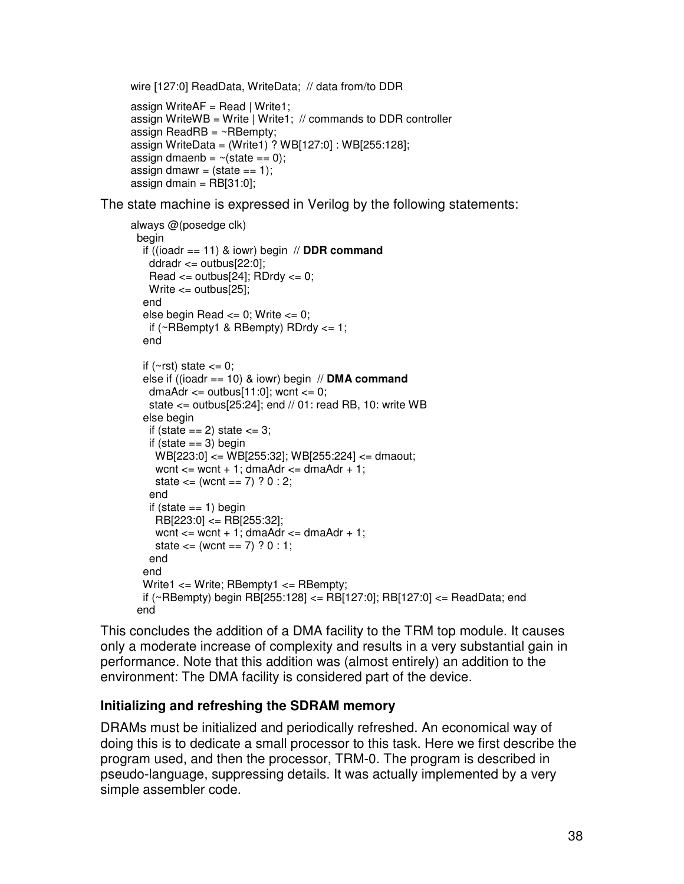wire [127:0] ReadData, WriteData; // data from/to DDR

```
assign WriteAF = Read | Write1;
assign WriteWB = Write | Write1; // commands to DDR controller 
assign ReadRB = \simRBempty;
assign WriteData = (Write1) ? WB[127:0] : WB[255:128]; 
assign dmaenb = \sim(state == 0);
assign dmawr = (s)tate == 1);
assign dmain = RB[31:0];
```
The state machine is expressed in Verilog by the following statements:

```
always @(posedge clk) 
  begin 
   if ((ioadr == 11) & iowr) begin // DDR command
   ddradr \leq outbus[22:0];
   Read <= outbus[24]; RDrdy <= 0;
   Write \leq outbus[25];
   end 
  else begin Read \leq 0; Write \leq 0;
   if (~RBempty1 & RBempty) RDrdy \leq 1;
   end 
  if (\simrst) state \lt= 0;
   else if ((ioadr == 10) & iowr) begin // DMA command
   dmaAdr \le outbus[11:0]; wcnt \le = 0;
    state <= outbus[25:24]; end // 01: read RB, 10: write WB 
   else begin 
   if (state == 2) state <= 3;
   if (state == 3) begin
     WB[223:0] <= WB[255:32]; WB[255:224] <= dmaout; 
     wcnt \le wcnt + 1; dmaAdr \le dmaAdr + 1;
     state \leq (wcnt == 7) ? 0 : 2;
    end 
   if (state == 1) begin
      RB[223:0] <= RB[255:32]; 
     wcnt \leq wcnt + 1; dmaAdr \leq dmaAdr + 1;
     state \leq (wcnt == 7) ? 0 : 1;
    end 
   end 
  Write1 <= Write; RBempty1 <= RBempty;
   if (~RBempty) begin RB[255:128] <= RB[127:0]; RB[127:0] <= ReadData; end 
  end
```
This concludes the addition of a DMA facility to the TRM top module. It causes only a moderate increase of complexity and results in a very substantial gain in performance. Note that this addition was (almost entirely) an addition to the environment: The DMA facility is considered part of the device.

## **Initializing and refreshing the SDRAM memory**

DRAMs must be initialized and periodically refreshed. An economical way of doing this is to dedicate a small processor to this task. Here we first describe the program used, and then the processor, TRM-0. The program is described in pseudo-language, suppressing details. It was actually implemented by a very simple assembler code.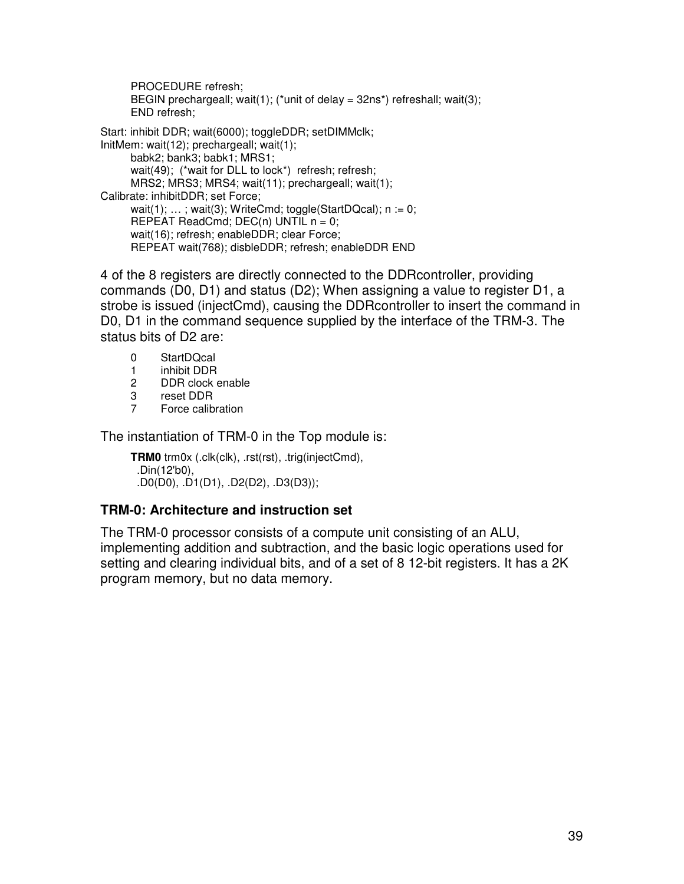PROCEDURE refresh; BEGIN prechargeall; wait(1); (\*unit of delay = 32ns\*) refreshall; wait(3); END refresh; Start: inhibit DDR; wait(6000); toggleDDR; setDIMMclk; InitMem: wait(12); prechargeall; wait(1); babk2; bank3; babk1; MRS1; wait(49); (\*wait for DLL to lock\*) refresh; refresh; MRS2; MRS3; MRS4; wait(11); prechargeall; wait(1); Calibrate: inhibitDDR; set Force; wait(1);  $\ldots$ ; wait(3); WriteCmd; toggle(StartDQcal);  $n := 0$ ; REPEAT ReadCmd; DEC(n) UNTIL n = 0; wait(16); refresh; enableDDR; clear Force; REPEAT wait(768); disbleDDR; refresh; enableDDR END

4 of the 8 registers are directly connected to the DDRcontroller, providing commands (D0, D1) and status (D2); When assigning a value to register D1, a strobe is issued (injectCmd), causing the DDRcontroller to insert the command in D0, D1 in the command sequence supplied by the interface of the TRM-3. The status bits of D2 are:

- 0 StartDQcal
- 1 inhibit DDR<br>2 DDR clock 6
- DDR clock enable
- 3 reset DDR
- 7 Force calibration

The instantiation of TRM-0 in the Top module is:

**TRM0** trm0x (.clk(clk), .rst(rst), .trig(injectCmd), .Din(12'b0), .D0(D0), .D1(D1), .D2(D2), .D3(D3));

## **TRM-0: Architecture and instruction set**

The TRM-0 processor consists of a compute unit consisting of an ALU, implementing addition and subtraction, and the basic logic operations used for setting and clearing individual bits, and of a set of 8 12-bit registers. It has a 2K program memory, but no data memory.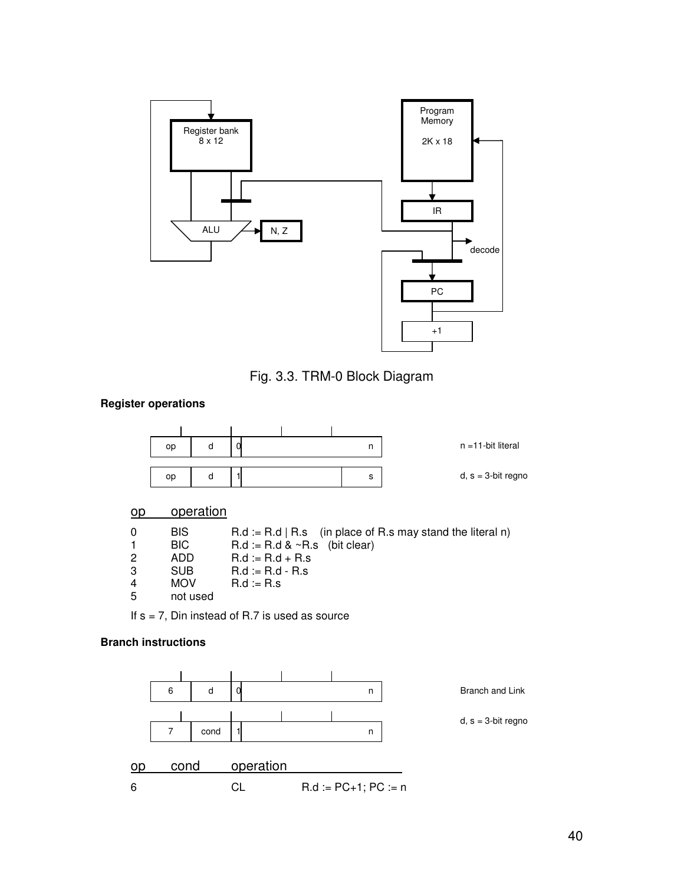

Fig. 3.3. TRM-0 Block Diagram

**Register operations** 



## op operation

0 BIS R.d := R.d | R.s (in place of R.s may stand the literal n)<br>1 BIC R.d := R.d & ~R.s (bit clear) 1 BIC  $R.d := R.d < R.s$  (bit clear) 2  $ADD$   $R.d := R.d + R.s$ <br>3  $SUB$   $R.d := R.d - R.s$ 3 SUB  $R.d := R.d - R.s$ <br>4 MOV  $R.d := R.s$ 4  $MOV$  R.d := R.s<br>5 not used 5 not used

If  $s = 7$ , Din instead of R.7 is used as source

#### **Branch instructions**

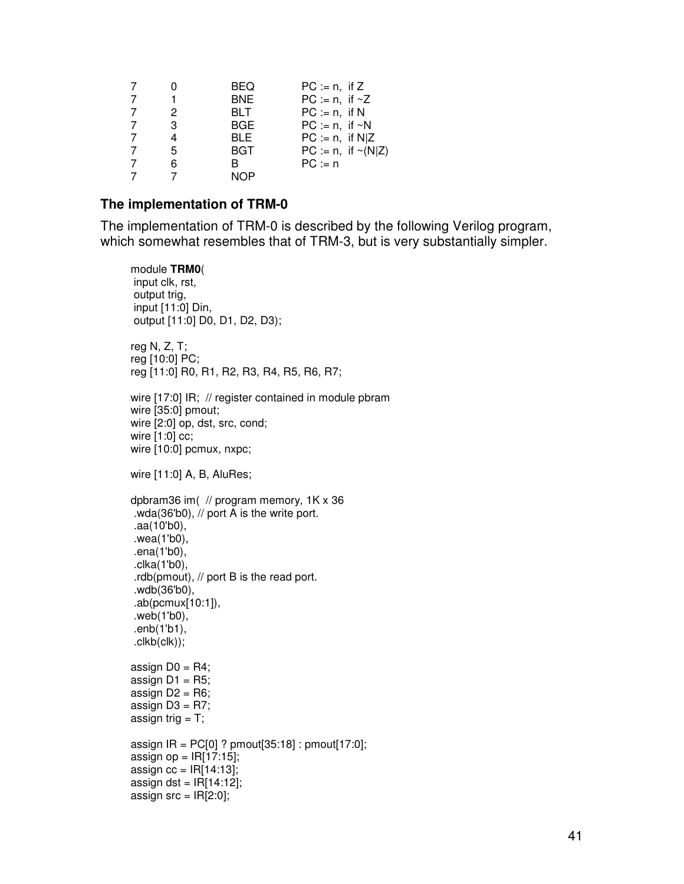|                |    | BEQ        | $PC := n$ , if Z           |
|----------------|----|------------|----------------------------|
|                |    | <b>BNE</b> | $PC := n$ , if ~Z          |
| 7              | 2  | <b>BLT</b> | $PC := n$ , if N           |
| 7              | 3  | <b>BGE</b> | $PC := n$ , if ~N          |
| $\overline{7}$ |    | BLE.       | $PC := n$ , if N Z         |
| 7              | 5. | <b>BGT</b> | $PC := n$ , if $\sim(N Z)$ |
| 7              | 6  | B.         | $PC := n$                  |
|                |    | <b>NOP</b> |                            |

#### **The implementation of TRM-0**

The implementation of TRM-0 is described by the following Verilog program, which somewhat resembles that of TRM-3, but is very substantially simpler.

module **TRM0**( input clk, rst, output trig, input [11:0] Din, output [11:0] D0, D1, D2, D3); reg N, Z, T; reg [10:0] PC; reg [11:0] R0, R1, R2, R3, R4, R5, R6, R7; wire [17:0] IR; // register contained in module pbram wire [35:0] pmout; wire [2:0] op, dst, src, cond; wire [1:0] cc; wire [10:0] pcmux, nxpc; wire [11:0] A, B, AluRes; dpbram36 im( // program memory, 1K x 36 .wda(36'b0), // port A is the write port. .aa(10'b0), .wea(1'b0), .ena(1'b0), .clka(1'b0), .rdb(pmout), // port B is the read port. .wdb(36'b0), .ab(pcmux[10:1]), .web(1'b0), .enb(1'b1),  $clkb(clk))$ ; assign  $D0 = R4$ ; assign  $D1 = R5$ ; assign  $D2 = R6$ ; assign  $D3 = R7$ ; assign trig  $= T$ ; assign IR = PC[0] ? pmout[35:18] : pmout[17:0]; assign op =  $IR[17:15]$ ; assign  $cc = IR[14:13]$ ; assign dst =  $IR[14:12]$ ; assign src =  $IR[2:0]$ ;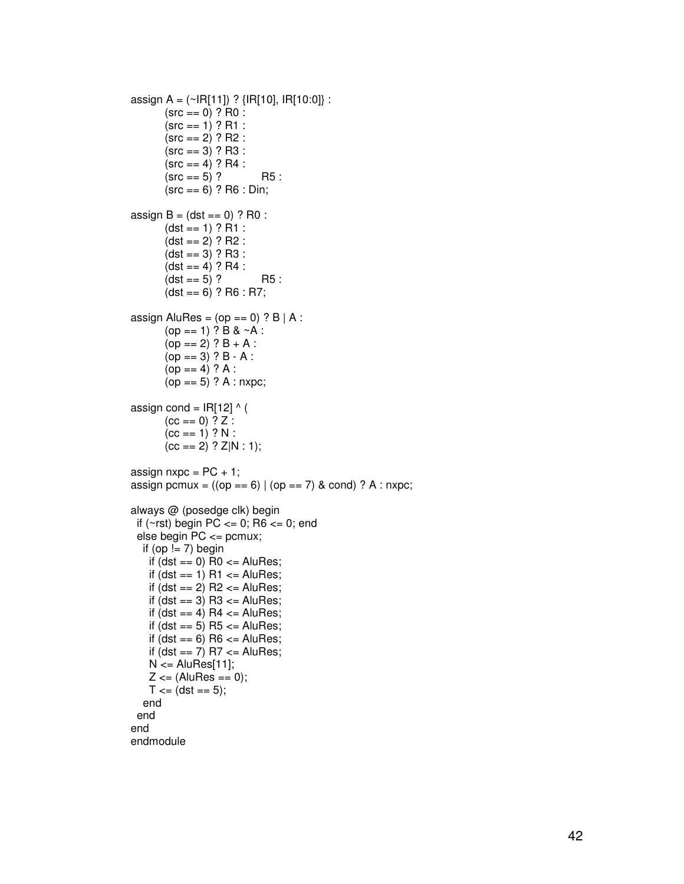```
assign A = (\sim I R[11]) ? \{I R[10], I R[10:0]\}:
       (src == 0) ? R0 :
       (src == 1) ? R1:
       (src == 2) ? R2 :
       (src == 3) ? R3 :
       (src == 4) ? R4 :
       (src == 5) ? R5 :
       (src == 6) ? R6 : Din;
assign B = (dst == 0) ? R0 :
       (dst == 1) ? R1:
       (dst == 2) ? R2 :
       (dst == 3) ? R3 :
       (dst == 4) ? R4 :
       (dst == 5) ? R5 :
       (dst == 6) ? R6 : R7;
assign AluRes = (op == 0) ? B \mid A :
       (op == 1) ? B & ~A:
       (op == 2) ? B + A :(op == 3) ? B - A :(op == 4) ? A :(op == 5) ? A : nxpc;assign cond = IR[12] ^ (
       (cc == 0) ? Z :
       (cc == 1) ? N:(cc == 2) ? Z|N : 1;
assign n \times pc = PC + 1;
assign pcmux = ((op == 6) | (op == 7) & cond) ? A : n x p c;always @ (posedge clk) begin 
 if (\simrst) begin PC \lt = 0; R6 \lt = 0; end
  else begin PC <= pcmux; 
  if (op != 7) begin
   if (dst == 0) R0 <= AluRes;
    if (dst == 1) R1 \leq AluRes;
    if (dst == 2) R2 <= AluRes;
    if (dst == 3) R3 \leq AluRes;
    if (dst == 4) R4 <= AluRes;
    if (dst == 5) R5 <= AluRes;
    if (dst == 6) R6 \leq AluRes;
    if (dst == 7) R7 \leq AluRes;
    N \leq A \text{luRes}[11];Z \leq (AllRes == 0);T \leq (dst == 5); end 
  end 
end 
endmodule
```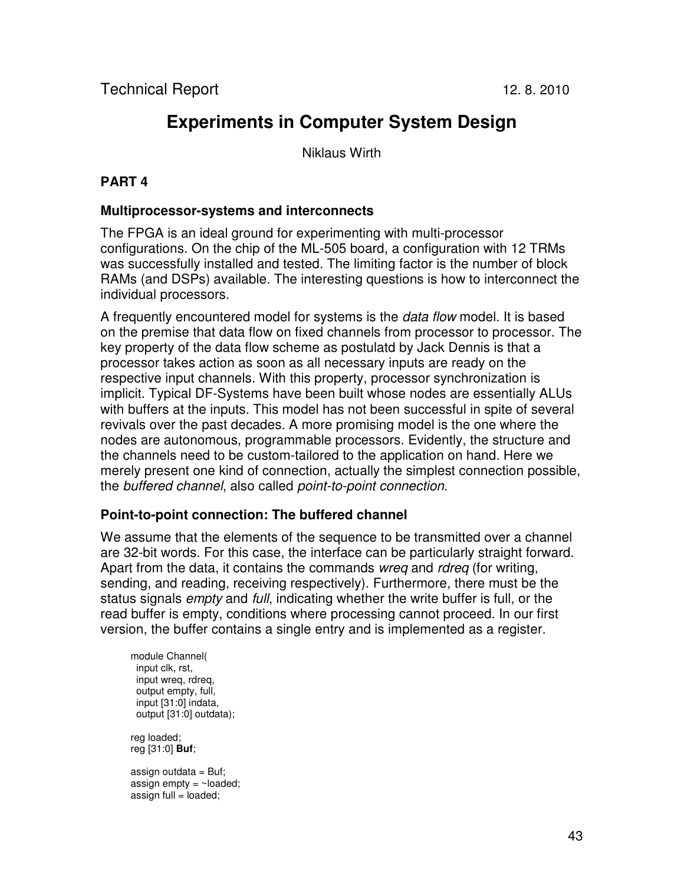# **Experiments in Computer System Design**

Niklaus Wirth

# **PART 4**

## **Multiprocessor-systems and interconnects**

The FPGA is an ideal ground for experimenting with multi-processor configurations. On the chip of the ML-505 board, a configuration with 12 TRMs was successfully installed and tested. The limiting factor is the number of block RAMs (and DSPs) available. The interesting questions is how to interconnect the individual processors.

A frequently encountered model for systems is the *data flow* model. It is based on the premise that data flow on fixed channels from processor to processor. The key property of the data flow scheme as postulatd by Jack Dennis is that a processor takes action as soon as all necessary inputs are ready on the respective input channels. With this property, processor synchronization is implicit. Typical DF-Systems have been built whose nodes are essentially ALUs with buffers at the inputs. This model has not been successful in spite of several revivals over the past decades. A more promising model is the one where the nodes are autonomous, programmable processors. Evidently, the structure and the channels need to be custom-tailored to the application on hand. Here we merely present one kind of connection, actually the simplest connection possible, the *buffered channel*, also called *point-to-point connection*.

## **Point-to-point connection: The buffered channel**

We assume that the elements of the sequence to be transmitted over a channel are 32-bit words. For this case, the interface can be particularly straight forward. Apart from the data, it contains the commands *wreq* and *rdreq* (for writing, sending, and reading, receiving respectively). Furthermore, there must be the status signals *empty* and *full*, indicating whether the write buffer is full, or the read buffer is empty, conditions where processing cannot proceed. In our first version, the buffer contains a single entry and is implemented as a register.

module Channel( input clk, rst, input wreq, rdreq, output empty, full, input [31:0] indata, output [31:0] outdata); reg loaded; reg [31:0] **Buf**; assign outdata  $=$  Buf; assign empty  $= \sim$  loaded; assign full  $=$  loaded;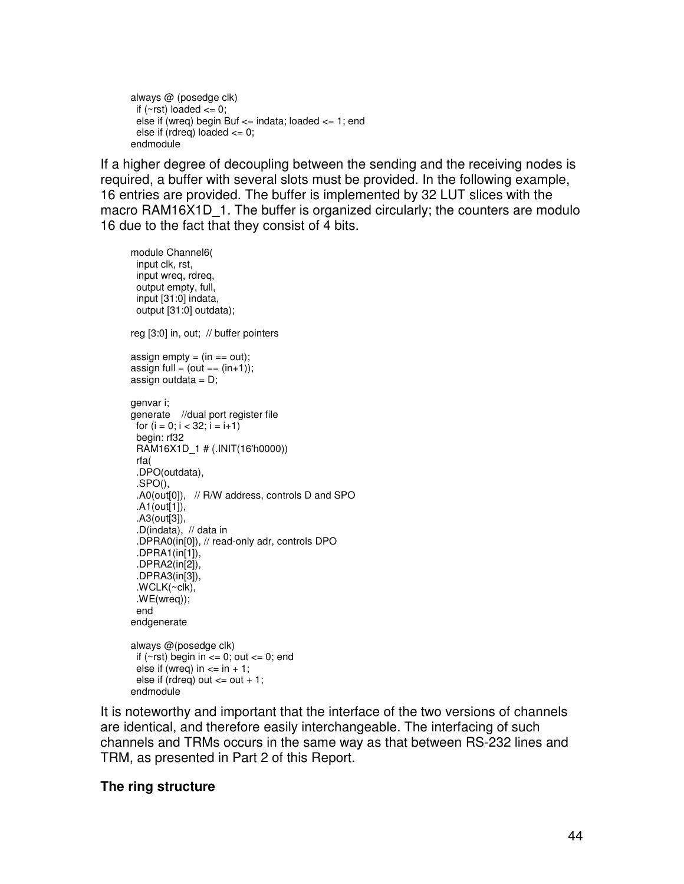```
always @ (posedge clk) 
 if (\simrst) loaded \lt= 0;
 else if (wreq) begin Buf \leq indata; loaded \leq 1; end
 else if (rdreg) loaded \leq 0;
endmodule
```
If a higher degree of decoupling between the sending and the receiving nodes is required, a buffer with several slots must be provided. In the following example, 16 entries are provided. The buffer is implemented by 32 LUT slices with the macro RAM16X1D 1. The buffer is organized circularly; the counters are modulo 16 due to the fact that they consist of 4 bits.

```
module Channel6( 
  input clk, rst, 
  input wreq, rdreq, 
  output empty, full, 
  input [31:0] indata, 
  output [31:0] outdata); 
reg [3:0] in, out; // buffer pointers 
assign empty = (in == out);
assign full = (out == (in+1));
assign outdata = D;
genvar i; 
generate //dual port register file 
 for (i = 0; i < 32; i = i+1) begin: rf32 
  RAM16X1D_1 # (.INIT(16'h0000)) 
  rfa( 
  .DPO(outdata), 
  .SPO(), 
  .A0(out[0]), // R/W address, controls D and SPO
  .A1(out[1]), 
  .A3(out[3]), 
  .D(indata), // data in 
  .DPRA0(in[0]), // read-only adr, controls DPO 
  .DPRA1(in[1]), 
  .DPRA2(in[2]), 
  .DPRA3(in[3]), 
  .WCLK(~clk), 
  .WE(wreq)); 
  end 
endgenerate 
always @(posedge clk) 
 if (\simrst) begin in \lt= 0; out \lt= 0; end
 else if (wreq) in \le = in + 1;
 else if (rdreq) out \leq out + 1;
```
It is noteworthy and important that the interface of the two versions of channels are identical, and therefore easily interchangeable. The interfacing of such channels and TRMs occurs in the same way as that between RS-232 lines and TRM, as presented in Part 2 of this Report.

### **The ring structure**

endmodule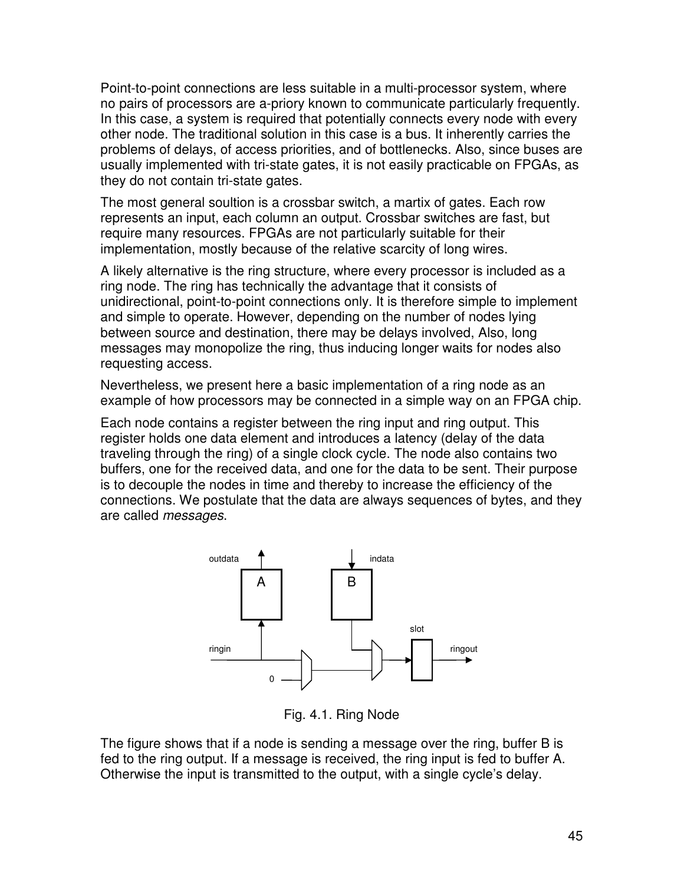Point-to-point connections are less suitable in a multi-processor system, where no pairs of processors are a-priory known to communicate particularly frequently. In this case, a system is required that potentially connects every node with every other node. The traditional solution in this case is a bus. It inherently carries the problems of delays, of access priorities, and of bottlenecks. Also, since buses are usually implemented with tri-state gates, it is not easily practicable on FPGAs, as they do not contain tri-state gates.

The most general soultion is a crossbar switch, a martix of gates. Each row represents an input, each column an output. Crossbar switches are fast, but require many resources. FPGAs are not particularly suitable for their implementation, mostly because of the relative scarcity of long wires.

A likely alternative is the ring structure, where every processor is included as a ring node. The ring has technically the advantage that it consists of unidirectional, point-to-point connections only. It is therefore simple to implement and simple to operate. However, depending on the number of nodes lying between source and destination, there may be delays involved, Also, long messages may monopolize the ring, thus inducing longer waits for nodes also requesting access.

Nevertheless, we present here a basic implementation of a ring node as an example of how processors may be connected in a simple way on an FPGA chip.

Each node contains a register between the ring input and ring output. This register holds one data element and introduces a latency (delay of the data traveling through the ring) of a single clock cycle. The node also contains two buffers, one for the received data, and one for the data to be sent. Their purpose is to decouple the nodes in time and thereby to increase the efficiency of the connections. We postulate that the data are always sequences of bytes, and they are called *messages*.



Fig. 4.1. Ring Node

The figure shows that if a node is sending a message over the ring, buffer B is fed to the ring output. If a message is received, the ring input is fed to buffer A. Otherwise the input is transmitted to the output, with a single cycle's delay.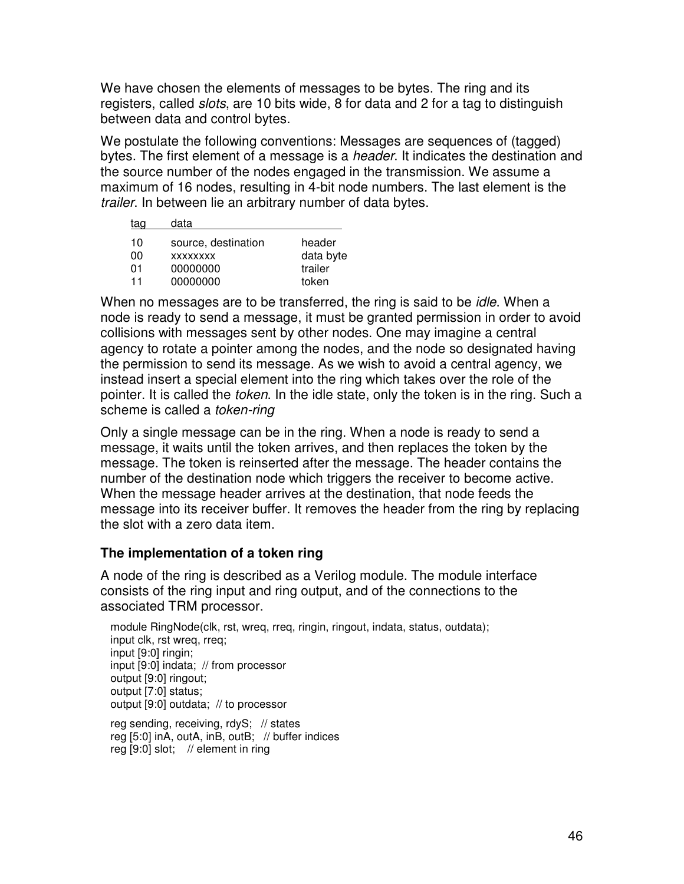We have chosen the elements of messages to be bytes. The ring and its registers, called *slots*, are 10 bits wide, 8 for data and 2 for a tag to distinguish between data and control bytes.

We postulate the following conventions: Messages are sequences of (tagged) bytes. The first element of a message is a *header*. It indicates the destination and the source number of the nodes engaged in the transmission. We assume a maximum of 16 nodes, resulting in 4-bit node numbers. The last element is the *trailer*. In between lie an arbitrary number of data bytes.

| data                                   |                     |
|----------------------------------------|---------------------|
| source, destination<br><b>XXXXXXXX</b> | header<br>data byte |
| 00000000                               | trailer             |
| 00000000                               | token               |
|                                        |                     |

When no messages are to be transferred, the ring is said to be *idle*. When a node is ready to send a message, it must be granted permission in order to avoid collisions with messages sent by other nodes. One may imagine a central agency to rotate a pointer among the nodes, and the node so designated having the permission to send its message. As we wish to avoid a central agency, we instead insert a special element into the ring which takes over the role of the pointer. It is called the *token*. In the idle state, only the token is in the ring. Such a scheme is called a *token-ring*

Only a single message can be in the ring. When a node is ready to send a message, it waits until the token arrives, and then replaces the token by the message. The token is reinserted after the message. The header contains the number of the destination node which triggers the receiver to become active. When the message header arrives at the destination, that node feeds the message into its receiver buffer. It removes the header from the ring by replacing the slot with a zero data item.

## **The implementation of a token ring**

A node of the ring is described as a Verilog module. The module interface consists of the ring input and ring output, and of the connections to the associated TRM processor.

module RingNode(clk, rst, wreq, rreq, ringin, ringout, indata, status, outdata); input clk, rst wreq, rreq; input [9:0] ringin; input [9:0] indata; // from processor output [9:0] ringout; output [7:0] status; output [9:0] outdata; // to processor reg sending, receiving, rdyS; // states

reg [5:0] inA, outA, inB, outB; // buffer indices reg [9:0] slot; // element in ring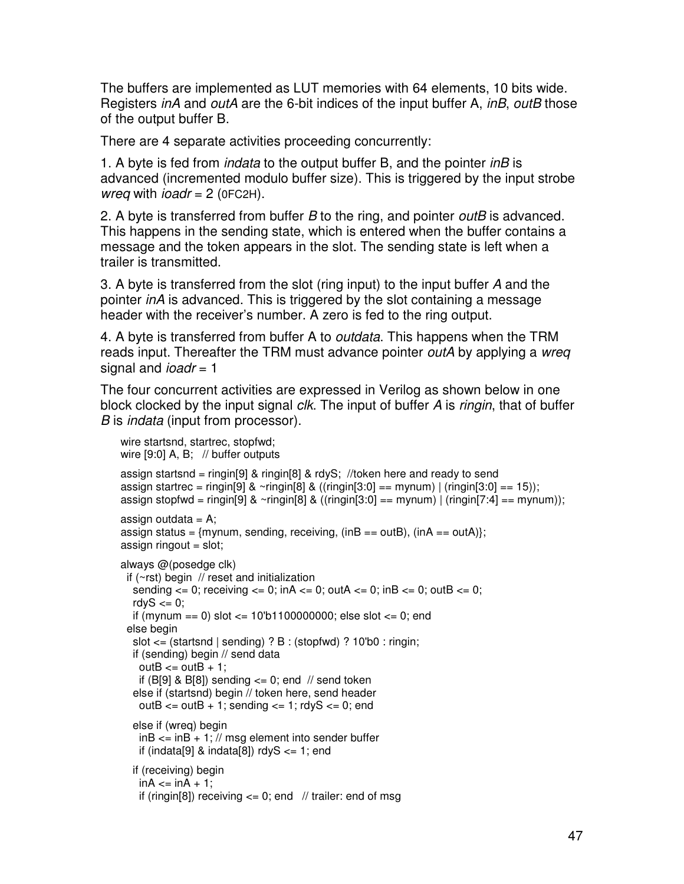The buffers are implemented as LUT memories with 64 elements, 10 bits wide. Registers *inA* and *outA* are the 6-bit indices of the input buffer A, *inB*, *outB* those of the output buffer B.

There are 4 separate activities proceeding concurrently:

1. A byte is fed from *indata* to the output buffer B, and the pointer *inB* is advanced (incremented modulo buffer size). This is triggered by the input strobe *wreq* with *ioadr* = 2 (0FC2H).

2. A byte is transferred from buffer *B* to the ring, and pointer *outB* is advanced. This happens in the sending state, which is entered when the buffer contains a message and the token appears in the slot. The sending state is left when a trailer is transmitted.

3. A byte is transferred from the slot (ring input) to the input buffer *A* and the pointer *inA* is advanced. This is triggered by the slot containing a message header with the receiver's number. A zero is fed to the ring output.

4. A byte is transferred from buffer A to *outdata*. This happens when the TRM reads input. Thereafter the TRM must advance pointer *outA* by applying a *wreq* signal and *ioadr* = 1

The four concurrent activities are expressed in Verilog as shown below in one block clocked by the input signal *clk*. The input of buffer *A* is *ringin*, that of buffer *B* is *indata* (input from processor).

```
wire startsnd, startrec, stopfwd; 
wire [9:0] A, B; // buffer outputs 
assign startsnd = ringin[9] & ringin[8] & rdyS; //token here and ready to send
assign startrec = ringin[9] & \simringin[8] & ((ringin[3:0] == mynum) | (ringin[3:0] == 15));
assign stopfwd = ringin[9] & \simringin[8] & ((ringin[3:0] == mynum) | (ringin[7:4] == mynum));
assign outdata = A:
assign status = {mymum}, sending, receiving, (inB == outB), (inA == outA)};
assign ringout = slot;
always @(posedge clk) 
  if (~rst) begin // reset and initialization 
  sending \epsilon = 0; receiving \epsilon = 0; inA \epsilon = 0; outA \epsilon = 0; inB \epsilon = 0; outB \epsilon = 0;
  rdyS \leq 0;
  if (mynum == 0) slot \le 10'b1100000000; else slot \le 0; end
  else begin 
   slot <= (startsnd | sending) ? B : (stopfwd) ? 10'b0 : ringin; 
   if (sending) begin // send data 
    outB \le = outB + 1;
    if (B[9] & B[8]) sending \leq 0; end // send token
   else if (startsnd) begin // token here, send header 
    outB \lt = outB + 1; sending \lt = 1; rdyS \lt = 0; end
   else if (wreq) begin 
    inB \leq inB + 1; // msg element into sender buffer
    if (indata[9] & indata[8]) rdyS \leq 1; end
   if (receiving) begin 
    inA \leq inA + 1;
    if (ringin[8]) receiving \leq 0; end // trailer: end of msg
```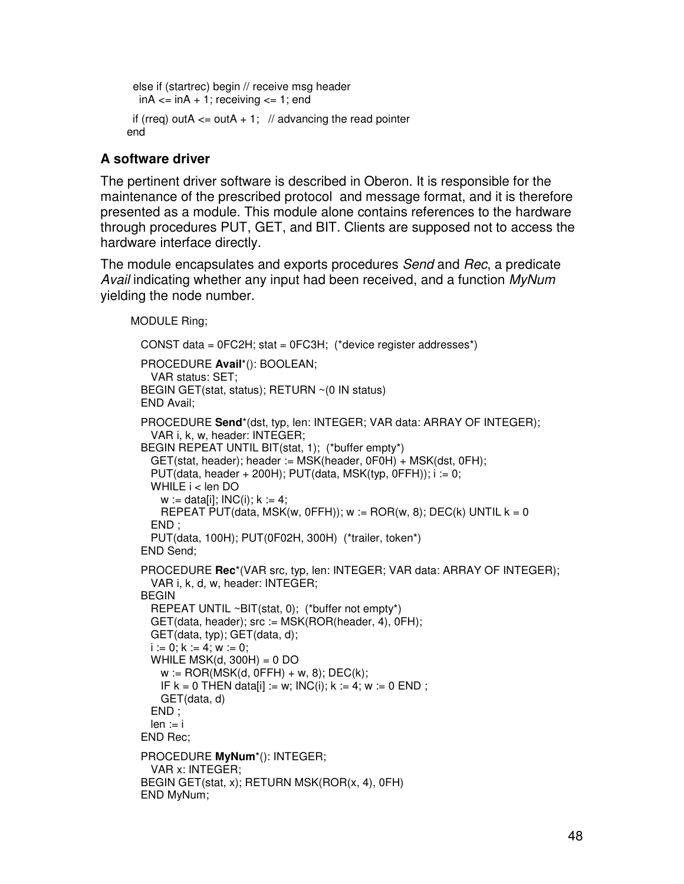```
 else if (startrec) begin // receive msg header 
  inA \leq inA + 1; receiving \leq 1; end
 if (rreq) outA \le = outA + 1; // advancing the read pointer
 end
```
## **A software driver**

The pertinent driver software is described in Oberon. It is responsible for the maintenance of the prescribed protocol and message format, and it is therefore presented as a module. This module alone contains references to the hardware through procedures PUT, GET, and BIT. Clients are supposed not to access the hardware interface directly.

The module encapsulates and exports procedures *Send* and *Rec*, a predicate *Avail* indicating whether any input had been received, and a function *MyNum* yielding the node number.

MODULE Ring;

```
 CONST data = 0FC2H; stat = 0FC3H; (*device register addresses*) 
 PROCEDURE Avail*(): BOOLEAN; 
   VAR status: SET; 
 BEGIN GET(stat, status); RETURN ~(0 IN status) 
 END Avail; 
 PROCEDURE Send*(dst, typ, len: INTEGER; VAR data: ARRAY OF INTEGER); 
   VAR i, k, w, header: INTEGER; 
 BEGIN REPEAT UNTIL BIT(stat, 1); (*buffer empty*)
   GET(stat, header); header := MSK(header, 0F0H) + MSK(dst, 0FH); 
   PUT(data, header + 200H); PUT(data, MSK(typ, 0FFH)); i := 0; 
   WHILE i < len DO 
   w := \text{data[i]}; INC(i); k := 4;
    REPEAT PUT(data, MSK(w, 0FFH)); w := ROR(w, 8); DEC(k) UNTIL k = 0 END ; 
   PUT(data, 100H); PUT(0F02H, 300H) (*trailer, token*) 
 END Send; 
 PROCEDURE Rec*(VAR src, typ, len: INTEGER; VAR data: ARRAY OF INTEGER); 
   VAR i, k, d, w, header: INTEGER; 
 BEGIN 
   REPEAT UNTIL ~BIT(stat, 0); (*buffer not empty*)
   GET(data, header); src := MSK(ROR(header, 4), 0FH); 
   GET(data, typ); GET(data, d); 
  i := 0; k := 4; w := 0;
  WHILE MSK(d, 300H) = 0 DO
   w := \text{ROR(MSK(d, OFFH) + w, 8)}; DEC(k);
   IF k = 0 THEN data[i] := w; INC(i); k := 4; w := 0 END ;
     GET(data, d) 
   END ; 
  len := i END Rec; 
 PROCEDURE MyNum*(): INTEGER; 
   VAR x: INTEGER; 
 BEGIN GET(stat, x); RETURN MSK(ROR(x, 4), 0FH) 
 END MyNum;
```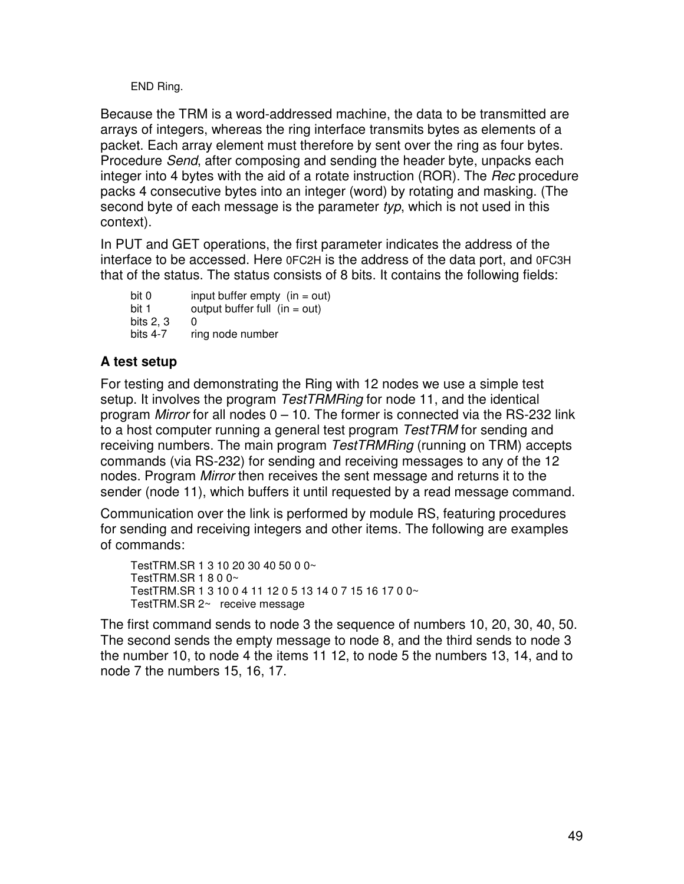END Ring.

Because the TRM is a word-addressed machine, the data to be transmitted are arrays of integers, whereas the ring interface transmits bytes as elements of a packet. Each array element must therefore by sent over the ring as four bytes. Procedure *Send*, after composing and sending the header byte, unpacks each integer into 4 bytes with the aid of a rotate instruction (ROR). The *Rec* procedure packs 4 consecutive bytes into an integer (word) by rotating and masking. (The second byte of each message is the parameter *typ*, which is not used in this context).

In PUT and GET operations, the first parameter indicates the address of the interface to be accessed. Here 0FC2H is the address of the data port, and 0FC3H that of the status. The status consists of 8 bits. It contains the following fields:

bit 0 input buffer empty  $(in = out)$ <br>bit 1 output buffer full  $(in = out)$ output buffer full  $(in = out)$ bits 2, 3 0 bits 4-7 ring node number

## **A test setup**

For testing and demonstrating the Ring with 12 nodes we use a simple test setup. It involves the program *TestTRMRing* for node 11, and the identical program *Mirror* for all nodes 0 – 10. The former is connected via the RS-232 link to a host computer running a general test program *TestTRM* for sending and receiving numbers. The main program *TestTRMRing* (running on TRM) accepts commands (via RS-232) for sending and receiving messages to any of the 12 nodes. Program *Mirror* then receives the sent message and returns it to the sender (node 11), which buffers it until requested by a read message command.

Communication over the link is performed by module RS, featuring procedures for sending and receiving integers and other items. The following are examples of commands:

TestTRM.SR 1 3 10 20 30 40 50 0 0~ TestTRM.SR 1 8 0 0~ TestTRM.SR 1 3 10 0 4 11 12 0 5 13 14 0 7 15 16 17 0 0~ TestTRM.SR 2~ receive message

The first command sends to node 3 the sequence of numbers 10, 20, 30, 40, 50. The second sends the empty message to node 8, and the third sends to node 3 the number 10, to node 4 the items 11 12, to node 5 the numbers 13, 14, and to node 7 the numbers 15, 16, 17.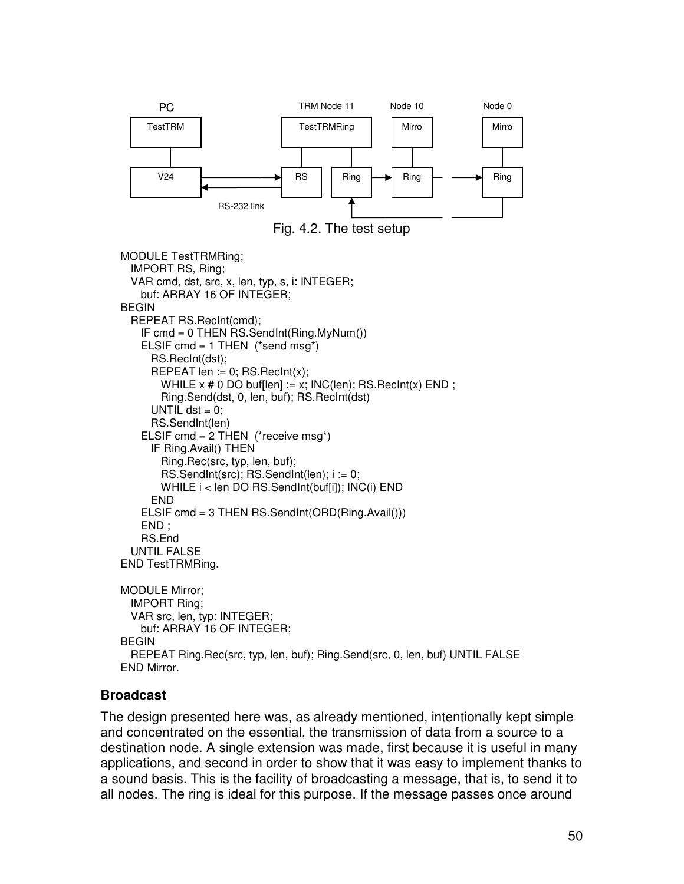



```
MODULE TestTRMRing; 
   IMPORT RS, Ring; 
   VAR cmd, dst, src, x, len, typ, s, i: INTEGER; 
    buf: ARRAY 16 OF INTEGER; 
BEGIN 
   REPEAT RS.RecInt(cmd); 
     IF cmd = 0 THEN RS.SendInt(Ring.MyNum()) 
     ELSIF cmd = 1 THEN (*send msg*) 
       RS.RecInt(dst); 
      REPEAT len := 0; RS.RecInt(x);
        WHILE x \neq 0 DO buf[len] := x; INC(len); RS.RecInt(x) END ;
         Ring.Send(dst, 0, len, buf); RS.RecInt(dst) 
      UNTIL dst = 0;
       RS.SendInt(len) 
    ELSIF cmd = 2 THEN (*receive msg*)
       IF Ring.Avail() THEN 
         Ring.Rec(src, typ, len, buf); 
         RS.SendInt(src); RS.SendInt(len); i := 0; 
         WHILE i < len DO RS.SendInt(buf[i]); INC(i) END
       END 
     ELSIF cmd = 3 THEN RS.SendInt(ORD(Ring.Avail())) 
     END ; 
     RS.End 
   UNTIL FALSE 
END TestTRMRing. 
MODULE Mirror; 
   IMPORT Ring; 
   VAR src, len, typ: INTEGER; 
     buf: ARRAY 16 OF INTEGER; 
BEGIN 
   REPEAT Ring.Rec(src, typ, len, buf); Ring.Send(src, 0, len, buf) UNTIL FALSE 
END Mirror.
```
### **Broadcast**

The design presented here was, as already mentioned, intentionally kept simple and concentrated on the essential, the transmission of data from a source to a destination node. A single extension was made, first because it is useful in many applications, and second in order to show that it was easy to implement thanks to a sound basis. This is the facility of broadcasting a message, that is, to send it to all nodes. The ring is ideal for this purpose. If the message passes once around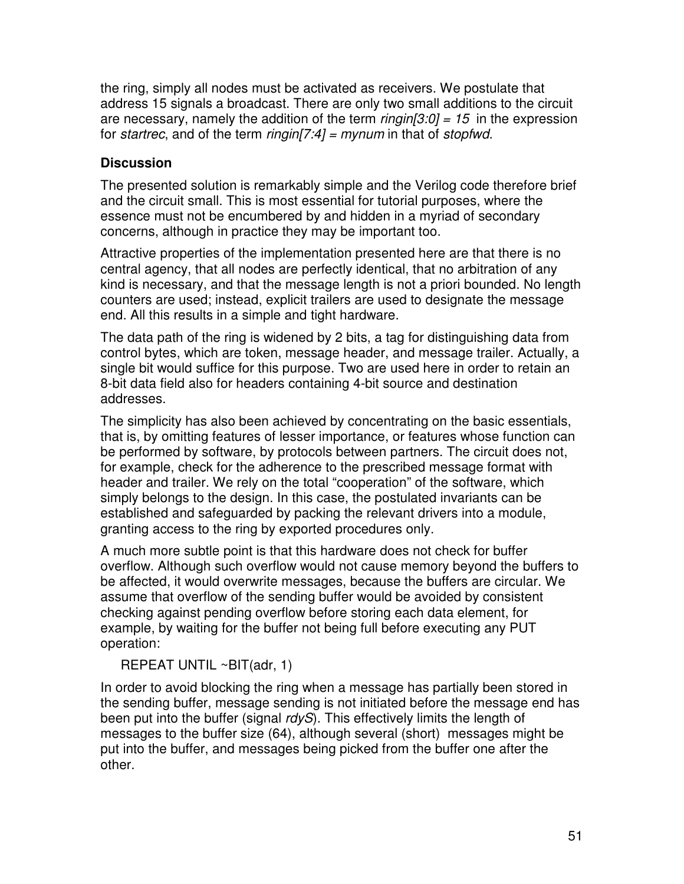the ring, simply all nodes must be activated as receivers. We postulate that address 15 signals a broadcast. There are only two small additions to the circuit are necessary, namely the addition of the term *ringin[3:0] = 15* in the expression for *startrec*, and of the term *ringin[7:4] = mynum* in that of *stopfwd*.

## **Discussion**

The presented solution is remarkably simple and the Verilog code therefore brief and the circuit small. This is most essential for tutorial purposes, where the essence must not be encumbered by and hidden in a myriad of secondary concerns, although in practice they may be important too.

Attractive properties of the implementation presented here are that there is no central agency, that all nodes are perfectly identical, that no arbitration of any kind is necessary, and that the message length is not a priori bounded. No length counters are used; instead, explicit trailers are used to designate the message end. All this results in a simple and tight hardware.

The data path of the ring is widened by 2 bits, a tag for distinguishing data from control bytes, which are token, message header, and message trailer. Actually, a single bit would suffice for this purpose. Two are used here in order to retain an 8-bit data field also for headers containing 4-bit source and destination addresses.

The simplicity has also been achieved by concentrating on the basic essentials, that is, by omitting features of lesser importance, or features whose function can be performed by software, by protocols between partners. The circuit does not, for example, check for the adherence to the prescribed message format with header and trailer. We rely on the total "cooperation" of the software, which simply belongs to the design. In this case, the postulated invariants can be established and safeguarded by packing the relevant drivers into a module, granting access to the ring by exported procedures only.

A much more subtle point is that this hardware does not check for buffer overflow. Although such overflow would not cause memory beyond the buffers to be affected, it would overwrite messages, because the buffers are circular. We assume that overflow of the sending buffer would be avoided by consistent checking against pending overflow before storing each data element, for example, by waiting for the buffer not being full before executing any PUT operation:

REPEAT UNTIL ~BIT(adr, 1)

In order to avoid blocking the ring when a message has partially been stored in the sending buffer, message sending is not initiated before the message end has been put into the buffer (signal *rdyS*). This effectively limits the length of messages to the buffer size (64), although several (short) messages might be put into the buffer, and messages being picked from the buffer one after the other.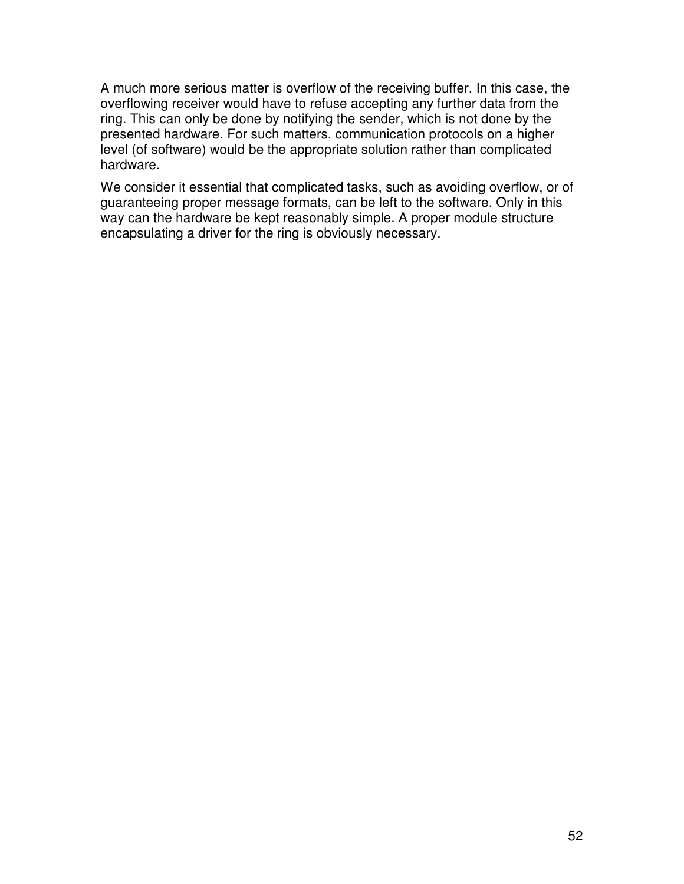A much more serious matter is overflow of the receiving buffer. In this case, the overflowing receiver would have to refuse accepting any further data from the ring. This can only be done by notifying the sender, which is not done by the presented hardware. For such matters, communication protocols on a higher level (of software) would be the appropriate solution rather than complicated hardware.

We consider it essential that complicated tasks, such as avoiding overflow, or of guaranteeing proper message formats, can be left to the software. Only in this way can the hardware be kept reasonably simple. A proper module structure encapsulating a driver for the ring is obviously necessary.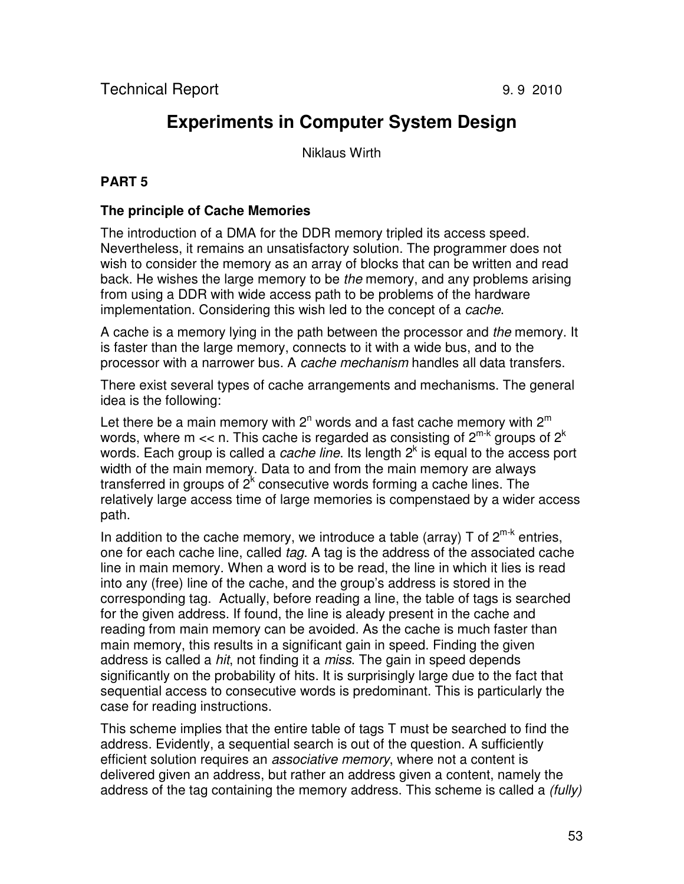# **Experiments in Computer System Design**

Niklaus Wirth

# **PART 5**

## **The principle of Cache Memories**

The introduction of a DMA for the DDR memory tripled its access speed. Nevertheless, it remains an unsatisfactory solution. The programmer does not wish to consider the memory as an array of blocks that can be written and read back. He wishes the large memory to be *the* memory, and any problems arising from using a DDR with wide access path to be problems of the hardware implementation. Considering this wish led to the concept of a *cache*.

A cache is a memory lying in the path between the processor and *the* memory. It is faster than the large memory, connects to it with a wide bus, and to the processor with a narrower bus. A *cache mechanism* handles all data transfers.

There exist several types of cache arrangements and mechanisms. The general idea is the following:

Let there be a main memory with 2<sup>n</sup> words and a fast cache memory with 2<sup>m</sup> words, where m  $<<$  n. This cache is regarded as consisting of  $2^{m-k}$  groups of  $2^k$ words. Each group is called a *cache line*. Its length 2<sup>k</sup> is equal to the access port width of the main memory. Data to and from the main memory are always transferred in groups of  $2<sup>k</sup>$  consecutive words forming a cache lines. The relatively large access time of large memories is compenstaed by a wider access path.

In addition to the cache memory, we introduce a table (array) T of  $2^{m-k}$  entries, one for each cache line, called *tag*. A tag is the address of the associated cache line in main memory. When a word is to be read, the line in which it lies is read into any (free) line of the cache, and the group's address is stored in the corresponding tag. Actually, before reading a line, the table of tags is searched for the given address. If found, the line is aleady present in the cache and reading from main memory can be avoided. As the cache is much faster than main memory, this results in a significant gain in speed. Finding the given address is called a *hit*, not finding it a *miss*. The gain in speed depends significantly on the probability of hits. It is surprisingly large due to the fact that sequential access to consecutive words is predominant. This is particularly the case for reading instructions.

This scheme implies that the entire table of tags T must be searched to find the address. Evidently, a sequential search is out of the question. A sufficiently efficient solution requires an *associative memory*, where not a content is delivered given an address, but rather an address given a content, namely the address of the tag containing the memory address. This scheme is called a *(fully)*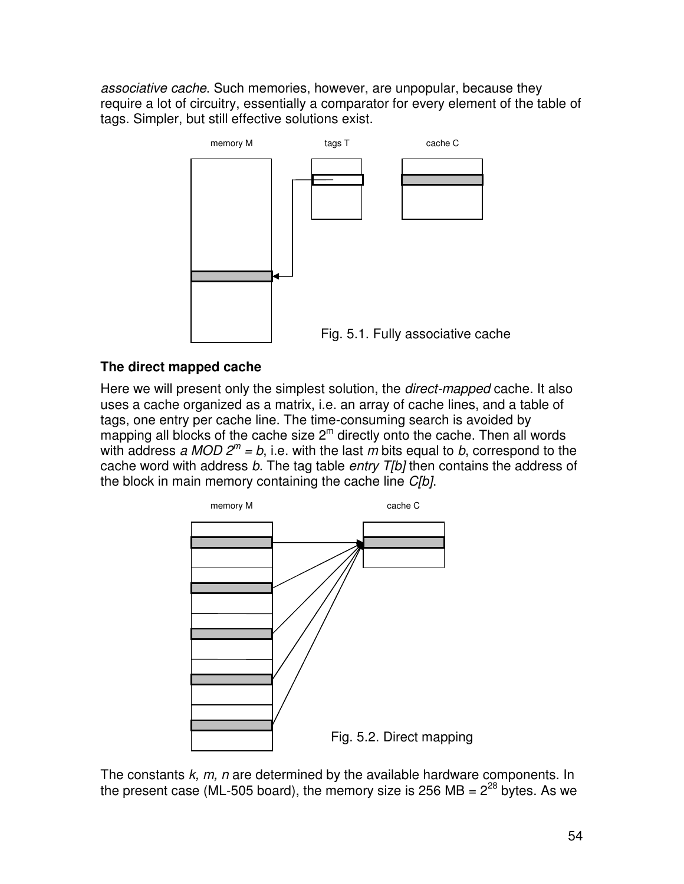*associative cache*. Such memories, however, are unpopular, because they require a lot of circuitry, essentially a comparator for every element of the table of tags. Simpler, but still effective solutions exist.



## **The direct mapped cache**

Here we will present only the simplest solution, the *direct-mapped* cache. It also uses a cache organized as a matrix, i.e. an array of cache lines, and a table of tags, one entry per cache line. The time-consuming search is avoided by mapping all blocks of the cache size  $2<sup>m</sup>$  directly onto the cache. Then all words with address *a MOD*  $2^m = b$ , i.e. with the last *m* bits equal to *b*, correspond to the cache word with address *b*. The tag table *entry T[b]* then contains the address of the block in main memory containing the cache line *C[b]*.



The constants *k, m, n* are determined by the available hardware components. In the present case (ML-505 board), the memory size is 256 MB =  $2^{28}$  bytes. As we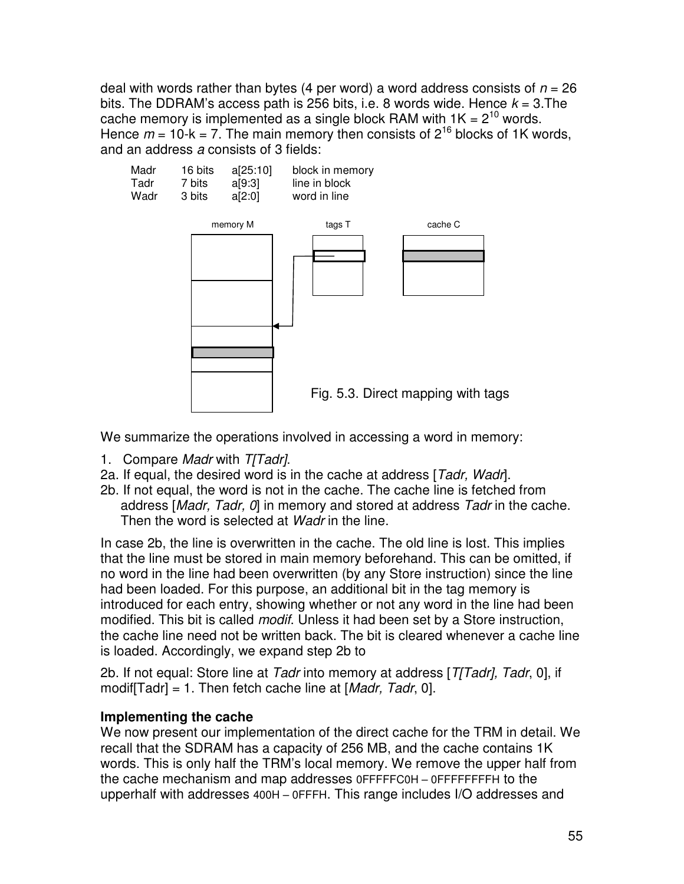deal with words rather than bytes (4 per word) a word address consists of *n* = 26 bits. The DDRAM's access path is 256 bits, i.e. 8 words wide. Hence  $k = 3$ . The cache memory is implemented as a single block RAM with  $1K = 2^{10}$  words. Hence  $m = 10-k = 7$ . The main memory then consists of  $2^{16}$  blocks of 1K words, and an address *a* consists of 3 fields:



We summarize the operations involved in accessing a word in memory:

- 1. Compare *Madr* with *T[Tadr]*.
- 2a. If equal, the desired word is in the cache at address [*Tadr, Wadr*].
- 2b. If not equal, the word is not in the cache. The cache line is fetched from address [*Madr, Tadr, 0*] in memory and stored at address *Tadr* in the cache. Then the word is selected at *Wadr* in the line.

In case 2b, the line is overwritten in the cache. The old line is lost. This implies that the line must be stored in main memory beforehand. This can be omitted, if no word in the line had been overwritten (by any Store instruction) since the line had been loaded. For this purpose, an additional bit in the tag memory is introduced for each entry, showing whether or not any word in the line had been modified. This bit is called *modif*. Unless it had been set by a Store instruction, the cache line need not be written back. The bit is cleared whenever a cache line is loaded. Accordingly, we expand step 2b to

2b. If not equal: Store line at *Tadr* into memory at address [*T[Tadr], Tadr*, 0], if modif[Tadr] = 1. Then fetch cache line at [*Madr, Tadr*, 0].

## **Implementing the cache**

We now present our implementation of the direct cache for the TRM in detail. We recall that the SDRAM has a capacity of 256 MB, and the cache contains 1K words. This is only half the TRM's local memory. We remove the upper half from the cache mechanism and map addresses 0FFFFFC0H – 0FFFFFFFFH to the upperhalf with addresses 400H – 0FFFH. This range includes I/O addresses and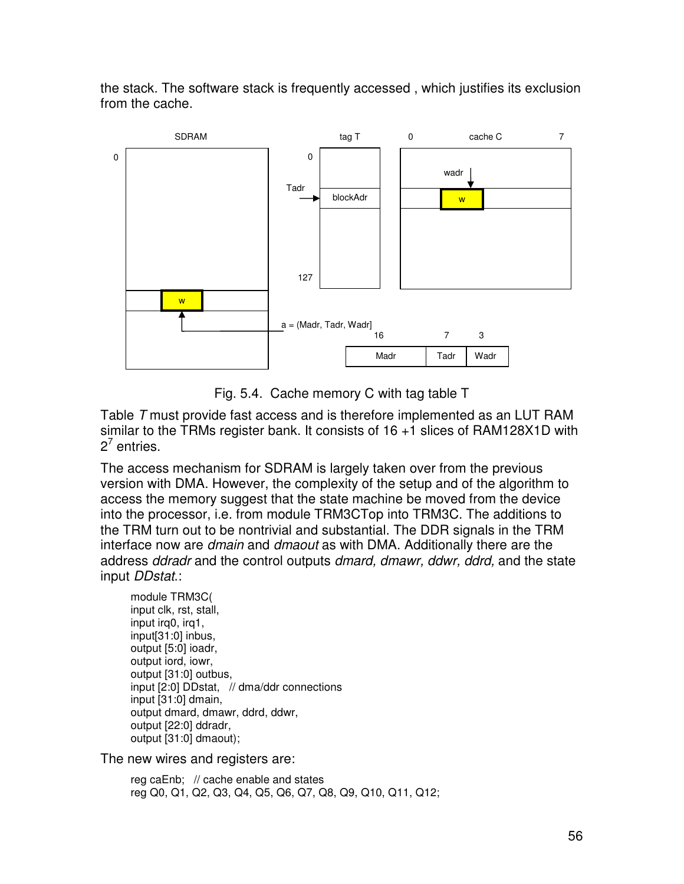the stack. The software stack is frequently accessed , which justifies its exclusion from the cache.



Fig. 5.4. Cache memory C with tag table T

Table *T* must provide fast access and is therefore implemented as an LUT RAM similar to the TRMs register bank. It consists of 16 +1 slices of RAM128X1D with  $2^7$  entries.

The access mechanism for SDRAM is largely taken over from the previous version with DMA. However, the complexity of the setup and of the algorithm to access the memory suggest that the state machine be moved from the device into the processor, i.e. from module TRM3CTop into TRM3C. The additions to the TRM turn out to be nontrivial and substantial. The DDR signals in the TRM interface now are *dmain* and *dmaout* as with DMA. Additionally there are the address *ddradr* and the control outputs *dmard, dmawr, ddwr, ddrd,* and the state input *DDstat*.:

module TRM3C( input clk, rst, stall, input irq0, irq1, input[31:0] inbus, output [5:0] ioadr, output iord, iowr, output [31:0] outbus, input [2:0] DDstat, // dma/ddr connections input [31:0] dmain, output dmard, dmawr, ddrd, ddwr, output [22:0] ddradr, output [31:0] dmaout);

The new wires and registers are:

reg caEnb; // cache enable and states reg Q0, Q1, Q2, Q3, Q4, Q5, Q6, Q7, Q8, Q9, Q10, Q11, Q12;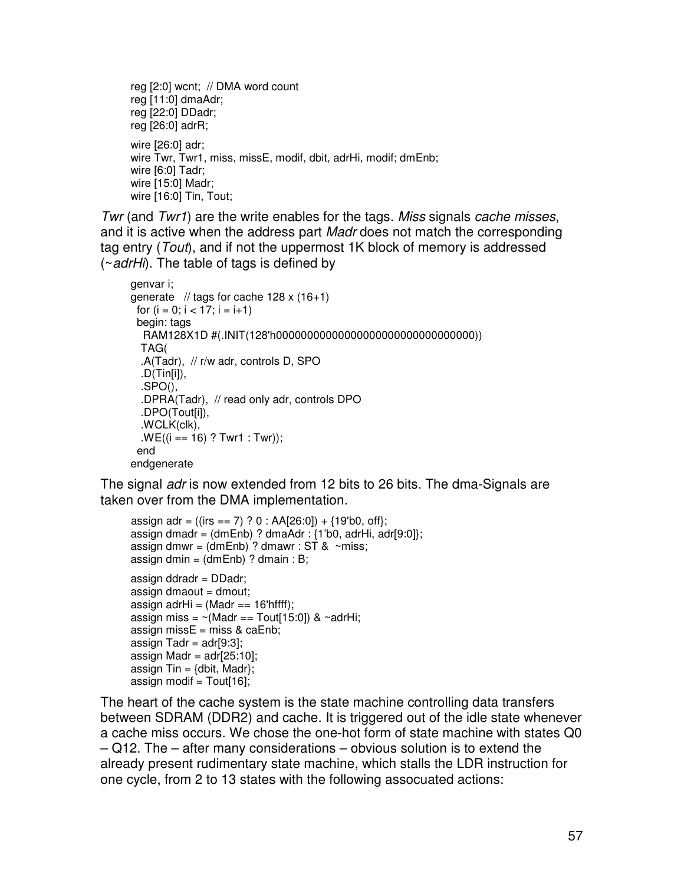```
reg [2:0] wcnt; // DMA word count 
reg [11:0] dmaAdr; 
reg [22:0] DDadr; 
reg [26:0] adrR; 
wire [26:0] adr; 
wire Twr, Twr1, miss, missE, modif, dbit, adrHi, modif; dmEnb; 
wire [6:0] Tadr; 
wire [15:0] Madr; 
wire [16:0] Tin, Tout;
```
*Twr* (and *Twr1*) are the write enables for the tags. *Miss* signals *cache misses*, and it is active when the address part *Madr* does not match the corresponding tag entry (*Tout*), and if not the uppermost 1K block of memory is addressed (~*adrHi*). The table of tags is defined by

```
genvar i; 
generate // tags for cache 128 x (16+1) 
 for (i = 0; i < 17; i = i+1)begin: tags
   RAM128X1D #(.INIT(128'h00000000000000000000000000000000)) 
  TAG( 
   .A(Tadr), // r/w adr, controls D, SPO 
  D(Tin[i]), .SPO(), 
   .DPRA(Tadr), // read only adr, controls DPO 
   .DPO(Tout[i]), 
   .WCLK(clk), 
  .WE((i == 16) ? Twr1 : Twr));
  end 
endgenerate
```
The signal *adr* is now extended from 12 bits to 26 bits. The dma-Signals are taken over from the DMA implementation.

```
assign adr = ((irs == 7) ? 0 : AA[26:0]) + \{19'b0, off\};
assign dmadr = (dmEmb) ? dmaAdr : {1'b0}, adrHi, adr[9:0]};
assign dmwr = (dmEnb) ? dmawr : ST & ~miss;
assign dmin = (dmEnb) ? dmain : B;
assign ddradr = DDadr; 
assign dmaout = dmout;
assign adrHi = (Madr == 16^{\prime}hfff);
assign miss = \sim(Madr == Tout[15:0]) & \simadrHi;
assign missE = miss & caEnb;
assign Tadr = adr[9:3];
assign Madr = adr[25:10];
assign \text{Lin} = \{\text{dbit}, \text{Madr}\}\;
assign modif = Tout[16];
```
The heart of the cache system is the state machine controlling data transfers between SDRAM (DDR2) and cache. It is triggered out of the idle state whenever a cache miss occurs. We chose the one-hot form of state machine with states Q0 – Q12. The – after many considerations – obvious solution is to extend the already present rudimentary state machine, which stalls the LDR instruction for one cycle, from 2 to 13 states with the following assocuated actions: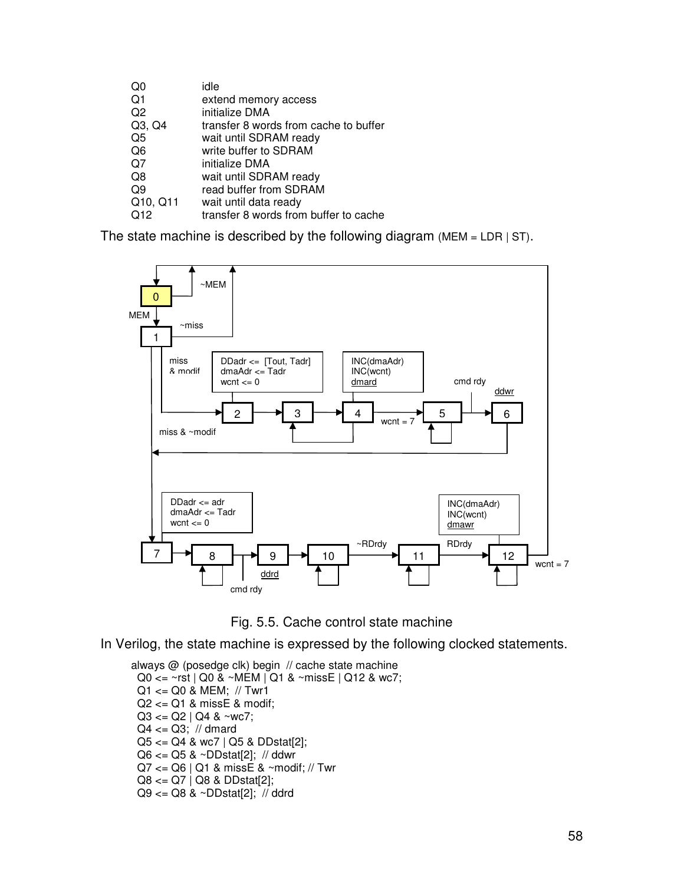| Q0             | idle                                  |
|----------------|---------------------------------------|
| Q1             | extend memory access                  |
| Q <sub>2</sub> | initialize DMA                        |
| Q3, Q4         | transfer 8 words from cache to buffer |
| Q5             | wait until SDRAM ready                |
| Q6             | write buffer to SDRAM                 |
| Q7             | initialize DMA                        |
| Q8             | wait until SDRAM ready                |
| Q9             | read buffer from SDRAM                |
| Q10, Q11       | wait until data ready                 |
| O12            | transfer 8 words from buffer to cache |

The state machine is described by the following diagram (MEM = LDR  $|ST$ ).





In Verilog, the state machine is expressed by the following clocked statements.

always @ (posedge clk) begin // cache state machine  $Q0 \le -rst$  | Q0 & ~MEM | Q1 & ~missE | Q12 & wc7; Q1 <= Q0 & MEM; // Twr1  $Q2 \le Q1$  & missE & modif;  $Q3 \le Q2 \mid Q4 \& \sim \text{wc7};$  $Q4 \leq Q3$ ; // dmard  $Q5 \le Q4 \& \text{wc7}$  |  $Q5 \& \text{DDstat}[2]$ ; Q6 <= Q5 & ~DDstat[2]; // ddwr  $Q7 \le Q6$  | Q1 & missE & ~modif; // Twr  $Q8 \le Q7$  | Q8 & DDstat[2]; Q9 <= Q8 & ~DDstat[2]; // ddrd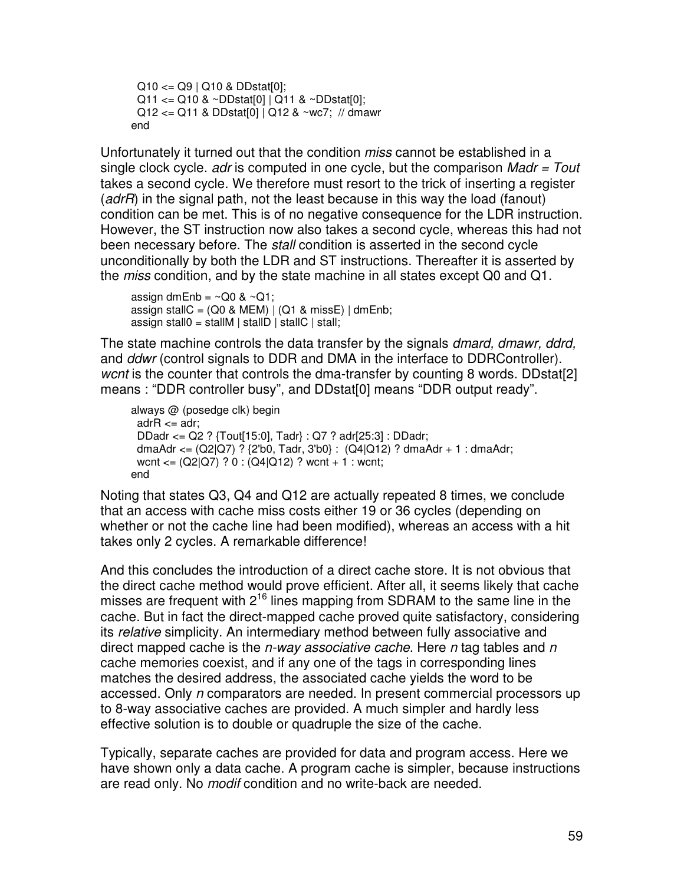$Q10 \leq Q9 | Q10 \& DDist[0];$  $Q11 \leq Q10 \& \sim \text{DDstat}[0] | Q11 \& \sim \text{DDstat}[0];$  Q12 <= Q11 & DDstat[0] | Q12 & ~wc7; // dmawr end

Unfortunately it turned out that the condition *miss* cannot be established in a single clock cycle. *adr* is computed in one cycle, but the comparison *Madr = Tout* takes a second cycle. We therefore must resort to the trick of inserting a register (*adrR*) in the signal path, not the least because in this way the load (fanout) condition can be met. This is of no negative consequence for the LDR instruction. However, the ST instruction now also takes a second cycle, whereas this had not been necessary before. The *stall* condition is asserted in the second cycle unconditionally by both the LDR and ST instructions. Thereafter it is asserted by the *miss* condition, and by the state machine in all states except Q0 and Q1.

```
assign dmEnb = ~\sim Q0 & ~\sim Q1:
assign stallC = (Q0 \& \text{MEM}) | (Q1 \& \text{missE}) | dmEnb;
assign stall0 = stallM \mid stallD \mid stallC \mid stall;
```
The state machine controls the data transfer by the signals *dmard, dmawr, ddrd,* and *ddwr* (control signals to DDR and DMA in the interface to DDRController). *wcnt* is the counter that controls the dma-transfer by counting 8 words. DDstat[2] means : "DDR controller busy", and DDstat[0] means "DDR output ready".

```
always @ (posedge clk) begin 
 adrR \leq adr;
  DDadr <= Q2 ? {Tout[15:0], Tadr} : Q7 ? adr[25:3] : DDadr; 
 dmaAdr <= (Q2|Q7) ? {2^{\circ}b0}, Tadr, 3'b0} : (Q4|Q12) ? dmaAdr + 1 : dmaAdr;
 wcnt <= (Q2|Q7) ? 0 : (Q4|Q12) ? wcnt + 1 : wcnt;
end
```
Noting that states Q3, Q4 and Q12 are actually repeated 8 times, we conclude that an access with cache miss costs either 19 or 36 cycles (depending on whether or not the cache line had been modified), whereas an access with a hit takes only 2 cycles. A remarkable difference!

And this concludes the introduction of a direct cache store. It is not obvious that the direct cache method would prove efficient. After all, it seems likely that cache misses are frequent with  $2^{16}$  lines mapping from SDRAM to the same line in the cache. But in fact the direct-mapped cache proved quite satisfactory, considering its *relative* simplicity. An intermediary method between fully associative and direct mapped cache is the *n-way associative cache*. Here *n* tag tables and *n* cache memories coexist, and if any one of the tags in corresponding lines matches the desired address, the associated cache yields the word to be accessed. Only *n* comparators are needed. In present commercial processors up to 8-way associative caches are provided. A much simpler and hardly less effective solution is to double or quadruple the size of the cache.

Typically, separate caches are provided for data and program access. Here we have shown only a data cache. A program cache is simpler, because instructions are read only. No *modif* condition and no write-back are needed.